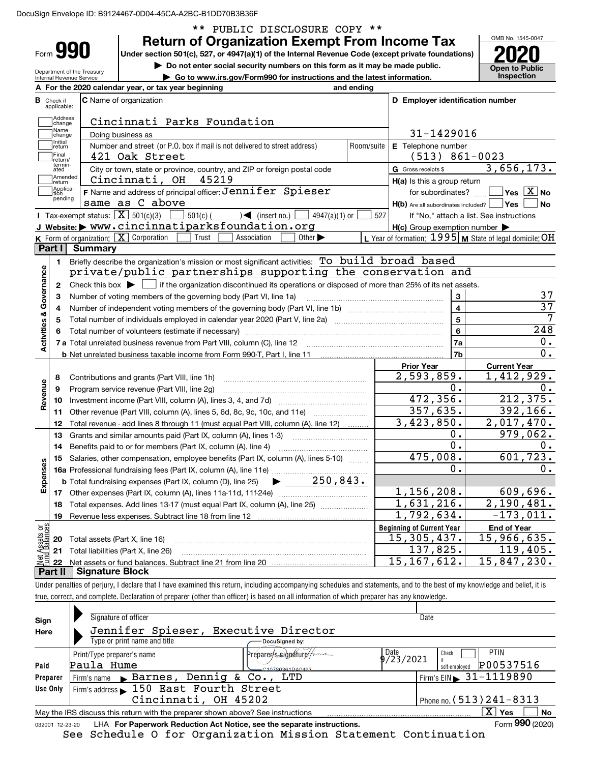DocuSign Envelope ID: B9124467-0D04-45CA-A2BC-B1DD70B3B36F

|                                            | Form 990                                          | <b>Return of Organization Exempt From Income Tax</b><br>Under section 501(c), 527, or 4947(a)(1) of the Internal Revenue Code (except private foundations) |                                                           | OMB No. 1545-0047                       |
|--------------------------------------------|---------------------------------------------------|------------------------------------------------------------------------------------------------------------------------------------------------------------|-----------------------------------------------------------|-----------------------------------------|
|                                            | Department of the Treasury                        | Do not enter social security numbers on this form as it may be made public.                                                                                |                                                           | <b>Open to Public</b>                   |
|                                            | Internal Revenue Service                          | Go to www.irs.gov/Form990 for instructions and the latest information.                                                                                     |                                                           | <b>Inspection</b>                       |
|                                            |                                                   | A For the 2020 calendar year, or tax year beginning<br>and ending                                                                                          |                                                           |                                         |
| <b>B</b> Check if                          | applicable:                                       | <b>C</b> Name of organization                                                                                                                              | D Employer identification number                          |                                         |
|                                            | Address<br>change                                 | Cincinnati Parks Foundation                                                                                                                                |                                                           |                                         |
|                                            | Name<br>change                                    | Doing business as                                                                                                                                          | 31-1429016                                                |                                         |
|                                            | Initial<br>return                                 | Number and street (or P.O. box if mail is not delivered to street address)<br>Room/suite                                                                   | E Telephone number                                        |                                         |
|                                            | Final<br>return/                                  | 421 Oak Street                                                                                                                                             | $(513) 861 - 0023$                                        |                                         |
|                                            | termin-<br>ated                                   | City or town, state or province, country, and ZIP or foreign postal code                                                                                   | G Gross receipts \$                                       | 3,656,173.                              |
|                                            | Amended<br>∣return                                | Cincinnati, OH<br>45219                                                                                                                                    | H(a) Is this a group return                               |                                         |
|                                            | Applica-<br>tion                                  | F Name and address of principal officer: Jennifer Spieser                                                                                                  | for subordinates?                                         | $\Box$ Yes $[\overline{\mathrm{X}}]$ No |
|                                            | pending                                           | same as C above                                                                                                                                            | $H(b)$ Are all subordinates included? $\Box$ Yes          | No                                      |
|                                            | Tax-exempt status: $\boxed{\mathbf{X}}$ 501(c)(3) | $501(c)$ (<br>$4947(a)(1)$ or<br>$\rightarrow$ (insert no.)                                                                                                | 527<br>If "No," attach a list. See instructions           |                                         |
|                                            |                                                   | J Website: > www.cincinnatiparksfoundation.org                                                                                                             | $H(c)$ Group exemption number $\blacktriangleright$       |                                         |
|                                            | K Form of organization:   X Corporation           | Association<br>Other $\blacktriangleright$<br>Trust                                                                                                        | L Year of formation: $1995$ M State of legal domicile: OH |                                         |
|                                            | Part I<br>Summary                                 |                                                                                                                                                            |                                                           |                                         |
|                                            | 1.                                                | Briefly describe the organization's mission or most significant activities: To build broad based                                                           |                                                           |                                         |
|                                            |                                                   | private/public partnerships supporting the conservation and                                                                                                |                                                           |                                         |
|                                            | $\mathbf{2}$                                      | Check this box $\blacktriangleright$ $\Box$ if the organization discontinued its operations or disposed of more than 25% of its net assets.                |                                                           |                                         |
| Governance                                 | З                                                 | Number of voting members of the governing body (Part VI, line 1a)                                                                                          | 3                                                         |                                         |
|                                            | 4                                                 |                                                                                                                                                            | $\overline{\mathbf{4}}$                                   |                                         |
|                                            | 5                                                 |                                                                                                                                                            | 5                                                         |                                         |
|                                            | 6                                                 |                                                                                                                                                            | $\bf 6$                                                   | 248<br>0.                               |
| <b>Activities &amp;</b>                    |                                                   |                                                                                                                                                            | 7a                                                        | 0.                                      |
|                                            |                                                   |                                                                                                                                                            | 7b                                                        |                                         |
|                                            |                                                   |                                                                                                                                                            | <b>Prior Year</b>                                         | <b>Current Year</b>                     |
|                                            | 8                                                 | Contributions and grants (Part VIII, line 1h)                                                                                                              | 2,593,859.<br>О.                                          | 1,412,929.<br>0.                        |
| Revenue                                    | 9                                                 | Program service revenue (Part VIII, line 2g)                                                                                                               | 472, 356.                                                 | 212, 375.                               |
|                                            | 10                                                |                                                                                                                                                            | 357,635.                                                  | 392, 166.                               |
|                                            | 11                                                | Other revenue (Part VIII, column (A), lines 5, 6d, 8c, 9c, 10c, and 11e)                                                                                   | 3,423,850.                                                | $\overline{2,017},470.$                 |
|                                            | 12                                                | Total revenue - add lines 8 through 11 (must equal Part VIII, column (A), line 12)                                                                         |                                                           |                                         |
|                                            | 13                                                | Grants and similar amounts paid (Part IX, column (A), lines 1-3)                                                                                           | О.<br>0                                                   | 979,062.                                |
|                                            | 14                                                |                                                                                                                                                            | 475,008.                                                  | 601,723.                                |
|                                            | 15                                                | Salaries, other compensation, employee benefits (Part IX, column (A), lines 5-10)                                                                          | О.                                                        |                                         |
|                                            |                                                   | 250,843.                                                                                                                                                   |                                                           | 0.                                      |
|                                            |                                                   | <b>b</b> Total fundraising expenses (Part IX, column (D), line 25)                                                                                         | 1,156,208.                                                | 609,696.                                |
|                                            | 17                                                |                                                                                                                                                            | 1,631,216.                                                | 2,190,481.                              |
|                                            | 18                                                | Total expenses. Add lines 13-17 (must equal Part IX, column (A), line 25)                                                                                  | $\overline{1}$ , 792, 634.                                | $-173,011.$                             |
|                                            | 19                                                | Revenue less expenses. Subtract line 18 from line 12                                                                                                       | <b>Beginning of Current Year</b>                          |                                         |
|                                            |                                                   |                                                                                                                                                            |                                                           | <b>End of Year</b>                      |
|                                            |                                                   |                                                                                                                                                            |                                                           |                                         |
|                                            | 20                                                | Total assets (Part X, line 16)                                                                                                                             | 15, 305, 437.                                             | 15,966,635.                             |
| Expenses<br>: Assets or<br>d Balances<br>혋 | 21<br>22                                          | Total liabilities (Part X, line 26)                                                                                                                        | 137,825.<br>$\overline{15}$ , 167, 612.                   | 119,405.<br>15,847,230.                 |

true, correct, and complete. Declaration of preparer (other than officer) is based on all information of which preparer has any knowledge.

| Sign            | Signature of officer                                                            | Date                                    |
|-----------------|---------------------------------------------------------------------------------|-----------------------------------------|
| Here            | Jennifer Spieser,<br>Executive Director                                         |                                         |
|                 | Type or print name and title<br>DocuSigned by:                                  |                                         |
|                 | ?repare <del>r/s.signa</del> ture<br>Print/Type preparer's name                 | Date<br>PTIN<br>Check                   |
| Paid            | Paula Hume<br>C10780361DA0493                                                   | 9/23/2021<br>P00537516<br>self-emploved |
| Preparer        | Firm's name $\triangleright$ Barnes, Dennig & Co., LTD                          | Firm's EIN $\triangleright$ 31-1119890  |
| Use Only        | Firm's address 150 East Fourth Street                                           |                                         |
|                 | Cincinnati, OH 45202                                                            | Phone no. $(513)$ $241 - 8313$          |
|                 | May the IRS discuss this return with the preparer shown above? See instructions | x<br>No<br>Yes                          |
| 032001 12-23-20 | LHA For Paperwork Reduction Act Notice, see the separate instructions.          | Form 990 (2020)                         |

See Schedule O for Organization Mission Statement Continuation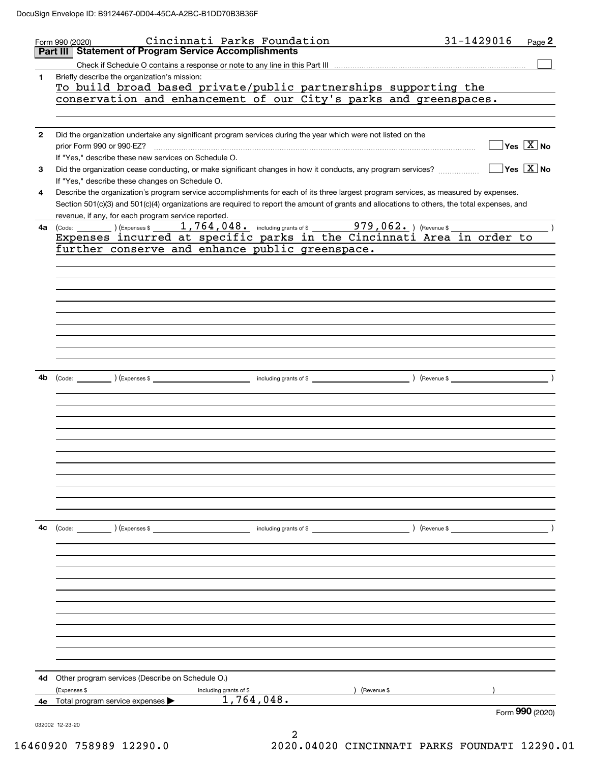|              | Cincinnati Parks Foundation<br>Form 990 (2020)                                                                                                                                                                                                                                                                                              | 31-1429016<br>Page 2                      |
|--------------|---------------------------------------------------------------------------------------------------------------------------------------------------------------------------------------------------------------------------------------------------------------------------------------------------------------------------------------------|-------------------------------------------|
|              | <b>Statement of Program Service Accomplishments</b><br>Part III                                                                                                                                                                                                                                                                             |                                           |
| 1            | Briefly describe the organization's mission:<br>To build broad based private/public partnerships supporting the<br>conservation and enhancement of our City's parks and greenspaces.                                                                                                                                                        |                                           |
| $\mathbf{2}$ | Did the organization undertake any significant program services during the year which were not listed on the<br>prior Form 990 or 990-EZ?<br>If "Yes," describe these new services on Schedule O.                                                                                                                                           | $\overline{\mathsf{Yes} \ \mathbb{X}}$ No |
| 3            | Did the organization cease conducting, or make significant changes in how it conducts, any program services?<br>If "Yes," describe these changes on Schedule O.                                                                                                                                                                             | $\sqrt{}$ Yes $\sqrt{}$ X $\sqrt{}$ No    |
| 4            | Describe the organization's program service accomplishments for each of its three largest program services, as measured by expenses.<br>Section 501(c)(3) and 501(c)(4) organizations are required to report the amount of grants and allocations to others, the total expenses, and<br>revenue, if any, for each program service reported. |                                           |
| 4a           | Expenses incurred at specific parks in the Cincinnati Area in order to                                                                                                                                                                                                                                                                      |                                           |
|              | further conserve and enhance public greenspace.                                                                                                                                                                                                                                                                                             |                                           |
|              |                                                                                                                                                                                                                                                                                                                                             |                                           |
|              |                                                                                                                                                                                                                                                                                                                                             |                                           |
|              |                                                                                                                                                                                                                                                                                                                                             |                                           |
|              |                                                                                                                                                                                                                                                                                                                                             |                                           |
|              |                                                                                                                                                                                                                                                                                                                                             |                                           |
|              |                                                                                                                                                                                                                                                                                                                                             |                                           |
|              |                                                                                                                                                                                                                                                                                                                                             |                                           |
| 4b           |                                                                                                                                                                                                                                                                                                                                             |                                           |
|              |                                                                                                                                                                                                                                                                                                                                             |                                           |
|              |                                                                                                                                                                                                                                                                                                                                             |                                           |
|              |                                                                                                                                                                                                                                                                                                                                             |                                           |
|              |                                                                                                                                                                                                                                                                                                                                             |                                           |
|              |                                                                                                                                                                                                                                                                                                                                             |                                           |
|              |                                                                                                                                                                                                                                                                                                                                             |                                           |
|              |                                                                                                                                                                                                                                                                                                                                             |                                           |
|              |                                                                                                                                                                                                                                                                                                                                             |                                           |
| 4c           | (Code: ) (Expenses \$<br>including grants of $$$                                                                                                                                                                                                                                                                                            | ) (Revenue \$                             |
|              |                                                                                                                                                                                                                                                                                                                                             |                                           |
|              |                                                                                                                                                                                                                                                                                                                                             |                                           |
|              |                                                                                                                                                                                                                                                                                                                                             |                                           |
|              |                                                                                                                                                                                                                                                                                                                                             |                                           |
|              |                                                                                                                                                                                                                                                                                                                                             |                                           |
|              |                                                                                                                                                                                                                                                                                                                                             |                                           |
|              |                                                                                                                                                                                                                                                                                                                                             |                                           |
|              |                                                                                                                                                                                                                                                                                                                                             |                                           |
| 4d           | Other program services (Describe on Schedule O.)<br>(Expenses \$<br>(Revenue \$                                                                                                                                                                                                                                                             |                                           |
| 4е           | including grants of \$<br>1,764,048.<br>Total program service expenses                                                                                                                                                                                                                                                                      |                                           |
|              | 032002 12-23-20                                                                                                                                                                                                                                                                                                                             | Form 990 (2020)                           |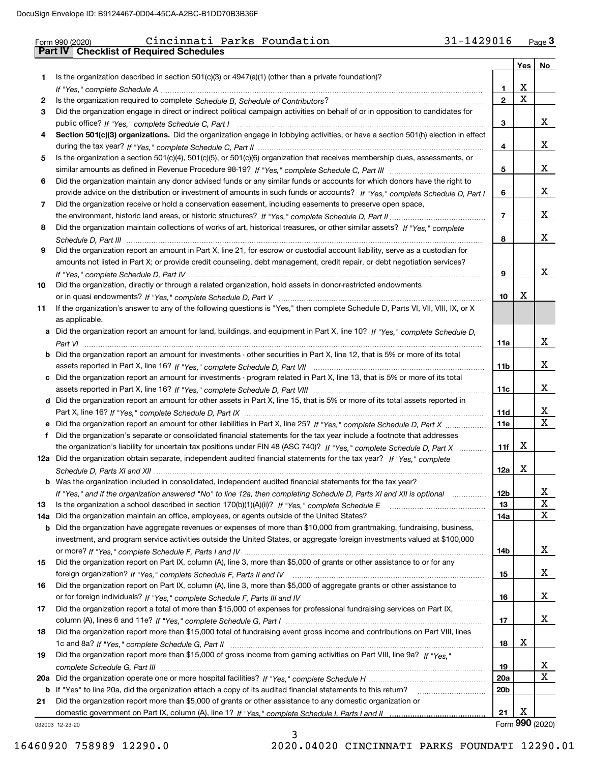|     | 31-1429016<br>Cincinnati Parks Foundation<br>Form 990 (2020)<br><b>Checklist of Required Schedules</b><br><b>Part IV</b>              |                 |     | $Page$ 3    |
|-----|---------------------------------------------------------------------------------------------------------------------------------------|-----------------|-----|-------------|
|     |                                                                                                                                       |                 | Yes | No          |
| 1.  | Is the organization described in section $501(c)(3)$ or $4947(a)(1)$ (other than a private foundation)?                               |                 |     |             |
|     |                                                                                                                                       | 1               | х   |             |
| 2   |                                                                                                                                       | $\mathbf{2}$    | X   |             |
| 3   | Did the organization engage in direct or indirect political campaign activities on behalf of or in opposition to candidates for       |                 |     |             |
|     |                                                                                                                                       | 3               |     | x           |
| 4   | Section 501(c)(3) organizations. Did the organization engage in lobbying activities, or have a section 501(h) election in effect      |                 |     |             |
|     |                                                                                                                                       | 4               |     | x           |
| 5   | Is the organization a section 501(c)(4), 501(c)(5), or 501(c)(6) organization that receives membership dues, assessments, or          |                 |     |             |
|     |                                                                                                                                       | 5               |     | x           |
| 6   | Did the organization maintain any donor advised funds or any similar funds or accounts for which donors have the right to             |                 |     |             |
|     | provide advice on the distribution or investment of amounts in such funds or accounts? If "Yes," complete Schedule D, Part I          | 6               |     | x           |
| 7   | Did the organization receive or hold a conservation easement, including easements to preserve open space,                             |                 |     |             |
|     |                                                                                                                                       | $\overline{7}$  |     | Х           |
| 8   | Did the organization maintain collections of works of art, historical treasures, or other similar assets? If "Yes," complete          |                 |     |             |
|     |                                                                                                                                       | 8               |     | х           |
| 9   | Did the organization report an amount in Part X, line 21, for escrow or custodial account liability, serve as a custodian for         |                 |     |             |
|     | amounts not listed in Part X; or provide credit counseling, debt management, credit repair, or debt negotiation services?             |                 |     |             |
|     |                                                                                                                                       | 9               |     | x           |
| 10  | Did the organization, directly or through a related organization, hold assets in donor-restricted endowments                          |                 |     |             |
|     |                                                                                                                                       | 10              | х   |             |
| 11  | If the organization's answer to any of the following questions is "Yes," then complete Schedule D, Parts VI, VII, VIII, IX, or X      |                 |     |             |
|     | as applicable.                                                                                                                        |                 |     |             |
|     | a Did the organization report an amount for land, buildings, and equipment in Part X, line 10? If "Yes," complete Schedule D,         |                 |     |             |
|     |                                                                                                                                       | 11a             |     | X           |
|     | <b>b</b> Did the organization report an amount for investments - other securities in Part X, line 12, that is 5% or more of its total |                 |     |             |
|     |                                                                                                                                       | 11 <sub>b</sub> |     | x           |
|     | c Did the organization report an amount for investments - program related in Part X, line 13, that is 5% or more of its total         |                 |     |             |
|     |                                                                                                                                       | 11c             |     | x           |
|     | d Did the organization report an amount for other assets in Part X, line 15, that is 5% or more of its total assets reported in       |                 |     |             |
|     |                                                                                                                                       | <b>11d</b>      |     | x           |
|     | e Did the organization report an amount for other liabilities in Part X, line 25? If "Yes," complete Schedule D, Part X               | <b>11e</b>      |     | $\mathbf X$ |
| f   | Did the organization's separate or consolidated financial statements for the tax year include a footnote that addresses               |                 |     |             |
|     | the organization's liability for uncertain tax positions under FIN 48 (ASC 740)? If "Yes," complete Schedule D, Part X                | 11f             | x   |             |
|     | 12a Did the organization obtain separate, independent audited financial statements for the tax year? If "Yes," complete               |                 |     |             |
|     |                                                                                                                                       | 12a             | х   |             |
|     | <b>b</b> Was the organization included in consolidated, independent audited financial statements for the tax year?                    |                 |     |             |
|     | If "Yes," and if the organization answered "No" to line 12a, then completing Schedule D, Parts XI and XII is optional manum           | 12b             |     | x           |
| 13  | Is the organization a school described in section 170(b)(1)(A)(ii)? If "Yes," complete Schedule E                                     | 13              |     | X           |
| 14a | Did the organization maintain an office, employees, or agents outside of the United States?                                           | 14a             |     | X           |
|     | b Did the organization have aggregate revenues or expenses of more than \$10,000 from grantmaking, fundraising, business,             |                 |     |             |
|     | investment, and program service activities outside the United States, or aggregate foreign investments valued at \$100,000            |                 |     |             |
|     |                                                                                                                                       | 14b             |     | X           |
| 15  | Did the organization report on Part IX, column (A), line 3, more than \$5,000 of grants or other assistance to or for any             |                 |     |             |
|     |                                                                                                                                       | 15              |     | x           |
| 16  | Did the organization report on Part IX, column (A), line 3, more than \$5,000 of aggregate grants or other assistance to              |                 |     |             |
|     |                                                                                                                                       | 16              |     | X           |
| 17  | Did the organization report a total of more than \$15,000 of expenses for professional fundraising services on Part IX,               |                 |     |             |
|     |                                                                                                                                       | 17              |     | x           |
| 18  | Did the organization report more than \$15,000 total of fundraising event gross income and contributions on Part VIII, lines          |                 |     |             |
|     |                                                                                                                                       | 18              | х   |             |
| 19  | Did the organization report more than \$15,000 of gross income from gaming activities on Part VIII, line 9a? If "Yes."                |                 |     |             |
|     |                                                                                                                                       | 19              |     | X           |
|     |                                                                                                                                       | 20a             |     | $\mathbf X$ |

**21b** If "Yes" to line 20a, did the organization attach a copy of its audited financial statements to this return? \_\_\_\_\_\_\_\_\_\_\_\_\_\_\_\_\_\_\_\_\_\_ Did the organization report more than \$5,000 of grants or other assistance to any domestic organization or

032003 12-23-20 domestic government on Part IX, column (A), line 1? If "Yes," complete Schedule I, Parts I and II …………………………………… 

Form (2020) **990**

X

X

**20b**

**21**

| 16460920 758989 12290.0 |  |  |  |
|-------------------------|--|--|--|
|-------------------------|--|--|--|

16460920 758989 12290.0 2020.04020 CINCINNATI PARKS FOUNDATI 12290.01

3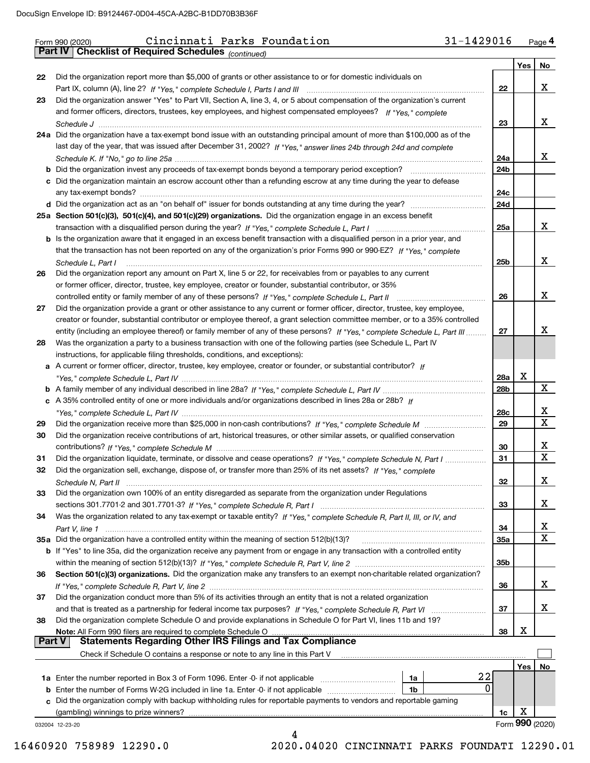|               | 31-1429016<br>Cincinnati Parks Foundation<br>Form 990 (2020)                                                                      |                 |     | Page 4          |
|---------------|-----------------------------------------------------------------------------------------------------------------------------------|-----------------|-----|-----------------|
|               | Part IV   Checklist of Required Schedules (continued)                                                                             |                 |     |                 |
|               |                                                                                                                                   |                 | Yes | No              |
| 22            | Did the organization report more than \$5,000 of grants or other assistance to or for domestic individuals on                     |                 |     |                 |
|               |                                                                                                                                   | 22              |     | х               |
| 23            | Did the organization answer "Yes" to Part VII, Section A, line 3, 4, or 5 about compensation of the organization's current        |                 |     |                 |
|               | and former officers, directors, trustees, key employees, and highest compensated employees? If "Yes," complete                    |                 |     |                 |
|               |                                                                                                                                   | 23              |     | x               |
|               | 24a Did the organization have a tax-exempt bond issue with an outstanding principal amount of more than \$100,000 as of the       |                 |     |                 |
|               | last day of the year, that was issued after December 31, 2002? If "Yes," answer lines 24b through 24d and complete                |                 |     |                 |
|               |                                                                                                                                   | 24a             |     | x               |
|               | <b>b</b> Did the organization invest any proceeds of tax-exempt bonds beyond a temporary period exception?                        | 24 <sub>b</sub> |     |                 |
|               | c Did the organization maintain an escrow account other than a refunding escrow at any time during the year to defease            |                 |     |                 |
|               |                                                                                                                                   | 24c             |     |                 |
|               |                                                                                                                                   | 24d             |     |                 |
|               | 25a Section 501(c)(3), 501(c)(4), and 501(c)(29) organizations. Did the organization engage in an excess benefit                  |                 |     |                 |
|               |                                                                                                                                   | 25a             |     | x               |
|               | b Is the organization aware that it engaged in an excess benefit transaction with a disqualified person in a prior year, and      |                 |     |                 |
|               | that the transaction has not been reported on any of the organization's prior Forms 990 or 990-EZ? If "Yes," complete             |                 |     |                 |
|               | Schedule L. Part I                                                                                                                | 25b             |     | x               |
| 26            | Did the organization report any amount on Part X, line 5 or 22, for receivables from or payables to any current                   |                 |     |                 |
|               | or former officer, director, trustee, key employee, creator or founder, substantial contributor, or 35%                           |                 |     |                 |
|               | controlled entity or family member of any of these persons? If "Yes," complete Schedule L, Part II                                | 26              |     | x               |
| 27            | Did the organization provide a grant or other assistance to any current or former officer, director, trustee, key employee,       |                 |     |                 |
|               | creator or founder, substantial contributor or employee thereof, a grant selection committee member, or to a 35% controlled       |                 |     |                 |
|               | entity (including an employee thereof) or family member of any of these persons? If "Yes," complete Schedule L, Part III          | 27              |     | x               |
| 28            | Was the organization a party to a business transaction with one of the following parties (see Schedule L, Part IV                 |                 |     |                 |
|               | instructions, for applicable filing thresholds, conditions, and exceptions):                                                      |                 |     |                 |
|               | a A current or former officer, director, trustee, key employee, creator or founder, or substantial contributor? If                |                 |     |                 |
|               |                                                                                                                                   | <b>28a</b>      | х   | X               |
|               |                                                                                                                                   | 28b             |     |                 |
|               | c A 35% controlled entity of one or more individuals and/or organizations described in lines 28a or 28b? If                       |                 |     | x               |
|               |                                                                                                                                   | 28c<br>29       |     | х               |
| 29<br>30      | Did the organization receive contributions of art, historical treasures, or other similar assets, or qualified conservation       |                 |     |                 |
|               |                                                                                                                                   | 30              |     | х               |
| 31            | Did the organization liquidate, terminate, or dissolve and cease operations? If "Yes," complete Schedule N, Part I                | 31              |     | X               |
|               | Did the organization sell, exchange, dispose of, or transfer more than 25% of its net assets? If "Yes," complete                  |                 |     |                 |
|               |                                                                                                                                   | 32              |     | x               |
| 33            | Did the organization own 100% of an entity disregarded as separate from the organization under Regulations                        |                 |     |                 |
|               |                                                                                                                                   | 33              |     | x               |
| 34            | Was the organization related to any tax-exempt or taxable entity? If "Yes," complete Schedule R, Part II, III, or IV, and         |                 |     |                 |
|               |                                                                                                                                   | 34              |     | х               |
|               | 35a Did the organization have a controlled entity within the meaning of section 512(b)(13)?                                       | 35a             |     | X               |
|               | b If "Yes" to line 35a, did the organization receive any payment from or engage in any transaction with a controlled entity       |                 |     |                 |
|               |                                                                                                                                   | 35b             |     |                 |
| 36            | Section 501(c)(3) organizations. Did the organization make any transfers to an exempt non-charitable related organization?        |                 |     |                 |
|               |                                                                                                                                   | 36              |     | х               |
| 37            | Did the organization conduct more than 5% of its activities through an entity that is not a related organization                  |                 |     |                 |
|               |                                                                                                                                   | 37              |     | x               |
| 38            | Did the organization complete Schedule O and provide explanations in Schedule O for Part VI, lines 11b and 19?                    |                 |     |                 |
| <b>Part V</b> | Note: All Form 990 filers are required to complete Schedule O<br><b>Statements Regarding Other IRS Filings and Tax Compliance</b> | 38              | х   |                 |
|               | Check if Schedule O contains a response or note to any line in this Part V                                                        |                 |     |                 |
|               |                                                                                                                                   |                 |     |                 |
|               | 1a                                                                                                                                | 22              | Yes | No              |
| b             | Enter the number of Forms W-2G included in line 1a. Enter -0- if not applicable<br>1b                                             | 0               |     |                 |
|               | c Did the organization comply with backup withholding rules for reportable payments to vendors and reportable gaming              |                 |     |                 |
|               | (gambling) winnings to prize winners?                                                                                             | 1c              | х   |                 |
|               | 032004 12-23-20                                                                                                                   |                 |     | Form 990 (2020) |
|               | 4                                                                                                                                 |                 |     |                 |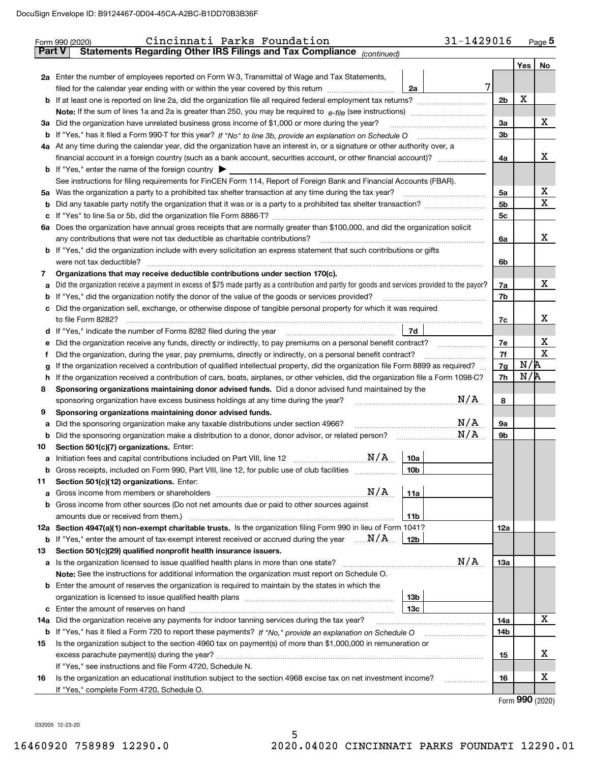|               | 31-1429016<br>Cincinnati Parks Foundation<br>Form 990 (2020)                                                                                    |                |     | $Page$ <sup>5</sup> |  |  |  |  |  |  |  |
|---------------|-------------------------------------------------------------------------------------------------------------------------------------------------|----------------|-----|---------------------|--|--|--|--|--|--|--|
| <b>Part V</b> | Statements Regarding Other IRS Filings and Tax Compliance (continued)                                                                           |                |     |                     |  |  |  |  |  |  |  |
|               |                                                                                                                                                 |                |     | Yes   No            |  |  |  |  |  |  |  |
|               | 2a Enter the number of employees reported on Form W-3, Transmittal of Wage and Tax Statements,                                                  |                |     |                     |  |  |  |  |  |  |  |
|               | 7<br>filed for the calendar year ending with or within the year covered by this return<br>2a                                                    |                |     |                     |  |  |  |  |  |  |  |
|               |                                                                                                                                                 | 2 <sub>b</sub> | X   |                     |  |  |  |  |  |  |  |
|               |                                                                                                                                                 |                |     |                     |  |  |  |  |  |  |  |
|               | 3a Did the organization have unrelated business gross income of \$1,000 or more during the year?                                                |                |     |                     |  |  |  |  |  |  |  |
|               |                                                                                                                                                 |                |     |                     |  |  |  |  |  |  |  |
|               | 4a At any time during the calendar year, did the organization have an interest in, or a signature or other authority over, a                    |                |     |                     |  |  |  |  |  |  |  |
|               | financial account in a foreign country (such as a bank account, securities account, or other financial account)?                                | 4a             |     | х                   |  |  |  |  |  |  |  |
|               | <b>b</b> If "Yes," enter the name of the foreign country $\blacktriangleright$                                                                  |                |     |                     |  |  |  |  |  |  |  |
|               | See instructions for filing requirements for FinCEN Form 114, Report of Foreign Bank and Financial Accounts (FBAR).                             |                |     |                     |  |  |  |  |  |  |  |
|               | 5a Was the organization a party to a prohibited tax shelter transaction at any time during the tax year?                                        | 5a             |     | х                   |  |  |  |  |  |  |  |
|               |                                                                                                                                                 | 5 <sub>b</sub> |     | $\mathbf{x}$        |  |  |  |  |  |  |  |
| b             |                                                                                                                                                 | 5 <sub>c</sub> |     |                     |  |  |  |  |  |  |  |
| c             |                                                                                                                                                 |                |     |                     |  |  |  |  |  |  |  |
|               | 6a Does the organization have annual gross receipts that are normally greater than \$100,000, and did the organization solicit                  |                |     | x                   |  |  |  |  |  |  |  |
|               | any contributions that were not tax deductible as charitable contributions?                                                                     | 6a             |     |                     |  |  |  |  |  |  |  |
|               | <b>b</b> If "Yes," did the organization include with every solicitation an express statement that such contributions or gifts                   |                |     |                     |  |  |  |  |  |  |  |
|               | were not tax deductible?                                                                                                                        | 6b             |     |                     |  |  |  |  |  |  |  |
| 7             | Organizations that may receive deductible contributions under section 170(c).                                                                   |                |     |                     |  |  |  |  |  |  |  |
| a             | Did the organization receive a payment in excess of \$75 made partly as a contribution and partly for goods and services provided to the payor? | 7a             |     | х                   |  |  |  |  |  |  |  |
| b             | If "Yes," did the organization notify the donor of the value of the goods or services provided?                                                 | 7b             |     |                     |  |  |  |  |  |  |  |
|               | c Did the organization sell, exchange, or otherwise dispose of tangible personal property for which it was required                             |                |     |                     |  |  |  |  |  |  |  |
|               |                                                                                                                                                 | 7c             |     | х                   |  |  |  |  |  |  |  |
|               | 7d                                                                                                                                              |                |     |                     |  |  |  |  |  |  |  |
| е             | Did the organization receive any funds, directly or indirectly, to pay premiums on a personal benefit contract?                                 | 7е             |     | х                   |  |  |  |  |  |  |  |
|               | Did the organization, during the year, pay premiums, directly or indirectly, on a personal benefit contract?                                    | 7f             |     | $\mathbf X$         |  |  |  |  |  |  |  |
| g             | If the organization received a contribution of qualified intellectual property, did the organization file Form 8899 as required?                | 7g             | N/R |                     |  |  |  |  |  |  |  |
| h             | If the organization received a contribution of cars, boats, airplanes, or other vehicles, did the organization file a Form 1098-C?              | 7h             | N/R |                     |  |  |  |  |  |  |  |
| 8             | Sponsoring organizations maintaining donor advised funds. Did a donor advised fund maintained by the                                            |                |     |                     |  |  |  |  |  |  |  |
|               | N/A<br>sponsoring organization have excess business holdings at any time during the year?                                                       | 8              |     |                     |  |  |  |  |  |  |  |
| 9             | Sponsoring organizations maintaining donor advised funds.                                                                                       |                |     |                     |  |  |  |  |  |  |  |
| а             | N/A<br>Did the sponsoring organization make any taxable distributions under section 4966?                                                       | <b>9a</b>      |     |                     |  |  |  |  |  |  |  |
| b             | N/A<br>Did the sponsoring organization make a distribution to a donor, donor advisor, or related person?                                        | 9b             |     |                     |  |  |  |  |  |  |  |
| 10            | Section 501(c)(7) organizations. Enter:                                                                                                         |                |     |                     |  |  |  |  |  |  |  |
|               | 10a                                                                                                                                             |                |     |                     |  |  |  |  |  |  |  |
|               | Gross receipts, included on Form 990, Part VIII, line 12, for public use of club facilities<br>10 <sub>b</sub>                                  |                |     |                     |  |  |  |  |  |  |  |
| 11            | Section 501(c)(12) organizations. Enter:                                                                                                        |                |     |                     |  |  |  |  |  |  |  |
| а             | N/A<br>Gross income from members or shareholders<br>11a                                                                                         |                |     |                     |  |  |  |  |  |  |  |
|               | b Gross income from other sources (Do not net amounts due or paid to other sources against                                                      |                |     |                     |  |  |  |  |  |  |  |
|               | 11b                                                                                                                                             |                |     |                     |  |  |  |  |  |  |  |
|               | 12a Section 4947(a)(1) non-exempt charitable trusts. Is the organization filing Form 990 in lieu of Form 1041?                                  | 12a            |     |                     |  |  |  |  |  |  |  |
|               | <b>b</b> If "Yes," enter the amount of tax-exempt interest received or accrued during the year $\ldots \mathbf{N}/\mathbf{A}$<br>12b            |                |     |                     |  |  |  |  |  |  |  |
| 13            | Section 501(c)(29) qualified nonprofit health insurance issuers.                                                                                |                |     |                     |  |  |  |  |  |  |  |
|               | N/A                                                                                                                                             | 13а            |     |                     |  |  |  |  |  |  |  |
|               | Note: See the instructions for additional information the organization must report on Schedule O.                                               |                |     |                     |  |  |  |  |  |  |  |
|               | <b>b</b> Enter the amount of reserves the organization is required to maintain by the states in which the                                       |                |     |                     |  |  |  |  |  |  |  |
|               | 13b                                                                                                                                             |                |     |                     |  |  |  |  |  |  |  |
|               | 13c                                                                                                                                             |                |     |                     |  |  |  |  |  |  |  |
| 14a           | Did the organization receive any payments for indoor tanning services during the tax year?                                                      | 14a            |     | х                   |  |  |  |  |  |  |  |
|               | <b>b</b> If "Yes," has it filed a Form 720 to report these payments? If "No," provide an explanation on Schedule O                              | 14b            |     |                     |  |  |  |  |  |  |  |
| 15            | Is the organization subject to the section 4960 tax on payment(s) of more than \$1,000,000 in remuneration or                                   |                |     |                     |  |  |  |  |  |  |  |
|               |                                                                                                                                                 | 15             |     | х                   |  |  |  |  |  |  |  |
|               | If "Yes," see instructions and file Form 4720, Schedule N.                                                                                      |                |     |                     |  |  |  |  |  |  |  |
| 16            | Is the organization an educational institution subject to the section 4968 excise tax on net investment income?                                 | 16             |     | х                   |  |  |  |  |  |  |  |
|               | If "Yes," complete Form 4720, Schedule O.                                                                                                       |                |     |                     |  |  |  |  |  |  |  |
|               |                                                                                                                                                 |                |     | $\mathbf{QQ}$       |  |  |  |  |  |  |  |

Form (2020) **990**

032005 12-23-20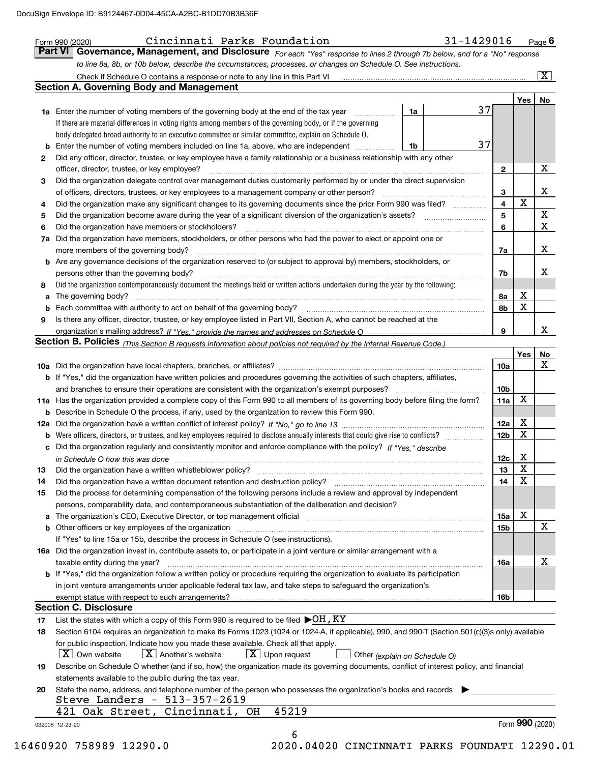|                | Check if Schedule O contains a response or note to any line in this Part VI [11] [12] Check if Schedule O contains a response or note to any line in this Part VI<br><b>Section A. Governing Body and Management</b>           |                 |             | $\overline{\mathbf{x}}$ |
|----------------|--------------------------------------------------------------------------------------------------------------------------------------------------------------------------------------------------------------------------------|-----------------|-------------|-------------------------|
|                |                                                                                                                                                                                                                                |                 | Yes         | No                      |
|                | 37<br>1a Enter the number of voting members of the governing body at the end of the tax year<br>1a                                                                                                                             |                 |             |                         |
|                | If there are material differences in voting rights among members of the governing body, or if the governing                                                                                                                    |                 |             |                         |
|                | body delegated broad authority to an executive committee or similar committee, explain on Schedule O.                                                                                                                          |                 |             |                         |
| b              | 37<br>Enter the number of voting members included on line 1a, above, who are independent<br>1b                                                                                                                                 |                 |             |                         |
| 2              | Did any officer, director, trustee, or key employee have a family relationship or a business relationship with any other                                                                                                       |                 |             |                         |
|                | officer, director, trustee, or key employee?                                                                                                                                                                                   | $\mathbf{2}$    |             | X                       |
| 3              | Did the organization delegate control over management duties customarily performed by or under the direct supervision                                                                                                          |                 |             |                         |
|                | of officers, directors, trustees, or key employees to a management company or other person?                                                                                                                                    | 3               |             | X                       |
| 4              | Did the organization make any significant changes to its governing documents since the prior Form 990 was filed?                                                                                                               | $\overline{4}$  | X           |                         |
| 5              | Did the organization become aware during the year of a significant diversion of the organization's assets?                                                                                                                     | 5               |             | $\mathbf X$             |
| 6              | Did the organization have members or stockholders?                                                                                                                                                                             | 6               |             | $\overline{\mathbf{X}}$ |
| 7a             | Did the organization have members, stockholders, or other persons who had the power to elect or appoint one or                                                                                                                 |                 |             |                         |
|                |                                                                                                                                                                                                                                | 7a              |             | X                       |
|                | <b>b</b> Are any governance decisions of the organization reserved to (or subject to approval by) members, stockholders, or                                                                                                    |                 |             |                         |
|                | persons other than the governing body?                                                                                                                                                                                         | 7b              |             | х                       |
| 8              | Did the organization contemporaneously document the meetings held or written actions undertaken during the year by the following:                                                                                              |                 |             |                         |
| a              |                                                                                                                                                                                                                                | 8а              | Х           |                         |
| b              |                                                                                                                                                                                                                                | 8b              | X           |                         |
| 9              | Is there any officer, director, trustee, or key employee listed in Part VII, Section A, who cannot be reached at the                                                                                                           |                 |             |                         |
|                |                                                                                                                                                                                                                                | 9               |             | x                       |
|                | Section B. Policies (This Section B requests information about policies not required by the Internal Revenue Code.)                                                                                                            |                 |             |                         |
|                |                                                                                                                                                                                                                                |                 | Yes         | <u>No</u>               |
|                |                                                                                                                                                                                                                                | 10a             |             | X                       |
|                | <b>b</b> If "Yes," did the organization have written policies and procedures governing the activities of such chapters, affiliates,                                                                                            |                 |             |                         |
|                |                                                                                                                                                                                                                                | 10 <sub>b</sub> |             |                         |
|                | 11a Has the organization provided a complete copy of this Form 990 to all members of its governing body before filing the form?                                                                                                | 11a             | X           |                         |
|                | <b>b</b> Describe in Schedule O the process, if any, used by the organization to review this Form 990.                                                                                                                         |                 |             |                         |
|                |                                                                                                                                                                                                                                | 12a             | X           |                         |
| b              | Were officers, directors, or trustees, and key employees required to disclose annually interests that could give rise to conflicts?                                                                                            | 12 <sub>b</sub> | х           |                         |
|                | c Did the organization regularly and consistently monitor and enforce compliance with the policy? If "Yes." describe                                                                                                           |                 |             |                         |
|                |                                                                                                                                                                                                                                | 12c             | Х           |                         |
|                | in Schedule O how this was done manufactured and contain an according to the state of the state of the state o                                                                                                                 | 13              | $\mathbf X$ |                         |
| 14             | Did the organization have a written document retention and destruction policy? [11] manufaction policy?                                                                                                                        | 14              | X           |                         |
| 15             | Did the process for determining compensation of the following persons include a review and approval by independent                                                                                                             |                 |             |                         |
|                | persons, comparability data, and contemporaneous substantiation of the deliberation and decision?                                                                                                                              |                 |             |                         |
|                | a The organization's CEO, Executive Director, or top management official manufactured content content of the organization's CEO, Executive Director, or top management official manufactured content of the state of the state | 15a             | X           |                         |
|                |                                                                                                                                                                                                                                | 15 <sub>b</sub> |             | X                       |
|                | If "Yes" to line 15a or 15b, describe the process in Schedule O (see instructions).                                                                                                                                            |                 |             |                         |
|                |                                                                                                                                                                                                                                |                 |             |                         |
|                |                                                                                                                                                                                                                                |                 |             | X                       |
|                | 16a Did the organization invest in, contribute assets to, or participate in a joint venture or similar arrangement with a                                                                                                      |                 |             |                         |
|                | taxable entity during the year?                                                                                                                                                                                                | 16a             |             |                         |
|                | b If "Yes," did the organization follow a written policy or procedure requiring the organization to evaluate its participation                                                                                                 |                 |             |                         |
|                | in joint venture arrangements under applicable federal tax law, and take steps to safequard the organization's                                                                                                                 |                 |             |                         |
|                |                                                                                                                                                                                                                                | 16b             |             |                         |
|                | <b>Section C. Disclosure</b>                                                                                                                                                                                                   |                 |             |                         |
|                | List the states with which a copy of this Form 990 is required to be filed $\blacktriangleright$ OH , KY                                                                                                                       |                 |             |                         |
|                | Section 6104 requires an organization to make its Forms 1023 (1024 or 1024-A, if applicable), 990, and 990-T (Section 501(c)(3)s only) available                                                                               |                 |             |                         |
|                | for public inspection. Indicate how you made these available. Check all that apply.                                                                                                                                            |                 |             |                         |
|                | X   Own website<br>$X$ Another's website<br>$\lfloor X \rfloor$ Upon request<br>Other (explain on Schedule O)                                                                                                                  |                 |             |                         |
|                | Describe on Schedule O whether (and if so, how) the organization made its governing documents, conflict of interest policy, and financial                                                                                      |                 |             |                         |
| 17<br>18<br>19 | statements available to the public during the tax year.                                                                                                                                                                        |                 |             |                         |
| 20             | State the name, address, and telephone number of the person who possesses the organization's books and records                                                                                                                 |                 |             |                         |
|                | Steve Landers - 513-357-2619<br>421 Oak Street, Cincinnati, OH<br>45219                                                                                                                                                        |                 |             |                         |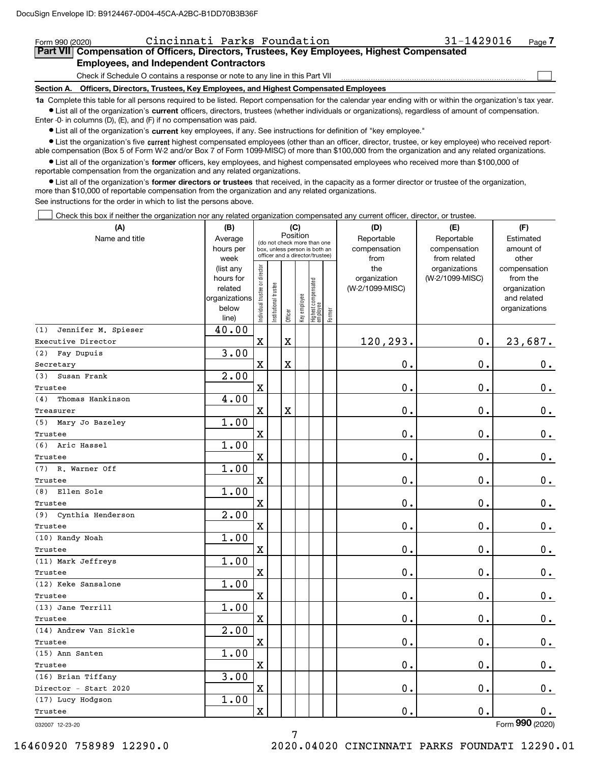| Cincinnati Parks Foundation<br>Form 990 (2020)                                                                                                                                                                              | $31 - 1429016$                                                                                                                                             | Page |  |  |  |  |  |  |
|-----------------------------------------------------------------------------------------------------------------------------------------------------------------------------------------------------------------------------|------------------------------------------------------------------------------------------------------------------------------------------------------------|------|--|--|--|--|--|--|
| Part VII Compensation of Officers, Directors, Trustees, Key Employees, Highest Compensated                                                                                                                                  |                                                                                                                                                            |      |  |  |  |  |  |  |
| <b>Employees, and Independent Contractors</b>                                                                                                                                                                               |                                                                                                                                                            |      |  |  |  |  |  |  |
| Check if Schedule O contains a response or note to any line in this Part VII                                                                                                                                                |                                                                                                                                                            |      |  |  |  |  |  |  |
| Section A. Officers, Directors, Trustees, Key Employees, and Highest Compensated Employees                                                                                                                                  |                                                                                                                                                            |      |  |  |  |  |  |  |
|                                                                                                                                                                                                                             | 1a Complete this table for all persons required to be listed. Report compensation for the calendar year ending with or within the organization's tax year. |      |  |  |  |  |  |  |
| • List all of the organization's current officers, directors, trustees (whether individuals or organizations), regardless of amount of compensation.<br>Enter -0- in columns (D), (E), and (F) if no compensation was paid. |                                                                                                                                                            |      |  |  |  |  |  |  |

 $\bullet$  List all of the organization's  $\,$ current key employees, if any. See instructions for definition of "key employee."

**•** List the organization's five current highest compensated employees (other than an officer, director, trustee, or key employee) who received reportable compensation (Box 5 of Form W-2 and/or Box 7 of Form 1099-MISC) of more than \$100,000 from the organization and any related organizations.

**•** List all of the organization's former officers, key employees, and highest compensated employees who received more than \$100,000 of reportable compensation from the organization and any related organizations.

**former directors or trustees**  ¥ List all of the organization's that received, in the capacity as a former director or trustee of the organization, more than \$10,000 of reportable compensation from the organization and any related organizations.

See instructions for the order in which to list the persons above.

Check this box if neither the organization nor any related organization compensated any current officer, director, or trustee.  $\mathcal{L}^{\text{max}}$ 

| (A)                        | (B)                    |                               |                                                                  | (C)         |              |                                  |        | (D)                 | (E)                              | (F)                      |
|----------------------------|------------------------|-------------------------------|------------------------------------------------------------------|-------------|--------------|----------------------------------|--------|---------------------|----------------------------------|--------------------------|
| Name and title             | Average                |                               | (do not check more than one                                      | Position    |              |                                  |        | Reportable          | Reportable                       | Estimated                |
|                            | hours per              |                               | box, unless person is both an<br>officer and a director/trustee) |             |              |                                  |        | compensation        | compensation                     | amount of                |
|                            | week                   |                               |                                                                  |             |              |                                  |        | from                | from related                     | other                    |
|                            | (list any<br>hours for |                               |                                                                  |             |              |                                  |        | the<br>organization | organizations<br>(W-2/1099-MISC) | compensation<br>from the |
|                            | related                |                               |                                                                  |             |              |                                  |        | (W-2/1099-MISC)     |                                  | organization             |
|                            | organizations          |                               |                                                                  |             |              |                                  |        |                     |                                  | and related              |
|                            | below                  | ndividual trustee or director | nstitutional trustee                                             |             | Key employee |                                  |        |                     |                                  | organizations            |
|                            | line)                  |                               |                                                                  | Officer     |              | Highest compensated<br> employee | Former |                     |                                  |                          |
| Jennifer M. Spieser<br>(1) | 40.00                  |                               |                                                                  |             |              |                                  |        |                     |                                  |                          |
| Executive Director         |                        | $\mathbf X$                   |                                                                  | $\mathbf X$ |              |                                  |        | 120,293.            | $0$ .                            | 23,687.                  |
| Fay Dupuis<br>(2)          | 3.00                   |                               |                                                                  |             |              |                                  |        |                     |                                  |                          |
| Secretary                  |                        | $\overline{\text{X}}$         |                                                                  | $\mathbf X$ |              |                                  |        | 0.                  | $\mathbf 0$ .                    | 0.                       |
| Susan Frank<br>(3)         | 2.00                   |                               |                                                                  |             |              |                                  |        |                     |                                  |                          |
| Trustee                    |                        | $\rm X$                       |                                                                  |             |              |                                  |        | 0.                  | $\mathbf 0$ .                    | $\mathbf 0$ .            |
| Thomas Hankinson<br>(4)    | 4.00                   |                               |                                                                  |             |              |                                  |        |                     |                                  |                          |
| Treasurer                  |                        | $\overline{\mathbf{X}}$       |                                                                  | $\mathbf X$ |              |                                  |        | 0.                  | $\mathbf{0}$ .                   | $\mathbf 0$ .            |
| (5) Mary Jo Bazeley        | 1.00                   |                               |                                                                  |             |              |                                  |        |                     |                                  |                          |
| Trustee                    |                        | $\mathbf x$                   |                                                                  |             |              |                                  |        | 0.                  | $\mathbf 0$ .                    | 0.                       |
| Aric Hassel<br>(6)         | 1.00                   |                               |                                                                  |             |              |                                  |        |                     |                                  |                          |
| Trustee                    |                        | $\mathbf X$                   |                                                                  |             |              |                                  |        | 0.                  | $\mathbf 0$ .                    | $0_{.}$                  |
| R. Warner Off<br>(7)       | 1.00                   |                               |                                                                  |             |              |                                  |        |                     |                                  |                          |
| Trustee                    |                        | $\rm X$                       |                                                                  |             |              |                                  |        | 0.                  | $\mathbf 0$ .                    | $\mathbf 0$ .            |
| Ellen Sole<br>(8)          | 1.00                   |                               |                                                                  |             |              |                                  |        |                     |                                  |                          |
| Trustee                    |                        | $\rm X$                       |                                                                  |             |              |                                  |        | 0.                  | $\mathbf 0$ .                    | $\mathbf 0$ .            |
| (9) Cynthia Henderson      | 2.00                   |                               |                                                                  |             |              |                                  |        |                     |                                  |                          |
| Trustee                    |                        | $\overline{\mathbf{X}}$       |                                                                  |             |              |                                  |        | 0.                  | 0.                               | 0.                       |
| (10) Randy Noah            | 1.00                   |                               |                                                                  |             |              |                                  |        |                     |                                  |                          |
| Trustee                    |                        | $\mathbf x$                   |                                                                  |             |              |                                  |        | $\mathbf 0$ .       | $\mathbf 0$ .                    | $\mathbf 0$ .            |
| (11) Mark Jeffreys         | 1.00                   |                               |                                                                  |             |              |                                  |        |                     |                                  |                          |
| Trustee                    |                        | $\overline{\mathbf{X}}$       |                                                                  |             |              |                                  |        | $\mathbf 0$ .       | $\mathbf 0$ .                    | $\mathbf 0$ .            |
| (12) Keke Sansalone        | 1.00                   |                               |                                                                  |             |              |                                  |        |                     |                                  |                          |
| Trustee                    |                        | $\mathbf X$                   |                                                                  |             |              |                                  |        | 0.                  | $\mathbf 0$ .                    | $\mathbf 0$ .            |
| (13) Jane Terrill          | 1.00                   |                               |                                                                  |             |              |                                  |        |                     |                                  |                          |
| Trustee                    |                        | $\overline{\mathbf{X}}$       |                                                                  |             |              |                                  |        | 0.                  | $\mathbf 0$ .                    | 0.                       |
| (14) Andrew Van Sickle     | 2.00                   |                               |                                                                  |             |              |                                  |        |                     |                                  |                          |
| Trustee                    |                        | $\mathbf X$                   |                                                                  |             |              |                                  |        | 0.                  | $\mathbf 0$ .                    | $\mathbf 0$ .            |
| (15) Ann Santen            | 1.00                   |                               |                                                                  |             |              |                                  |        |                     |                                  |                          |
| Trustee                    |                        | X                             |                                                                  |             |              |                                  |        | 0.                  | 0.                               | 0.                       |
| (16) Brian Tiffany         | 3.00                   |                               |                                                                  |             |              |                                  |        |                     |                                  |                          |
| Director - Start 2020      |                        | $\rm X$                       |                                                                  |             |              |                                  |        | 0.                  | $\mathbf 0$ .                    | 0.                       |
| (17) Lucy Hodgson          | 1.00                   |                               |                                                                  |             |              |                                  |        |                     |                                  |                          |
| Trustee                    |                        | $\rm X$                       |                                                                  |             |              |                                  |        | 0.                  | $\mathbf{0}$ .                   | 0.                       |
|                            |                        |                               |                                                                  |             |              |                                  |        |                     |                                  | $\overline{2}$           |

032007 12-23-20

Form (2020) **990**

7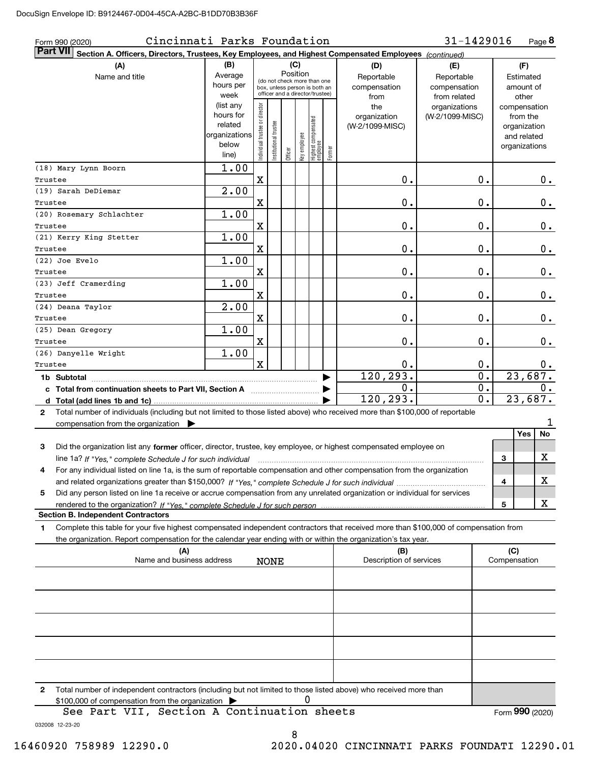| Cincinnati Parks Foundation<br>Form 990 (2020)                                                                                                                                                                                                              |                |                               |                                                              |          |              |                                 |        |                         | 31-1429016       |               | Page 8           |
|-------------------------------------------------------------------------------------------------------------------------------------------------------------------------------------------------------------------------------------------------------------|----------------|-------------------------------|--------------------------------------------------------------|----------|--------------|---------------------------------|--------|-------------------------|------------------|---------------|------------------|
| <b>Part VII</b><br>Section A. Officers, Directors, Trustees, Key Employees, and Highest Compensated Employees (continued)                                                                                                                                   |                |                               |                                                              |          |              |                                 |        |                         |                  |               |                  |
| (A)                                                                                                                                                                                                                                                         | (B)            |                               |                                                              | (C)      |              |                                 |        | (D)                     | (E)              | (F)           |                  |
| Name and title                                                                                                                                                                                                                                              | Average        |                               |                                                              | Position |              |                                 |        | Reportable              | Reportable       | Estimated     |                  |
|                                                                                                                                                                                                                                                             | hours per      |                               | (do not check more than one<br>box, unless person is both an |          |              |                                 |        | compensation            | compensation     |               | amount of        |
|                                                                                                                                                                                                                                                             | week           |                               | officer and a director/trustee)                              |          |              |                                 |        | from                    | from related     |               | other            |
|                                                                                                                                                                                                                                                             | (list any      |                               |                                                              |          |              |                                 |        | the                     | organizations    | compensation  |                  |
|                                                                                                                                                                                                                                                             | hours for      |                               |                                                              |          |              |                                 |        | organization            | (W-2/1099-MISC)  | from the      |                  |
|                                                                                                                                                                                                                                                             | related        |                               |                                                              |          |              |                                 |        | (W-2/1099-MISC)         |                  |               | organization     |
|                                                                                                                                                                                                                                                             | organizations  |                               |                                                              |          |              |                                 |        |                         |                  |               | and related      |
|                                                                                                                                                                                                                                                             | below<br>line) | ndividual trustee or director | nstitutional trustee                                         | Officer  | Key employee | Highest compensated<br>employee | Former |                         |                  | organizations |                  |
| (18) Mary Lynn Boorn                                                                                                                                                                                                                                        | 1.00           |                               |                                                              |          |              |                                 |        |                         |                  |               |                  |
| Trustee                                                                                                                                                                                                                                                     |                | X                             |                                                              |          |              |                                 |        | 0.                      | 0.               |               | $0$ .            |
| (19) Sarah DeDiemar                                                                                                                                                                                                                                         | 2.00           |                               |                                                              |          |              |                                 |        |                         |                  |               |                  |
| Trustee                                                                                                                                                                                                                                                     |                | X                             |                                                              |          |              |                                 |        | 0.                      | 0.               |               | $0$ .            |
| (20) Rosemary Schlachter                                                                                                                                                                                                                                    | 1.00           |                               |                                                              |          |              |                                 |        |                         |                  |               |                  |
| Trustee                                                                                                                                                                                                                                                     |                | X                             |                                                              |          |              |                                 |        | 0.                      | 0.               |               | 0.               |
| (21) Kerry King Stetter                                                                                                                                                                                                                                     | 1.00           |                               |                                                              |          |              |                                 |        |                         |                  |               |                  |
| Trustee                                                                                                                                                                                                                                                     |                | X                             |                                                              |          |              |                                 |        | 0.                      | 0.               |               | 0.               |
| (22) Joe Evelo                                                                                                                                                                                                                                              | 1.00           |                               |                                                              |          |              |                                 |        |                         |                  |               |                  |
| Trustee                                                                                                                                                                                                                                                     |                | X                             |                                                              |          |              |                                 |        | 0.                      | 0.               |               | $\mathbf 0$ .    |
| (23) Jeff Cramerding                                                                                                                                                                                                                                        | 1.00           |                               |                                                              |          |              |                                 |        |                         |                  |               |                  |
| Trustee                                                                                                                                                                                                                                                     |                | X                             |                                                              |          |              |                                 |        | 0.                      | 0.               |               | 0.               |
| (24) Deana Taylor                                                                                                                                                                                                                                           | 2.00           |                               |                                                              |          |              |                                 |        |                         |                  |               |                  |
| Trustee                                                                                                                                                                                                                                                     |                | X                             |                                                              |          |              |                                 |        | 0.                      | 0.               |               | $0$ .            |
| (25) Dean Gregory                                                                                                                                                                                                                                           | 1.00           |                               |                                                              |          |              |                                 |        |                         |                  |               |                  |
| Trustee                                                                                                                                                                                                                                                     |                | X                             |                                                              |          |              |                                 |        | 0.                      | 0.               |               | $0$ .            |
| (26) Danyelle Wright                                                                                                                                                                                                                                        | 1.00           |                               |                                                              |          |              |                                 |        |                         |                  |               |                  |
| Trustee                                                                                                                                                                                                                                                     |                | $\mathbf{x}$                  |                                                              |          |              |                                 |        | 0.                      | 0.               |               | 0.               |
| 1b Subtotal                                                                                                                                                                                                                                                 |                |                               |                                                              |          |              |                                 |        | 120, 293.               | $\overline{0}$ . |               | 23,687.          |
| c Total from continuation sheets to Part VII, Section A [11] [12] Total from continuation sheets to Part VII, Section A                                                                                                                                     |                |                               |                                                              |          |              |                                 |        | 0.                      | 0.               |               | 0.               |
|                                                                                                                                                                                                                                                             |                |                               |                                                              |          |              |                                 |        | 120, 293.               | 0.               |               | 23,687.          |
| Total number of individuals (including but not limited to those listed above) who received more than \$100,000 of reportable<br>2                                                                                                                           |                |                               |                                                              |          |              |                                 |        |                         |                  |               |                  |
| compensation from the organization                                                                                                                                                                                                                          |                |                               |                                                              |          |              |                                 |        |                         |                  |               | 1                |
|                                                                                                                                                                                                                                                             |                |                               |                                                              |          |              |                                 |        |                         |                  |               | <b>Yes</b><br>No |
| Did the organization list any former officer, director, trustee, key employee, or highest compensated employee on<br>3                                                                                                                                      |                |                               |                                                              |          |              |                                 |        |                         |                  |               |                  |
|                                                                                                                                                                                                                                                             |                |                               |                                                              |          |              |                                 |        |                         |                  | 3             | х                |
| line 1a? If "Yes," complete Schedule J for such individual material content in the first of the New York of the<br>For any individual listed on line 1a, is the sum of reportable compensation and other compensation from the organization                 |                |                               |                                                              |          |              |                                 |        |                         |                  |               |                  |
|                                                                                                                                                                                                                                                             |                |                               |                                                              |          |              |                                 |        |                         |                  | 4             | х                |
|                                                                                                                                                                                                                                                             |                |                               |                                                              |          |              |                                 |        |                         |                  |               |                  |
| Did any person listed on line 1a receive or accrue compensation from any unrelated organization or individual for services<br>5                                                                                                                             |                |                               |                                                              |          |              |                                 |        |                         |                  |               | x                |
| <b>Section B. Independent Contractors</b>                                                                                                                                                                                                                   |                |                               |                                                              |          |              |                                 |        |                         |                  | 5             |                  |
|                                                                                                                                                                                                                                                             |                |                               |                                                              |          |              |                                 |        |                         |                  |               |                  |
| Complete this table for your five highest compensated independent contractors that received more than \$100,000 of compensation from<br>1<br>the organization. Report compensation for the calendar year ending with or within the organization's tax year. |                |                               |                                                              |          |              |                                 |        |                         |                  |               |                  |
| (A)                                                                                                                                                                                                                                                         |                |                               |                                                              |          |              |                                 |        | (B)                     |                  | (C)           |                  |
| Name and business address                                                                                                                                                                                                                                   |                |                               | <b>NONE</b>                                                  |          |              |                                 |        | Description of services |                  | Compensation  |                  |
|                                                                                                                                                                                                                                                             |                |                               |                                                              |          |              |                                 |        |                         |                  |               |                  |
|                                                                                                                                                                                                                                                             |                |                               |                                                              |          |              |                                 |        |                         |                  |               |                  |
|                                                                                                                                                                                                                                                             |                |                               |                                                              |          |              |                                 |        |                         |                  |               |                  |
|                                                                                                                                                                                                                                                             |                |                               |                                                              |          |              |                                 |        |                         |                  |               |                  |
|                                                                                                                                                                                                                                                             |                |                               |                                                              |          |              |                                 |        |                         |                  |               |                  |
|                                                                                                                                                                                                                                                             |                |                               |                                                              |          |              |                                 |        |                         |                  |               |                  |
|                                                                                                                                                                                                                                                             |                |                               |                                                              |          |              |                                 |        |                         |                  |               |                  |
|                                                                                                                                                                                                                                                             |                |                               |                                                              |          |              |                                 |        |                         |                  |               |                  |
|                                                                                                                                                                                                                                                             |                |                               |                                                              |          |              |                                 |        |                         |                  |               |                  |
| Total number of independent contractors (including but not limited to those listed above) who received more than<br>2                                                                                                                                       |                |                               |                                                              |          |              |                                 |        |                         |                  |               |                  |
| \$100,000 of compensation from the organization                                                                                                                                                                                                             |                |                               |                                                              |          | 0            |                                 |        |                         |                  |               |                  |
| See Part VII, Section A Continuation sheets                                                                                                                                                                                                                 |                |                               |                                                              |          |              |                                 |        |                         |                  |               | Form 990 (2020)  |

032008 12-23-20

8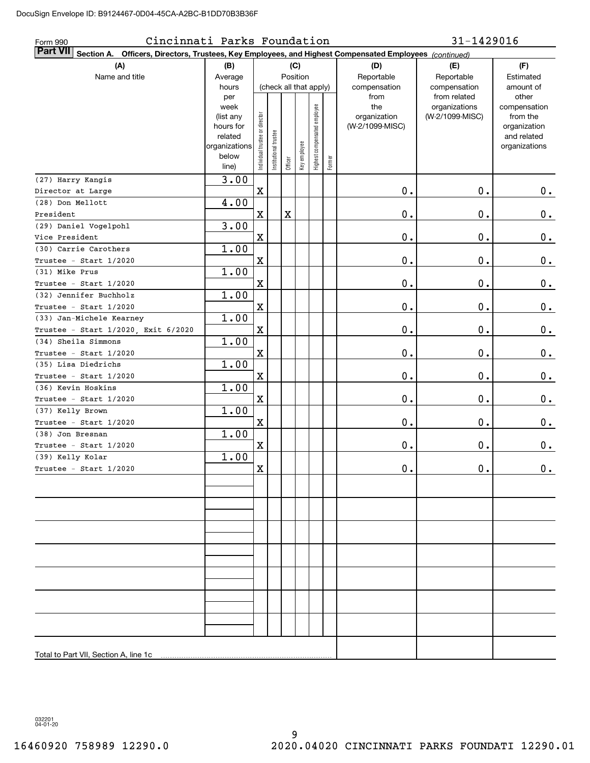| Cincinnati Parks Foundation<br>Form 990                                                                            |                   |                                |                      |         |                        |                              |        |                     | 31-1429016                       |                          |
|--------------------------------------------------------------------------------------------------------------------|-------------------|--------------------------------|----------------------|---------|------------------------|------------------------------|--------|---------------------|----------------------------------|--------------------------|
| Part VII<br>Section A. Officers, Directors, Trustees, Key Employees, and Highest Compensated Employees (continued) |                   |                                |                      |         |                        |                              |        |                     |                                  |                          |
| (A)                                                                                                                | (B)               |                                |                      |         | (C)                    |                              |        | (D)                 | (E)                              | (F)                      |
| Name and title                                                                                                     | Average           |                                |                      |         | Position               |                              |        | Reportable          | Reportable                       | Estimated                |
|                                                                                                                    | hours             |                                |                      |         | (check all that apply) |                              |        | compensation        | compensation                     | amount of                |
|                                                                                                                    | per               |                                |                      |         |                        |                              |        | from                | from related                     | other                    |
|                                                                                                                    | week<br>(list any |                                |                      |         |                        |                              |        | the<br>organization | organizations<br>(W-2/1099-MISC) | compensation<br>from the |
|                                                                                                                    | hours for         |                                |                      |         |                        |                              |        | (W-2/1099-MISC)     |                                  | organization             |
|                                                                                                                    | related           |                                |                      |         |                        |                              |        |                     |                                  | and related              |
|                                                                                                                    | organizations     |                                |                      |         |                        |                              |        |                     |                                  | organizations            |
|                                                                                                                    | below             | Individual trustee or director | nstitutional trustee |         | Key employee           | Highest compensated employee | Former |                     |                                  |                          |
|                                                                                                                    | line)             |                                |                      | Officer |                        |                              |        |                     |                                  |                          |
| (27) Harry Kangis                                                                                                  | 3.00              |                                |                      |         |                        |                              |        |                     |                                  |                          |
| Director at Large                                                                                                  |                   | X                              |                      |         |                        |                              |        | 0.                  | $0$ .                            | 0.                       |
| (28) Don Mellott                                                                                                   | 4.00              |                                |                      |         |                        |                              |        |                     |                                  |                          |
| President                                                                                                          |                   | $\mathbf X$                    |                      | X       |                        |                              |        | 0.                  | 0.                               | $0$ .                    |
| (29) Daniel Vogelpohl                                                                                              | 3.00              |                                |                      |         |                        |                              |        |                     |                                  |                          |
| Vice President                                                                                                     |                   | $\mathbf X$                    |                      |         |                        |                              |        | 0.                  | 0.                               | $0$ .                    |
| (30) Carrie Carothers                                                                                              | 1.00              |                                |                      |         |                        |                              |        |                     |                                  |                          |
| Trustee - Start 1/2020                                                                                             |                   | $\mathbf X$                    |                      |         |                        |                              |        | 0.                  | 0.                               | $\mathbf 0$ .            |
| (31) Mike Prus                                                                                                     | 1.00              |                                |                      |         |                        |                              |        |                     |                                  |                          |
| Trustee - Start 1/2020                                                                                             |                   | $\mathbf X$                    |                      |         |                        |                              |        | 0.                  | 0.                               | $\mathbf 0$ .            |
| (32) Jennifer Buchholz                                                                                             | 1.00              |                                |                      |         |                        |                              |        |                     |                                  |                          |
| Trustee - Start 1/2020                                                                                             |                   | $\mathbf X$                    |                      |         |                        |                              |        | 0.                  | 0.                               | $\mathbf 0$ .            |
| (33) Jan-Michele Kearney                                                                                           | 1.00              |                                |                      |         |                        |                              |        |                     |                                  |                          |
| Trustee - Start 1/2020, Exit 6/2020                                                                                |                   | $\mathbf X$                    |                      |         |                        |                              |        | 0.                  | 0.                               | $\mathbf 0$ .            |
| (34) Sheila Simmons                                                                                                | 1.00              |                                |                      |         |                        |                              |        |                     |                                  |                          |
| Trustee - Start 1/2020                                                                                             |                   | $\mathbf X$                    |                      |         |                        |                              |        | 0.                  | 0.                               | $\mathbf 0$ .            |
| (35) Lisa Diedrichs                                                                                                | 1.00              |                                |                      |         |                        |                              |        |                     |                                  |                          |
| Trustee - Start 1/2020                                                                                             |                   | $\mathbf X$                    |                      |         |                        |                              |        | 0.                  | 0.                               | $\mathbf 0$ .            |
| (36) Kevin Hoskins                                                                                                 | 1.00              |                                |                      |         |                        |                              |        |                     |                                  |                          |
| Trustee - Start 1/2020                                                                                             |                   | $\mathbf X$                    |                      |         |                        |                              |        | 0.                  | 0.                               | 0.                       |
| (37) Kelly Brown                                                                                                   | 1.00              |                                |                      |         |                        |                              |        |                     |                                  |                          |
| Trustee - Start 1/2020                                                                                             |                   | $\mathbf X$                    |                      |         |                        |                              |        | 0.                  | 0.                               | 0.                       |
| (38) Jon Bresnan                                                                                                   | 1.00              |                                |                      |         |                        |                              |        |                     |                                  |                          |
| Trustee - Start 1/2020                                                                                             |                   | X                              |                      |         |                        |                              |        | 0.                  | 0.                               | 0.                       |
| (39) Kelly Kolar                                                                                                   | 1.00              |                                |                      |         |                        |                              |        |                     |                                  |                          |
| Trustee - Start 1/2020                                                                                             |                   | x                              |                      |         |                        |                              |        | $0$ .               | 0.                               | 0.                       |
|                                                                                                                    |                   |                                |                      |         |                        |                              |        |                     |                                  |                          |
|                                                                                                                    |                   |                                |                      |         |                        |                              |        |                     |                                  |                          |
|                                                                                                                    |                   |                                |                      |         |                        |                              |        |                     |                                  |                          |
|                                                                                                                    |                   |                                |                      |         |                        |                              |        |                     |                                  |                          |
|                                                                                                                    |                   |                                |                      |         |                        |                              |        |                     |                                  |                          |
|                                                                                                                    |                   |                                |                      |         |                        |                              |        |                     |                                  |                          |
|                                                                                                                    |                   |                                |                      |         |                        |                              |        |                     |                                  |                          |
|                                                                                                                    |                   |                                |                      |         |                        |                              |        |                     |                                  |                          |
|                                                                                                                    |                   |                                |                      |         |                        |                              |        |                     |                                  |                          |
|                                                                                                                    |                   |                                |                      |         |                        |                              |        |                     |                                  |                          |
|                                                                                                                    |                   |                                |                      |         |                        |                              |        |                     |                                  |                          |
|                                                                                                                    |                   |                                |                      |         |                        |                              |        |                     |                                  |                          |
|                                                                                                                    |                   |                                |                      |         |                        |                              |        |                     |                                  |                          |
|                                                                                                                    |                   |                                |                      |         |                        |                              |        |                     |                                  |                          |
| Total to Part VII, Section A, line 1c                                                                              |                   |                                |                      |         |                        |                              |        |                     |                                  |                          |
|                                                                                                                    |                   |                                |                      |         |                        |                              |        |                     |                                  |                          |

032201 04-01-20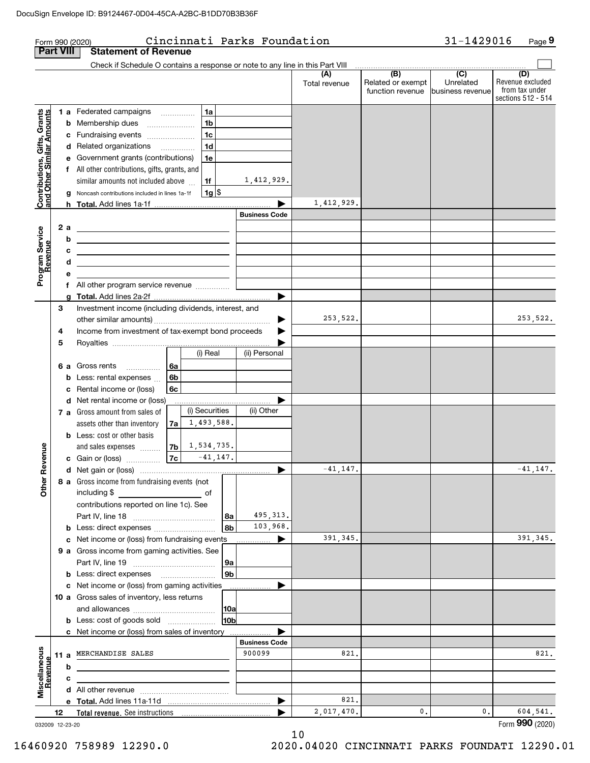|                                                           |                  |        | Form 990 (2020)                                                                                                                                                                                                                                |                |                 | Cincinnati Parks Foundation |               |                   | 31-1429016       | Page 9                               |  |
|-----------------------------------------------------------|------------------|--------|------------------------------------------------------------------------------------------------------------------------------------------------------------------------------------------------------------------------------------------------|----------------|-----------------|-----------------------------|---------------|-------------------|------------------|--------------------------------------|--|
|                                                           | <b>Part VIII</b> |        | <b>Statement of Revenue</b>                                                                                                                                                                                                                    |                |                 |                             |               |                   |                  |                                      |  |
|                                                           |                  |        | Check if Schedule O contains a response or note to any line in this Part VIII                                                                                                                                                                  |                |                 |                             | (A)           | $\overline{(B)}$  | $\overline{(C)}$ | (D)                                  |  |
|                                                           |                  |        |                                                                                                                                                                                                                                                |                |                 |                             | Total revenue | Related or exempt | Unrelated        | Revenue excluded                     |  |
|                                                           |                  |        |                                                                                                                                                                                                                                                |                |                 |                             |               | function revenue  | business revenue | from tax under<br>sections 512 - 514 |  |
|                                                           |                  |        | 1 a Federated campaigns                                                                                                                                                                                                                        | 1a             |                 |                             |               |                   |                  |                                      |  |
| Contributions, Gifts, Grants<br>and Other Similar Amounts |                  |        | <b>b</b> Membership dues                                                                                                                                                                                                                       | 1 <sub>b</sub> |                 |                             |               |                   |                  |                                      |  |
|                                                           |                  |        | c Fundraising events                                                                                                                                                                                                                           | 1 <sub>c</sub> |                 |                             |               |                   |                  |                                      |  |
|                                                           |                  |        | d Related organizations                                                                                                                                                                                                                        | 1 <sub>d</sub> |                 |                             |               |                   |                  |                                      |  |
|                                                           |                  |        | e Government grants (contributions)                                                                                                                                                                                                            | 1e             |                 |                             |               |                   |                  |                                      |  |
|                                                           |                  |        | f All other contributions, gifts, grants, and                                                                                                                                                                                                  |                |                 |                             |               |                   |                  |                                      |  |
|                                                           |                  |        | similar amounts not included above                                                                                                                                                                                                             | 1f             |                 | 1,412,929.                  |               |                   |                  |                                      |  |
|                                                           |                  |        | g Noncash contributions included in lines 1a-1f                                                                                                                                                                                                | 1g             |                 |                             |               |                   |                  |                                      |  |
|                                                           |                  |        |                                                                                                                                                                                                                                                |                |                 |                             | 1,412,929.    |                   |                  |                                      |  |
|                                                           |                  |        |                                                                                                                                                                                                                                                |                |                 | <b>Business Code</b>        |               |                   |                  |                                      |  |
| Program Service                                           |                  | 2 a    | <u> 1989 - Johann Barn, mars ann an t-Amhain ann an t-Amhain an t-Amhain an t-Amhain an t-Amhain ann an t-Amhain </u>                                                                                                                          |                |                 |                             |               |                   |                  |                                      |  |
|                                                           |                  | b<br>c | the contract of the contract of the contract of the contract of the contract of                                                                                                                                                                |                |                 |                             |               |                   |                  |                                      |  |
| Revenue                                                   |                  | d      | <u> 1989 - Johann Barn, mars ann an t-Amhain ann an t-Amhain an t-Amhain an t-Amhain an t-Amhain an t-Amhain an t-</u><br><u> 1989 - Johann Barbara, martin amerikan basar dan berasal dalam basa dalam basar dalam basar dalam basar dala</u> |                |                 |                             |               |                   |                  |                                      |  |
|                                                           |                  | е      |                                                                                                                                                                                                                                                |                |                 |                             |               |                   |                  |                                      |  |
|                                                           |                  | f      | All other program service revenue                                                                                                                                                                                                              |                |                 |                             |               |                   |                  |                                      |  |
|                                                           |                  |        |                                                                                                                                                                                                                                                |                |                 |                             |               |                   |                  |                                      |  |
|                                                           | 3                |        | Investment income (including dividends, interest, and                                                                                                                                                                                          |                |                 |                             |               |                   |                  |                                      |  |
|                                                           |                  |        |                                                                                                                                                                                                                                                |                |                 | ▶                           | 253,522.      |                   |                  | 253,522.                             |  |
|                                                           | 4                |        | Income from investment of tax-exempt bond proceeds                                                                                                                                                                                             |                |                 |                             |               |                   |                  |                                      |  |
|                                                           | 5                |        |                                                                                                                                                                                                                                                |                |                 |                             |               |                   |                  |                                      |  |
|                                                           |                  |        |                                                                                                                                                                                                                                                | (i) Real       |                 | (ii) Personal               |               |                   |                  |                                      |  |
|                                                           |                  |        | 6 a Gross rents<br>6a                                                                                                                                                                                                                          |                |                 |                             |               |                   |                  |                                      |  |
|                                                           |                  |        | <b>b</b> Less: rental expenses<br>6b                                                                                                                                                                                                           |                |                 |                             |               |                   |                  |                                      |  |
|                                                           |                  | c      | Rental income or (loss)<br>6с<br>d Net rental income or (loss)                                                                                                                                                                                 |                |                 |                             |               |                   |                  |                                      |  |
|                                                           |                  |        | <b>7 a</b> Gross amount from sales of                                                                                                                                                                                                          | (i) Securities |                 | (ii) Other                  |               |                   |                  |                                      |  |
|                                                           |                  |        | assets other than inventory<br>7a                                                                                                                                                                                                              | 1,493,588.     |                 |                             |               |                   |                  |                                      |  |
|                                                           |                  |        | <b>b</b> Less: cost or other basis                                                                                                                                                                                                             |                |                 |                             |               |                   |                  |                                      |  |
|                                                           |                  |        | and sales expenses<br>7b                                                                                                                                                                                                                       | 1,534,735.     |                 |                             |               |                   |                  |                                      |  |
| venue                                                     |                  |        | 7c<br><b>c</b> Gain or (loss) $\ldots$                                                                                                                                                                                                         | $-41, 147.$    |                 |                             |               |                   |                  |                                      |  |
|                                                           |                  |        |                                                                                                                                                                                                                                                |                |                 |                             | $-41, 147.$   |                   |                  | $-41, 147.$                          |  |
| Other Re                                                  |                  |        | 8 a Gross income from fundraising events (not                                                                                                                                                                                                  |                |                 |                             |               |                   |                  |                                      |  |
|                                                           |                  |        | including \$ _________________________________ of                                                                                                                                                                                              |                |                 |                             |               |                   |                  |                                      |  |
|                                                           |                  |        | contributions reported on line 1c). See                                                                                                                                                                                                        |                |                 |                             |               |                   |                  |                                      |  |
|                                                           |                  |        |                                                                                                                                                                                                                                                |                | 8a              | 495, 313.                   |               |                   |                  |                                      |  |
|                                                           |                  |        | c Net income or (loss) from fundraising events                                                                                                                                                                                                 |                | 8b              | 103,968.                    | 391,345.      |                   |                  | 391,345.                             |  |
|                                                           |                  |        | 9 a Gross income from gaming activities. See                                                                                                                                                                                                   |                |                 | .                           |               |                   |                  |                                      |  |
|                                                           |                  |        |                                                                                                                                                                                                                                                |                | 9a              |                             |               |                   |                  |                                      |  |
|                                                           |                  |        | <b>b</b> Less: direct expenses <b>manually</b>                                                                                                                                                                                                 |                | 9b              |                             |               |                   |                  |                                      |  |
|                                                           |                  |        | c Net income or (loss) from gaming activities                                                                                                                                                                                                  |                |                 |                             |               |                   |                  |                                      |  |
|                                                           |                  |        | 10 a Gross sales of inventory, less returns                                                                                                                                                                                                    |                |                 |                             |               |                   |                  |                                      |  |
|                                                           |                  |        |                                                                                                                                                                                                                                                |                | 10a             |                             |               |                   |                  |                                      |  |
|                                                           |                  |        | <b>b</b> Less: cost of goods sold                                                                                                                                                                                                              |                | 10 <sub>b</sub> |                             |               |                   |                  |                                      |  |
|                                                           |                  |        | c Net income or (loss) from sales of inventory                                                                                                                                                                                                 |                |                 |                             |               |                   |                  |                                      |  |
|                                                           |                  |        |                                                                                                                                                                                                                                                |                |                 | <b>Business Code</b>        |               |                   |                  |                                      |  |
|                                                           |                  |        | 11 a MERCHANDISE SALES                                                                                                                                                                                                                         |                |                 | 900099                      | 821.          |                   |                  | 821.                                 |  |
|                                                           |                  | b      |                                                                                                                                                                                                                                                |                |                 |                             |               |                   |                  |                                      |  |
| Miscellaneous<br>Revenue                                  |                  | c      |                                                                                                                                                                                                                                                |                |                 |                             |               |                   |                  |                                      |  |
|                                                           |                  |        |                                                                                                                                                                                                                                                |                |                 |                             | 821.          |                   |                  |                                      |  |
|                                                           | 12               |        |                                                                                                                                                                                                                                                |                |                 |                             | 2,017,470.    | $\mathbf{0}$ .    | 0.               | 604,541.                             |  |
| 032009 12-23-20                                           |                  |        |                                                                                                                                                                                                                                                |                |                 |                             |               |                   |                  | Form 990 (2020)                      |  |

10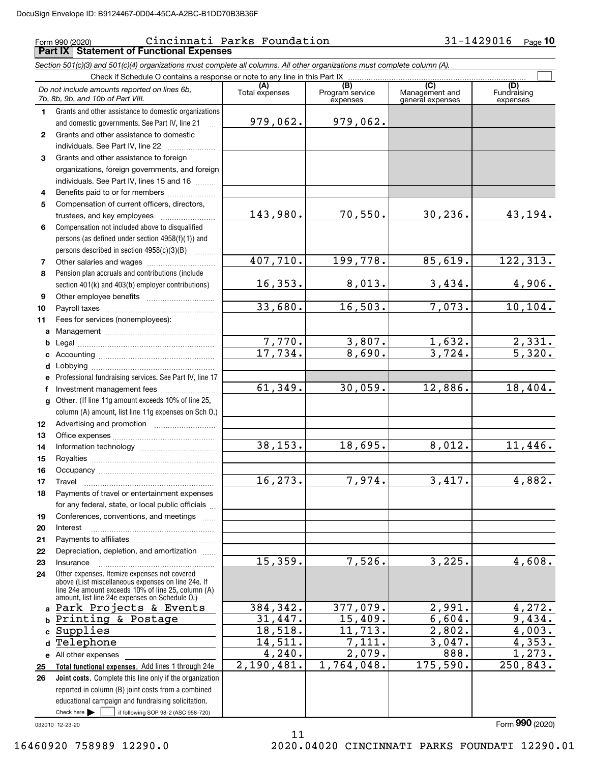## Form 990 (2020) Cincinnati Parks Foundation 31-1429016 <sub>Page</sub> **Part IX Statement of Functional Expenses**

*Section 501(c)(3) and 501(c)(4) organizations must complete all columns. All other organizations must complete column (A).*

|                  | Check if Schedule O contains a response or note to any line in this Part IX                                                                                                                                |                       |                                    |                                           |                                |
|------------------|------------------------------------------------------------------------------------------------------------------------------------------------------------------------------------------------------------|-----------------------|------------------------------------|-------------------------------------------|--------------------------------|
|                  | Do not include amounts reported on lines 6b,<br>7b, 8b, 9b, and 10b of Part VIII.                                                                                                                          | (A)<br>Total expenses | (B)<br>Program service<br>expenses | (C)<br>Management and<br>general expenses | (D)<br>Fundraising<br>expenses |
| 1.               | Grants and other assistance to domestic organizations                                                                                                                                                      |                       |                                    |                                           |                                |
|                  | and domestic governments. See Part IV, line 21                                                                                                                                                             | 979,062.              | 979,062.                           |                                           |                                |
| $\mathbf{2}$     | Grants and other assistance to domestic                                                                                                                                                                    |                       |                                    |                                           |                                |
|                  | individuals. See Part IV, line 22                                                                                                                                                                          |                       |                                    |                                           |                                |
| 3                | Grants and other assistance to foreign                                                                                                                                                                     |                       |                                    |                                           |                                |
|                  | organizations, foreign governments, and foreign                                                                                                                                                            |                       |                                    |                                           |                                |
|                  | individuals. See Part IV, lines 15 and 16                                                                                                                                                                  |                       |                                    |                                           |                                |
| 4                | Benefits paid to or for members                                                                                                                                                                            |                       |                                    |                                           |                                |
| 5                | Compensation of current officers, directors,                                                                                                                                                               | 143,980.              | 70,550.                            | 30, 236.                                  |                                |
|                  |                                                                                                                                                                                                            |                       |                                    |                                           | 43,194.                        |
| 6                | Compensation not included above to disqualified<br>persons (as defined under section 4958(f)(1)) and                                                                                                       |                       |                                    |                                           |                                |
|                  | persons described in section 4958(c)(3)(B)                                                                                                                                                                 |                       |                                    |                                           |                                |
| 7                |                                                                                                                                                                                                            | 407,710.              | 199,778.                           | 85,619.                                   | 122, 313.                      |
| 8                | Pension plan accruals and contributions (include                                                                                                                                                           |                       |                                    |                                           |                                |
|                  | section 401(k) and 403(b) employer contributions)                                                                                                                                                          | 16, 353.              | 8,013.                             | 3,434.                                    | 4,906.                         |
| 9                |                                                                                                                                                                                                            |                       |                                    |                                           |                                |
| 10               |                                                                                                                                                                                                            | 33,680.               | 16, 503.                           | 7,073.                                    | 10, 104.                       |
| 11               | Fees for services (nonemployees):                                                                                                                                                                          |                       |                                    |                                           |                                |
|                  |                                                                                                                                                                                                            |                       |                                    |                                           |                                |
| b                |                                                                                                                                                                                                            | 7,770.                | 3,807.                             | 1,632.                                    | 2,331.                         |
| c                |                                                                                                                                                                                                            | 17,734.               | 8,690.                             | 3,724.                                    | 5,320.                         |
| d                |                                                                                                                                                                                                            |                       |                                    |                                           |                                |
| е                | Professional fundraising services. See Part IV, line 17                                                                                                                                                    |                       |                                    |                                           |                                |
| f                | Investment management fees                                                                                                                                                                                 | 61,349.               | 30,059.                            | 12,886.                                   | 18,404.                        |
| g                | Other. (If line 11g amount exceeds 10% of line 25,                                                                                                                                                         |                       |                                    |                                           |                                |
| 12 <sup>12</sup> | column (A) amount, list line 11g expenses on Sch O.)                                                                                                                                                       |                       |                                    |                                           |                                |
| 13               |                                                                                                                                                                                                            |                       |                                    |                                           |                                |
| 14               |                                                                                                                                                                                                            | 38, 153.              | 18,695.                            | 8,012.                                    | 11,446.                        |
| 15               |                                                                                                                                                                                                            |                       |                                    |                                           |                                |
| 16               |                                                                                                                                                                                                            |                       |                                    |                                           |                                |
| 17               | Travel                                                                                                                                                                                                     | 16, 273.              | 7,974.                             | 3,417.                                    | 4,882.                         |
| 18               | Payments of travel or entertainment expenses                                                                                                                                                               |                       |                                    |                                           |                                |
|                  | for any federal, state, or local public officials                                                                                                                                                          |                       |                                    |                                           |                                |
| 19               | Conferences, conventions, and meetings                                                                                                                                                                     |                       |                                    |                                           |                                |
| 20               | Interest                                                                                                                                                                                                   |                       |                                    |                                           |                                |
| 21               |                                                                                                                                                                                                            |                       |                                    |                                           |                                |
| 22               | Depreciation, depletion, and amortization                                                                                                                                                                  | 15,359.               | 7,526.                             | 3,225.                                    | 4,608.                         |
| 23               | Insurance                                                                                                                                                                                                  |                       |                                    |                                           |                                |
| 24               | Other expenses. Itemize expenses not covered<br>above (List miscellaneous expenses on line 24e. If<br>line 24e amount exceeds 10% of line 25, column (A)<br>amount, list line 24e expenses on Schedule O.) |                       |                                    |                                           |                                |
| a                | Park Projects & Events                                                                                                                                                                                     | 384,342.              | 377,079.                           | 2,991.                                    | 4,272.                         |
| b                | Printing & Postage                                                                                                                                                                                         | 31,447.               | 15,409.                            | 6,604.                                    | 9,434.                         |
| C                | Supplies                                                                                                                                                                                                   | 18,518.               | 11,713.                            | 2,802.                                    | 4,003.                         |
| d                | Telephone                                                                                                                                                                                                  | 14,511.               | 7,111.                             | 3,047.                                    | 4,353.                         |
| е                | All other expenses                                                                                                                                                                                         | 4,240.                | 2,079.                             | 888.                                      | 1,273.                         |
| 25               | Total functional expenses. Add lines 1 through 24e                                                                                                                                                         | 2,190,481.            | 1,764,048.                         | 175,590.                                  | 250,843.                       |
| 26               | Joint costs. Complete this line only if the organization                                                                                                                                                   |                       |                                    |                                           |                                |
|                  | reported in column (B) joint costs from a combined                                                                                                                                                         |                       |                                    |                                           |                                |
|                  | educational campaign and fundraising solicitation.                                                                                                                                                         |                       |                                    |                                           |                                |
|                  | Check here<br>if following SOP 98-2 (ASC 958-720)                                                                                                                                                          |                       |                                    |                                           | Form 990 (2020)                |
|                  | 032010 12-23-20                                                                                                                                                                                            |                       |                                    |                                           |                                |

11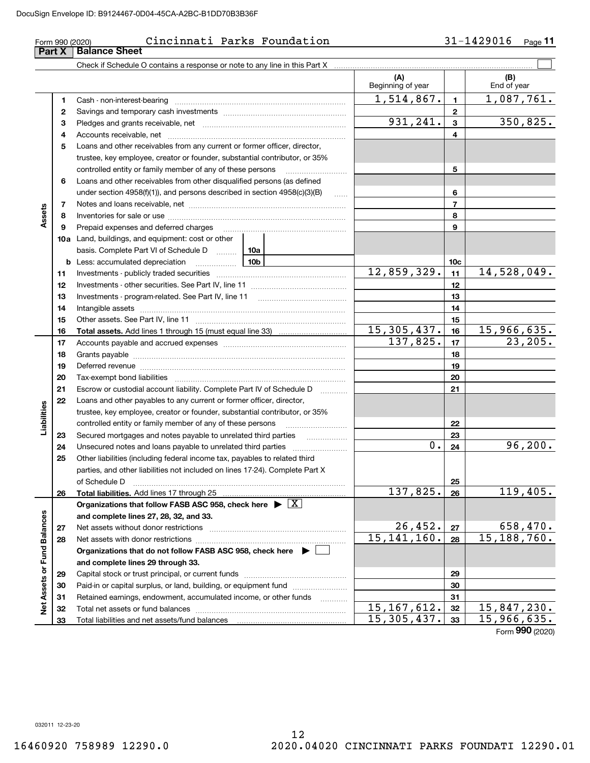#### **(A) (B) 1**Cash - non-interest-bearing ~~~~~~~~~~~~~~~~~~~~~~~~~ **23** Pledges and grants receivable, net  $\ldots$  **multimes contained and grants receivable**, net **multimes contained and grants receivable**, net **multimes contained and grants receivable 4**Accounts receivable, net ~~~~~~~~~~~~~~~~~~~~~~~~~~ **5**Loans and other receivables from any current or former officer, director, **6**Loans and other receivables from other disqualified persons (as defined **78910 a** Land, buildings, and equipment: cost or other **111213141512345678910c1112131415b10a10bAssets** Form 990 (2020) Cincinnati Parks Foundation 31-1429016 <sub>Page</sub> Check if Schedule O contains a response or note to any line in this Part X Beginning of year | | End of year Savings and temporary cash investments ~~~~~~~~~~~~~~~~~~ trustee, key employee, creator or founder, substantial contributor, or 35% controlled entity or family member of any of these persons ~~~~~~~~~ under section 4958(f)(1)), and persons described in section 4958(c)(3)(B) Notes and loans receivable, net ~~~~~~~~~~~~~~~~~~~~~~~ Inventories for sale or use ~~~~~~~~~~~~~~~~~~~~~~~~~~ Prepaid expenses and deferred charges ~~~~~~~~~~~~~~~~~~ basis. Complete Part VI of Schedule D Less: accumulated depreciation Investments - publicly traded securities Investments - other securities. See Part IV, line 11 Investments - program-related. See Part IV, line 11 Intangible assets Other assets. See Part IV, line 11 ~~~~~~~~~~~~~~~~~~~~~~ **11 Part X** | Balance Sheet  $\mathcal{L}^{\text{max}}$  $1,514,867.$  1,087,761.  $931, 241. | 3 | 350, 825.$ 12,859,329. 14,528,049.

|                      |    | basis. Complete Part VI of Schedule D                                                 | 10a             |               |                 |                 |
|----------------------|----|---------------------------------------------------------------------------------------|-----------------|---------------|-----------------|-----------------|
|                      |    | <b>b</b> Less: accumulated depreciation                                               | 10 <sub>b</sub> |               | 10 <sub>c</sub> |                 |
|                      | 11 |                                                                                       |                 | 12,859,329.   | 11              | 14,528,049.     |
|                      | 12 |                                                                                       |                 |               | 12              |                 |
|                      | 13 |                                                                                       |                 |               | 13              |                 |
|                      | 14 |                                                                                       |                 |               | 14              |                 |
|                      | 15 |                                                                                       |                 |               | 15              |                 |
|                      | 16 |                                                                                       |                 | 15, 305, 437. | 16              | 15,966,635.     |
|                      | 17 |                                                                                       |                 | 137,825.      | 17              | 23, 205.        |
|                      | 18 |                                                                                       |                 |               | 18              |                 |
|                      | 19 |                                                                                       |                 |               | 19              |                 |
|                      | 20 |                                                                                       |                 |               | 20              |                 |
|                      | 21 | Escrow or custodial account liability. Complete Part IV of Schedule D                 |                 |               | 21              |                 |
|                      | 22 | Loans and other payables to any current or former officer, director,                  |                 |               |                 |                 |
|                      |    | trustee, key employee, creator or founder, substantial contributor, or 35%            |                 |               |                 |                 |
| Liabilities          |    | controlled entity or family member of any of these persons                            |                 |               | 22              |                 |
|                      | 23 | Secured mortgages and notes payable to unrelated third parties                        | .               |               | 23              |                 |
|                      | 24 |                                                                                       |                 | 0.            | 24              | 96, 200.        |
|                      | 25 | Other liabilities (including federal income tax, payables to related third            |                 |               |                 |                 |
|                      |    | parties, and other liabilities not included on lines 17-24). Complete Part X          |                 |               |                 |                 |
|                      |    | of Schedule D                                                                         |                 |               | 25              |                 |
|                      | 26 |                                                                                       |                 | 137,825.      | 26              | 119,405.        |
|                      |    | Organizations that follow FASB ASC 958, check here $\triangleright \lfloor X \rfloor$ |                 |               |                 |                 |
| <b>Fund Balances</b> |    | and complete lines 27, 28, 32, and 33.                                                |                 |               |                 |                 |
|                      | 27 |                                                                                       |                 | 26,452.       | 27              | 658,470.        |
|                      | 28 |                                                                                       |                 | 15, 141, 160. | 28              | 15, 188, 760.   |
|                      |    | Organizations that do not follow FASB ASC 958, check here $\blacktriangleright$       |                 |               |                 |                 |
|                      |    | and complete lines 29 through 33.                                                     |                 |               |                 |                 |
|                      | 29 | Capital stock or trust principal, or current funds                                    |                 |               | 29              |                 |
|                      | 30 | Paid-in or capital surplus, or land, building, or equipment fund                      |                 |               | 30              |                 |
| Net Assets or        | 31 | Retained earnings, endowment, accumulated income, or other funds                      |                 |               | 31              |                 |
|                      | 32 |                                                                                       |                 | 15, 167, 612. | 32              | 15,847,230.     |
|                      | 33 |                                                                                       |                 | 15, 305, 437. | 33              | 15,966,635.     |
|                      |    |                                                                                       |                 |               |                 | Form 990 (2020) |

032011 12-23-20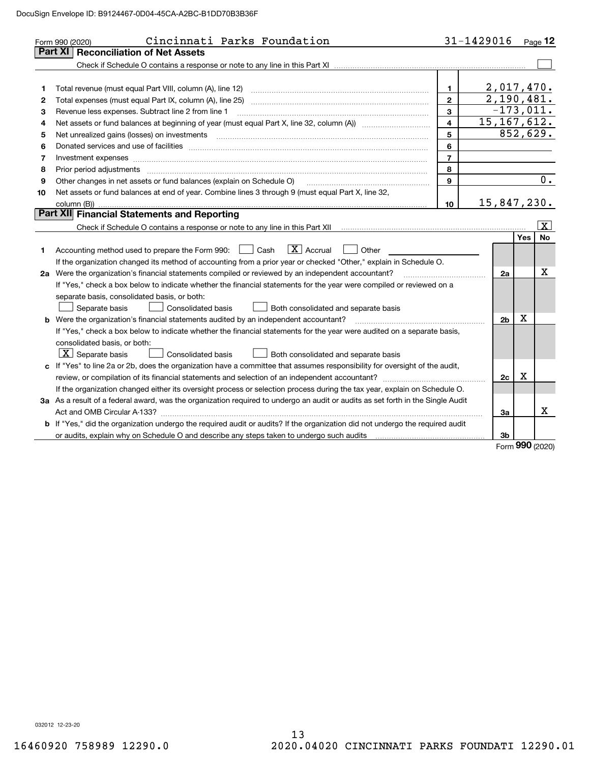|    | Cincinnati Parks Foundation<br>Form 990 (2020)                                                                                                                                                                                |                         | 31-1429016     |            | $P_{\text{aqe}}$ 12 |
|----|-------------------------------------------------------------------------------------------------------------------------------------------------------------------------------------------------------------------------------|-------------------------|----------------|------------|---------------------|
|    | <b>Reconciliation of Net Assets</b><br>Part XI                                                                                                                                                                                |                         |                |            |                     |
|    |                                                                                                                                                                                                                               |                         |                |            |                     |
|    |                                                                                                                                                                                                                               |                         |                |            |                     |
| 1  | Total revenue (must equal Part VIII, column (A), line 12)                                                                                                                                                                     | $\mathbf{1}$            | 2,017,470.     |            |                     |
| 2  |                                                                                                                                                                                                                               | $\overline{2}$          | 2,190,481.     |            |                     |
| з  | Revenue less expenses. Subtract line 2 from line 1                                                                                                                                                                            | $\mathbf{3}$            | $-173,011.$    |            |                     |
| 4  |                                                                                                                                                                                                                               | $\overline{\mathbf{4}}$ | 15, 167, 612.  |            |                     |
| 5  | Net unrealized gains (losses) on investments [11] matter continuum matter is a set of the set of the set of the                                                                                                               | 5                       |                |            | 852,629.            |
| 6  |                                                                                                                                                                                                                               | 6                       |                |            |                     |
| 7  |                                                                                                                                                                                                                               | $\overline{7}$          |                |            |                     |
| 8  | Prior period adjustments manufactured and content and content and content and content and content and content and content and content and content and content and content and content and content and content and content and | 8                       |                |            |                     |
| 9  | Other changes in net assets or fund balances (explain on Schedule O)                                                                                                                                                          | 9                       |                |            | $\overline{0}$ .    |
| 10 | Net assets or fund balances at end of year. Combine lines 3 through 9 (must equal Part X, line 32,                                                                                                                            |                         |                |            |                     |
|    |                                                                                                                                                                                                                               | 10                      | 15,847,230.    |            |                     |
|    | Part XII Financial Statements and Reporting                                                                                                                                                                                   |                         |                |            |                     |
|    |                                                                                                                                                                                                                               |                         |                |            | $\vert$ X $\vert$   |
|    |                                                                                                                                                                                                                               |                         |                | <b>Yes</b> | No                  |
| 1  | $ X $ Accrual<br>Accounting method used to prepare the Form 990: <u>II</u> Cash<br>Other                                                                                                                                      |                         |                |            |                     |
|    | If the organization changed its method of accounting from a prior year or checked "Other," explain in Schedule O.                                                                                                             |                         |                |            |                     |
|    | 2a Were the organization's financial statements compiled or reviewed by an independent accountant?                                                                                                                            |                         | 2a             |            | х                   |
|    | If "Yes," check a box below to indicate whether the financial statements for the year were compiled or reviewed on a                                                                                                          |                         |                |            |                     |
|    | separate basis, consolidated basis, or both:                                                                                                                                                                                  |                         |                |            |                     |
|    | Separate basis<br><b>Consolidated basis</b><br>Both consolidated and separate basis                                                                                                                                           |                         |                |            |                     |
|    | <b>b</b> Were the organization's financial statements audited by an independent accountant?                                                                                                                                   |                         | 2 <sub>b</sub> | Х          |                     |
|    | If "Yes," check a box below to indicate whether the financial statements for the year were audited on a separate basis,                                                                                                       |                         |                |            |                     |
|    | consolidated basis, or both:                                                                                                                                                                                                  |                         |                |            |                     |
|    | $\boxed{\textbf{X}}$ Separate basis<br>Consolidated basis<br>Both consolidated and separate basis                                                                                                                             |                         |                |            |                     |
|    | c If "Yes" to line 2a or 2b, does the organization have a committee that assumes responsibility for oversight of the audit,                                                                                                   |                         |                |            |                     |
|    |                                                                                                                                                                                                                               |                         | 2c             | Х          |                     |
|    | If the organization changed either its oversight process or selection process during the tax year, explain on Schedule O.                                                                                                     |                         |                |            |                     |
|    | 3a As a result of a federal award, was the organization required to undergo an audit or audits as set forth in the Single Audit                                                                                               |                         |                |            |                     |
|    |                                                                                                                                                                                                                               |                         | 3a             |            | x                   |
|    | b If "Yes," did the organization undergo the required audit or audits? If the organization did not undergo the required audit                                                                                                 |                         |                |            |                     |
|    |                                                                                                                                                                                                                               |                         | 3b             |            |                     |

Form (2020) **990**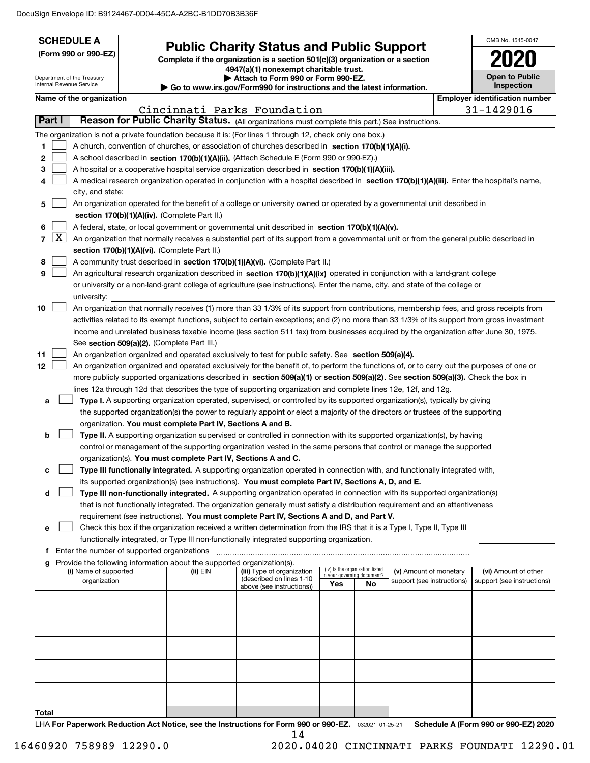| <b>SCHEDULE A</b>                                                                                         |                                               |                                                            |                                                                                                                                                                                                                                                      |                             |                                 |                            | OMB No. 1545-0047                     |
|-----------------------------------------------------------------------------------------------------------|-----------------------------------------------|------------------------------------------------------------|------------------------------------------------------------------------------------------------------------------------------------------------------------------------------------------------------------------------------------------------------|-----------------------------|---------------------------------|----------------------------|---------------------------------------|
| (Form 990 or 990-EZ)                                                                                      |                                               |                                                            | <b>Public Charity Status and Public Support</b><br>Complete if the organization is a section 501(c)(3) organization or a section                                                                                                                     |                             |                                 |                            |                                       |
|                                                                                                           |                                               |                                                            | 4947(a)(1) nonexempt charitable trust.                                                                                                                                                                                                               |                             |                                 |                            |                                       |
| Department of the Treasury<br>Internal Revenue Service                                                    |                                               |                                                            | Attach to Form 990 or Form 990-EZ.<br>Go to www.irs.gov/Form990 for instructions and the latest information.                                                                                                                                         |                             |                                 |                            | <b>Open to Public</b><br>Inspection   |
| Name of the organization                                                                                  |                                               |                                                            |                                                                                                                                                                                                                                                      |                             |                                 |                            | <b>Employer identification number</b> |
|                                                                                                           |                                               |                                                            | Cincinnati Parks Foundation                                                                                                                                                                                                                          |                             |                                 |                            | 31-1429016                            |
| Part I                                                                                                    |                                               |                                                            | Reason for Public Charity Status. (All organizations must complete this part.) See instructions.                                                                                                                                                     |                             |                                 |                            |                                       |
| The organization is not a private foundation because it is: (For lines 1 through 12, check only one box.) |                                               |                                                            |                                                                                                                                                                                                                                                      |                             |                                 |                            |                                       |
| 1                                                                                                         |                                               |                                                            | A church, convention of churches, or association of churches described in section 170(b)(1)(A)(i).                                                                                                                                                   |                             |                                 |                            |                                       |
| 2                                                                                                         |                                               |                                                            | A school described in section 170(b)(1)(A)(ii). (Attach Schedule E (Form 990 or 990-EZ).)                                                                                                                                                            |                             |                                 |                            |                                       |
| 3                                                                                                         |                                               |                                                            | A hospital or a cooperative hospital service organization described in section $170(b)(1)(A)(iii)$ .                                                                                                                                                 |                             |                                 |                            |                                       |
| 4<br>city, and state:                                                                                     |                                               |                                                            | A medical research organization operated in conjunction with a hospital described in section 170(b)(1)(A)(iii). Enter the hospital's name,                                                                                                           |                             |                                 |                            |                                       |
| 5                                                                                                         |                                               |                                                            | An organization operated for the benefit of a college or university owned or operated by a governmental unit described in                                                                                                                            |                             |                                 |                            |                                       |
|                                                                                                           | section 170(b)(1)(A)(iv). (Complete Part II.) |                                                            |                                                                                                                                                                                                                                                      |                             |                                 |                            |                                       |
| 6                                                                                                         |                                               |                                                            | A federal, state, or local government or governmental unit described in section 170(b)(1)(A)(v).                                                                                                                                                     |                             |                                 |                            |                                       |
| $\vert X \vert$<br>$\overline{7}$                                                                         |                                               |                                                            | An organization that normally receives a substantial part of its support from a governmental unit or from the general public described in                                                                                                            |                             |                                 |                            |                                       |
|                                                                                                           | section 170(b)(1)(A)(vi). (Complete Part II.) |                                                            |                                                                                                                                                                                                                                                      |                             |                                 |                            |                                       |
| 8                                                                                                         |                                               |                                                            | A community trust described in section 170(b)(1)(A)(vi). (Complete Part II.)                                                                                                                                                                         |                             |                                 |                            |                                       |
| 9                                                                                                         |                                               |                                                            | An agricultural research organization described in section 170(b)(1)(A)(ix) operated in conjunction with a land-grant college                                                                                                                        |                             |                                 |                            |                                       |
|                                                                                                           |                                               |                                                            | or university or a non-land-grant college of agriculture (see instructions). Enter the name, city, and state of the college or                                                                                                                       |                             |                                 |                            |                                       |
| university:<br>10                                                                                         |                                               |                                                            | An organization that normally receives (1) more than 33 1/3% of its support from contributions, membership fees, and gross receipts from                                                                                                             |                             |                                 |                            |                                       |
|                                                                                                           |                                               |                                                            | activities related to its exempt functions, subject to certain exceptions; and (2) no more than 33 1/3% of its support from gross investment                                                                                                         |                             |                                 |                            |                                       |
|                                                                                                           |                                               |                                                            | income and unrelated business taxable income (less section 511 tax) from businesses acquired by the organization after June 30, 1975.                                                                                                                |                             |                                 |                            |                                       |
|                                                                                                           | See section 509(a)(2). (Complete Part III.)   |                                                            |                                                                                                                                                                                                                                                      |                             |                                 |                            |                                       |
| 11                                                                                                        |                                               |                                                            | An organization organized and operated exclusively to test for public safety. See section 509(a)(4).                                                                                                                                                 |                             |                                 |                            |                                       |
| 12                                                                                                        |                                               |                                                            | An organization organized and operated exclusively for the benefit of, to perform the functions of, or to carry out the purposes of one or                                                                                                           |                             |                                 |                            |                                       |
|                                                                                                           |                                               |                                                            | more publicly supported organizations described in section 509(a)(1) or section 509(a)(2). See section 509(a)(3). Check the box in<br>lines 12a through 12d that describes the type of supporting organization and complete lines 12e, 12f, and 12g. |                             |                                 |                            |                                       |
| а                                                                                                         |                                               |                                                            | Type I. A supporting organization operated, supervised, or controlled by its supported organization(s), typically by giving                                                                                                                          |                             |                                 |                            |                                       |
|                                                                                                           |                                               |                                                            | the supported organization(s) the power to regularly appoint or elect a majority of the directors or trustees of the supporting                                                                                                                      |                             |                                 |                            |                                       |
|                                                                                                           |                                               | organization. You must complete Part IV, Sections A and B. |                                                                                                                                                                                                                                                      |                             |                                 |                            |                                       |
| b                                                                                                         |                                               |                                                            | Type II. A supporting organization supervised or controlled in connection with its supported organization(s), by having                                                                                                                              |                             |                                 |                            |                                       |
|                                                                                                           |                                               |                                                            | control or management of the supporting organization vested in the same persons that control or manage the supported                                                                                                                                 |                             |                                 |                            |                                       |
|                                                                                                           |                                               |                                                            | organization(s). You must complete Part IV, Sections A and C.                                                                                                                                                                                        |                             |                                 |                            |                                       |
| с                                                                                                         |                                               |                                                            | Type III functionally integrated. A supporting organization operated in connection with, and functionally integrated with,<br>its supported organization(s) (see instructions). You must complete Part IV, Sections A, D, and E.                     |                             |                                 |                            |                                       |
| d                                                                                                         |                                               |                                                            | Type III non-functionally integrated. A supporting organization operated in connection with its supported organization(s)                                                                                                                            |                             |                                 |                            |                                       |
|                                                                                                           |                                               |                                                            | that is not functionally integrated. The organization generally must satisfy a distribution requirement and an attentiveness                                                                                                                         |                             |                                 |                            |                                       |
|                                                                                                           |                                               |                                                            | requirement (see instructions). You must complete Part IV, Sections A and D, and Part V.                                                                                                                                                             |                             |                                 |                            |                                       |
| е                                                                                                         |                                               |                                                            | Check this box if the organization received a written determination from the IRS that it is a Type I, Type II, Type III                                                                                                                              |                             |                                 |                            |                                       |
|                                                                                                           |                                               |                                                            | functionally integrated, or Type III non-functionally integrated supporting organization.                                                                                                                                                            |                             |                                 |                            |                                       |
| Enter the number of supported organizations<br>f.                                                         |                                               |                                                            |                                                                                                                                                                                                                                                      |                             |                                 |                            |                                       |
| Provide the following information about the supported organization(s).<br>g<br>(i) Name of supported      |                                               | (ii) EIN                                                   | (iii) Type of organization                                                                                                                                                                                                                           | in your governing document? | (iv) Is the organization listed | (v) Amount of monetary     | (vi) Amount of other                  |
| organization                                                                                              |                                               |                                                            | (described on lines 1-10<br>above (see instructions))                                                                                                                                                                                                | Yes                         | No                              | support (see instructions) | support (see instructions)            |
|                                                                                                           |                                               |                                                            |                                                                                                                                                                                                                                                      |                             |                                 |                            |                                       |
|                                                                                                           |                                               |                                                            |                                                                                                                                                                                                                                                      |                             |                                 |                            |                                       |
|                                                                                                           |                                               |                                                            |                                                                                                                                                                                                                                                      |                             |                                 |                            |                                       |
|                                                                                                           |                                               |                                                            |                                                                                                                                                                                                                                                      |                             |                                 |                            |                                       |
|                                                                                                           |                                               |                                                            |                                                                                                                                                                                                                                                      |                             |                                 |                            |                                       |
|                                                                                                           |                                               |                                                            |                                                                                                                                                                                                                                                      |                             |                                 |                            |                                       |
|                                                                                                           |                                               |                                                            |                                                                                                                                                                                                                                                      |                             |                                 |                            |                                       |
|                                                                                                           |                                               |                                                            |                                                                                                                                                                                                                                                      |                             |                                 |                            |                                       |
|                                                                                                           |                                               |                                                            |                                                                                                                                                                                                                                                      |                             |                                 |                            |                                       |
| Total                                                                                                     |                                               |                                                            |                                                                                                                                                                                                                                                      |                             |                                 |                            |                                       |

LHA For Paperwork Reduction Act Notice, see the Instructions for Form 990 or 990-EZ. <sub>032021</sub> o1-25-21 Schedule A (Form 990 or 990-EZ) 2020 14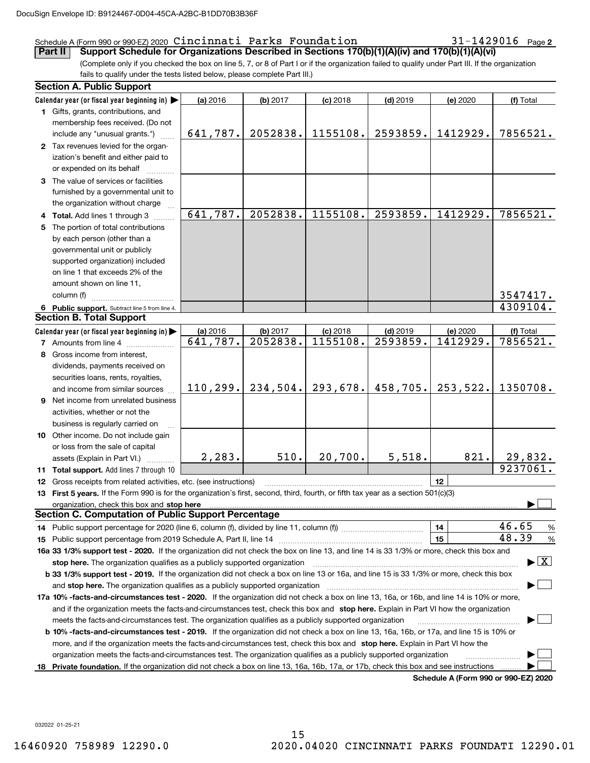## Schedule A (Form 990 or 990-EZ) 2020 Page Cincinnati Parks Foundation 31-1429016

31-1429016 Page 2

(Complete only if you checked the box on line 5, 7, or 8 of Part I or if the organization failed to qualify under Part III. If the organization fails to qualify under the tests listed below, please complete Part III.) **Part II Support Schedule for Organizations Described in Sections 170(b)(1)(A)(iv) and 170(b)(1)(A)(vi)**

| Calendar year (or fiscal year beginning in)<br>(a) 2016<br>(b) 2017<br>$(c)$ 2018<br>$(d)$ 2019<br>(e) 2020<br>(f) Total<br>1 Gifts, grants, contributions, and<br>membership fees received. (Do not<br>2052838.<br>1155108.<br>2593859.<br>1412929.<br>641,787.<br>7856521.<br>include any "unusual grants.")<br>2 Tax revenues levied for the organ-<br>ization's benefit and either paid to<br>or expended on its behalf<br>3 The value of services or facilities<br>furnished by a governmental unit to<br>the organization without charge<br>641,787.<br>2052838.<br>1155108.<br>2593859.<br>1412929.<br>7856521.<br>4 Total. Add lines 1 through 3<br>The portion of total contributions<br>5<br>by each person (other than a<br>governmental unit or publicly<br>supported organization) included<br>on line 1 that exceeds 2% of the<br>amount shown on line 11,<br>3547417.<br>column (f)<br>4309104.<br>6 Public support. Subtract line 5 from line 4.<br><b>Section B. Total Support</b><br>Calendar year (or fiscal year beginning in)<br>(a) 2016<br>(b) 2017<br>$(d)$ 2019<br>$(c)$ 2018<br>(e) 2020<br>(f) Total<br>2052838.<br>1155108.<br>2593859.<br>1412929.<br>7856521.<br>$\sqrt{641,787}$ .<br><b>7</b> Amounts from line 4<br>8 Gross income from interest,<br>dividends, payments received on<br>securities loans, rents, royalties,<br>293,678.<br>110, 299.<br>234,504.<br>458,705.<br>253,522.<br>1350708.<br>and income from similar sources<br>9 Net income from unrelated business<br>activities, whether or not the<br>business is regularly carried on<br>10 Other income. Do not include gain<br>or loss from the sale of capital<br>5,518.<br>2,283.<br>510.<br>20,700.<br>821.<br>29,832.<br>assets (Explain in Part VI.)<br>9237061.<br>11 Total support. Add lines 7 through 10<br>12<br>12 Gross receipts from related activities, etc. (see instructions)<br>13 First 5 years. If the Form 990 is for the organization's first, second, third, fourth, or fifth tax year as a section 501(c)(3)<br>organization, check this box and stop here manufactured and according to the state of the state of the state of the state of the state of the state of the state of the state of the state of the state of the state of the st<br><b>Section C. Computation of Public Support Percentage</b><br>46.65<br>14<br>%<br>48.39<br>15<br>$\%$<br>16a 33 1/3% support test - 2020. If the organization did not check the box on line 13, and line 14 is 33 1/3% or more, check this box and<br>$\blacktriangleright$ $\boxed{\text{X}}$<br>stop here. The organization qualifies as a publicly supported organization<br>b 33 1/3% support test - 2019. If the organization did not check a box on line 13 or 16a, and line 15 is 33 1/3% or more, check this box<br>and stop here. The organization qualifies as a publicly supported organization<br>17a 10% -facts-and-circumstances test - 2020. If the organization did not check a box on line 13, 16a, or 16b, and line 14 is 10% or more,<br>and if the organization meets the facts-and-circumstances test, check this box and stop here. Explain in Part VI how the organization<br>meets the facts-and-circumstances test. The organization qualifies as a publicly supported organization<br><b>b 10% -facts-and-circumstances test - 2019.</b> If the organization did not check a box on line 13, 16a, 16b, or 17a, and line 15 is 10% or | <b>Section A. Public Support</b> |  |  |  |
|--------------------------------------------------------------------------------------------------------------------------------------------------------------------------------------------------------------------------------------------------------------------------------------------------------------------------------------------------------------------------------------------------------------------------------------------------------------------------------------------------------------------------------------------------------------------------------------------------------------------------------------------------------------------------------------------------------------------------------------------------------------------------------------------------------------------------------------------------------------------------------------------------------------------------------------------------------------------------------------------------------------------------------------------------------------------------------------------------------------------------------------------------------------------------------------------------------------------------------------------------------------------------------------------------------------------------------------------------------------------------------------------------------------------------------------------------------------------------------------------------------------------------------------------------------------------------------------------------------------------------------------------------------------------------------------------------------------------------------------------------------------------------------------------------------------------------------------------------------------------------------------------------------------------------------------------------------------------------------------------------------------------------------------------------------------------------------------------------------------------------------------------------------------------------------------------------------------------------------------------------------------------------------------------------------------------------------------------------------------------------------------------------------------------------------------------------------------------------------------------------------------------------------------------------------------------------------------------------------------------------------------------------------------------------------------------------------------------------------------------------------------------------------------------------------------------------------------------------------------------------------------------------------------------------------------------------------------------------------------------------------------------------------------------------------------------------------------------------------------------------------------------------------------------------------------------------------------------------------------------------------------------------------------------------------------------------------------------------------------------------------------------------------------------------------------------|----------------------------------|--|--|--|
|                                                                                                                                                                                                                                                                                                                                                                                                                                                                                                                                                                                                                                                                                                                                                                                                                                                                                                                                                                                                                                                                                                                                                                                                                                                                                                                                                                                                                                                                                                                                                                                                                                                                                                                                                                                                                                                                                                                                                                                                                                                                                                                                                                                                                                                                                                                                                                                                                                                                                                                                                                                                                                                                                                                                                                                                                                                                                                                                                                                                                                                                                                                                                                                                                                                                                                                                                                                                                                            |                                  |  |  |  |
|                                                                                                                                                                                                                                                                                                                                                                                                                                                                                                                                                                                                                                                                                                                                                                                                                                                                                                                                                                                                                                                                                                                                                                                                                                                                                                                                                                                                                                                                                                                                                                                                                                                                                                                                                                                                                                                                                                                                                                                                                                                                                                                                                                                                                                                                                                                                                                                                                                                                                                                                                                                                                                                                                                                                                                                                                                                                                                                                                                                                                                                                                                                                                                                                                                                                                                                                                                                                                                            |                                  |  |  |  |
|                                                                                                                                                                                                                                                                                                                                                                                                                                                                                                                                                                                                                                                                                                                                                                                                                                                                                                                                                                                                                                                                                                                                                                                                                                                                                                                                                                                                                                                                                                                                                                                                                                                                                                                                                                                                                                                                                                                                                                                                                                                                                                                                                                                                                                                                                                                                                                                                                                                                                                                                                                                                                                                                                                                                                                                                                                                                                                                                                                                                                                                                                                                                                                                                                                                                                                                                                                                                                                            |                                  |  |  |  |
|                                                                                                                                                                                                                                                                                                                                                                                                                                                                                                                                                                                                                                                                                                                                                                                                                                                                                                                                                                                                                                                                                                                                                                                                                                                                                                                                                                                                                                                                                                                                                                                                                                                                                                                                                                                                                                                                                                                                                                                                                                                                                                                                                                                                                                                                                                                                                                                                                                                                                                                                                                                                                                                                                                                                                                                                                                                                                                                                                                                                                                                                                                                                                                                                                                                                                                                                                                                                                                            |                                  |  |  |  |
|                                                                                                                                                                                                                                                                                                                                                                                                                                                                                                                                                                                                                                                                                                                                                                                                                                                                                                                                                                                                                                                                                                                                                                                                                                                                                                                                                                                                                                                                                                                                                                                                                                                                                                                                                                                                                                                                                                                                                                                                                                                                                                                                                                                                                                                                                                                                                                                                                                                                                                                                                                                                                                                                                                                                                                                                                                                                                                                                                                                                                                                                                                                                                                                                                                                                                                                                                                                                                                            |                                  |  |  |  |
|                                                                                                                                                                                                                                                                                                                                                                                                                                                                                                                                                                                                                                                                                                                                                                                                                                                                                                                                                                                                                                                                                                                                                                                                                                                                                                                                                                                                                                                                                                                                                                                                                                                                                                                                                                                                                                                                                                                                                                                                                                                                                                                                                                                                                                                                                                                                                                                                                                                                                                                                                                                                                                                                                                                                                                                                                                                                                                                                                                                                                                                                                                                                                                                                                                                                                                                                                                                                                                            |                                  |  |  |  |
|                                                                                                                                                                                                                                                                                                                                                                                                                                                                                                                                                                                                                                                                                                                                                                                                                                                                                                                                                                                                                                                                                                                                                                                                                                                                                                                                                                                                                                                                                                                                                                                                                                                                                                                                                                                                                                                                                                                                                                                                                                                                                                                                                                                                                                                                                                                                                                                                                                                                                                                                                                                                                                                                                                                                                                                                                                                                                                                                                                                                                                                                                                                                                                                                                                                                                                                                                                                                                                            |                                  |  |  |  |
|                                                                                                                                                                                                                                                                                                                                                                                                                                                                                                                                                                                                                                                                                                                                                                                                                                                                                                                                                                                                                                                                                                                                                                                                                                                                                                                                                                                                                                                                                                                                                                                                                                                                                                                                                                                                                                                                                                                                                                                                                                                                                                                                                                                                                                                                                                                                                                                                                                                                                                                                                                                                                                                                                                                                                                                                                                                                                                                                                                                                                                                                                                                                                                                                                                                                                                                                                                                                                                            |                                  |  |  |  |
|                                                                                                                                                                                                                                                                                                                                                                                                                                                                                                                                                                                                                                                                                                                                                                                                                                                                                                                                                                                                                                                                                                                                                                                                                                                                                                                                                                                                                                                                                                                                                                                                                                                                                                                                                                                                                                                                                                                                                                                                                                                                                                                                                                                                                                                                                                                                                                                                                                                                                                                                                                                                                                                                                                                                                                                                                                                                                                                                                                                                                                                                                                                                                                                                                                                                                                                                                                                                                                            |                                  |  |  |  |
|                                                                                                                                                                                                                                                                                                                                                                                                                                                                                                                                                                                                                                                                                                                                                                                                                                                                                                                                                                                                                                                                                                                                                                                                                                                                                                                                                                                                                                                                                                                                                                                                                                                                                                                                                                                                                                                                                                                                                                                                                                                                                                                                                                                                                                                                                                                                                                                                                                                                                                                                                                                                                                                                                                                                                                                                                                                                                                                                                                                                                                                                                                                                                                                                                                                                                                                                                                                                                                            |                                  |  |  |  |
|                                                                                                                                                                                                                                                                                                                                                                                                                                                                                                                                                                                                                                                                                                                                                                                                                                                                                                                                                                                                                                                                                                                                                                                                                                                                                                                                                                                                                                                                                                                                                                                                                                                                                                                                                                                                                                                                                                                                                                                                                                                                                                                                                                                                                                                                                                                                                                                                                                                                                                                                                                                                                                                                                                                                                                                                                                                                                                                                                                                                                                                                                                                                                                                                                                                                                                                                                                                                                                            |                                  |  |  |  |
|                                                                                                                                                                                                                                                                                                                                                                                                                                                                                                                                                                                                                                                                                                                                                                                                                                                                                                                                                                                                                                                                                                                                                                                                                                                                                                                                                                                                                                                                                                                                                                                                                                                                                                                                                                                                                                                                                                                                                                                                                                                                                                                                                                                                                                                                                                                                                                                                                                                                                                                                                                                                                                                                                                                                                                                                                                                                                                                                                                                                                                                                                                                                                                                                                                                                                                                                                                                                                                            |                                  |  |  |  |
|                                                                                                                                                                                                                                                                                                                                                                                                                                                                                                                                                                                                                                                                                                                                                                                                                                                                                                                                                                                                                                                                                                                                                                                                                                                                                                                                                                                                                                                                                                                                                                                                                                                                                                                                                                                                                                                                                                                                                                                                                                                                                                                                                                                                                                                                                                                                                                                                                                                                                                                                                                                                                                                                                                                                                                                                                                                                                                                                                                                                                                                                                                                                                                                                                                                                                                                                                                                                                                            |                                  |  |  |  |
|                                                                                                                                                                                                                                                                                                                                                                                                                                                                                                                                                                                                                                                                                                                                                                                                                                                                                                                                                                                                                                                                                                                                                                                                                                                                                                                                                                                                                                                                                                                                                                                                                                                                                                                                                                                                                                                                                                                                                                                                                                                                                                                                                                                                                                                                                                                                                                                                                                                                                                                                                                                                                                                                                                                                                                                                                                                                                                                                                                                                                                                                                                                                                                                                                                                                                                                                                                                                                                            |                                  |  |  |  |
|                                                                                                                                                                                                                                                                                                                                                                                                                                                                                                                                                                                                                                                                                                                                                                                                                                                                                                                                                                                                                                                                                                                                                                                                                                                                                                                                                                                                                                                                                                                                                                                                                                                                                                                                                                                                                                                                                                                                                                                                                                                                                                                                                                                                                                                                                                                                                                                                                                                                                                                                                                                                                                                                                                                                                                                                                                                                                                                                                                                                                                                                                                                                                                                                                                                                                                                                                                                                                                            |                                  |  |  |  |
|                                                                                                                                                                                                                                                                                                                                                                                                                                                                                                                                                                                                                                                                                                                                                                                                                                                                                                                                                                                                                                                                                                                                                                                                                                                                                                                                                                                                                                                                                                                                                                                                                                                                                                                                                                                                                                                                                                                                                                                                                                                                                                                                                                                                                                                                                                                                                                                                                                                                                                                                                                                                                                                                                                                                                                                                                                                                                                                                                                                                                                                                                                                                                                                                                                                                                                                                                                                                                                            |                                  |  |  |  |
|                                                                                                                                                                                                                                                                                                                                                                                                                                                                                                                                                                                                                                                                                                                                                                                                                                                                                                                                                                                                                                                                                                                                                                                                                                                                                                                                                                                                                                                                                                                                                                                                                                                                                                                                                                                                                                                                                                                                                                                                                                                                                                                                                                                                                                                                                                                                                                                                                                                                                                                                                                                                                                                                                                                                                                                                                                                                                                                                                                                                                                                                                                                                                                                                                                                                                                                                                                                                                                            |                                  |  |  |  |
|                                                                                                                                                                                                                                                                                                                                                                                                                                                                                                                                                                                                                                                                                                                                                                                                                                                                                                                                                                                                                                                                                                                                                                                                                                                                                                                                                                                                                                                                                                                                                                                                                                                                                                                                                                                                                                                                                                                                                                                                                                                                                                                                                                                                                                                                                                                                                                                                                                                                                                                                                                                                                                                                                                                                                                                                                                                                                                                                                                                                                                                                                                                                                                                                                                                                                                                                                                                                                                            |                                  |  |  |  |
|                                                                                                                                                                                                                                                                                                                                                                                                                                                                                                                                                                                                                                                                                                                                                                                                                                                                                                                                                                                                                                                                                                                                                                                                                                                                                                                                                                                                                                                                                                                                                                                                                                                                                                                                                                                                                                                                                                                                                                                                                                                                                                                                                                                                                                                                                                                                                                                                                                                                                                                                                                                                                                                                                                                                                                                                                                                                                                                                                                                                                                                                                                                                                                                                                                                                                                                                                                                                                                            |                                  |  |  |  |
|                                                                                                                                                                                                                                                                                                                                                                                                                                                                                                                                                                                                                                                                                                                                                                                                                                                                                                                                                                                                                                                                                                                                                                                                                                                                                                                                                                                                                                                                                                                                                                                                                                                                                                                                                                                                                                                                                                                                                                                                                                                                                                                                                                                                                                                                                                                                                                                                                                                                                                                                                                                                                                                                                                                                                                                                                                                                                                                                                                                                                                                                                                                                                                                                                                                                                                                                                                                                                                            |                                  |  |  |  |
|                                                                                                                                                                                                                                                                                                                                                                                                                                                                                                                                                                                                                                                                                                                                                                                                                                                                                                                                                                                                                                                                                                                                                                                                                                                                                                                                                                                                                                                                                                                                                                                                                                                                                                                                                                                                                                                                                                                                                                                                                                                                                                                                                                                                                                                                                                                                                                                                                                                                                                                                                                                                                                                                                                                                                                                                                                                                                                                                                                                                                                                                                                                                                                                                                                                                                                                                                                                                                                            |                                  |  |  |  |
|                                                                                                                                                                                                                                                                                                                                                                                                                                                                                                                                                                                                                                                                                                                                                                                                                                                                                                                                                                                                                                                                                                                                                                                                                                                                                                                                                                                                                                                                                                                                                                                                                                                                                                                                                                                                                                                                                                                                                                                                                                                                                                                                                                                                                                                                                                                                                                                                                                                                                                                                                                                                                                                                                                                                                                                                                                                                                                                                                                                                                                                                                                                                                                                                                                                                                                                                                                                                                                            |                                  |  |  |  |
|                                                                                                                                                                                                                                                                                                                                                                                                                                                                                                                                                                                                                                                                                                                                                                                                                                                                                                                                                                                                                                                                                                                                                                                                                                                                                                                                                                                                                                                                                                                                                                                                                                                                                                                                                                                                                                                                                                                                                                                                                                                                                                                                                                                                                                                                                                                                                                                                                                                                                                                                                                                                                                                                                                                                                                                                                                                                                                                                                                                                                                                                                                                                                                                                                                                                                                                                                                                                                                            |                                  |  |  |  |
|                                                                                                                                                                                                                                                                                                                                                                                                                                                                                                                                                                                                                                                                                                                                                                                                                                                                                                                                                                                                                                                                                                                                                                                                                                                                                                                                                                                                                                                                                                                                                                                                                                                                                                                                                                                                                                                                                                                                                                                                                                                                                                                                                                                                                                                                                                                                                                                                                                                                                                                                                                                                                                                                                                                                                                                                                                                                                                                                                                                                                                                                                                                                                                                                                                                                                                                                                                                                                                            |                                  |  |  |  |
|                                                                                                                                                                                                                                                                                                                                                                                                                                                                                                                                                                                                                                                                                                                                                                                                                                                                                                                                                                                                                                                                                                                                                                                                                                                                                                                                                                                                                                                                                                                                                                                                                                                                                                                                                                                                                                                                                                                                                                                                                                                                                                                                                                                                                                                                                                                                                                                                                                                                                                                                                                                                                                                                                                                                                                                                                                                                                                                                                                                                                                                                                                                                                                                                                                                                                                                                                                                                                                            |                                  |  |  |  |
|                                                                                                                                                                                                                                                                                                                                                                                                                                                                                                                                                                                                                                                                                                                                                                                                                                                                                                                                                                                                                                                                                                                                                                                                                                                                                                                                                                                                                                                                                                                                                                                                                                                                                                                                                                                                                                                                                                                                                                                                                                                                                                                                                                                                                                                                                                                                                                                                                                                                                                                                                                                                                                                                                                                                                                                                                                                                                                                                                                                                                                                                                                                                                                                                                                                                                                                                                                                                                                            |                                  |  |  |  |
|                                                                                                                                                                                                                                                                                                                                                                                                                                                                                                                                                                                                                                                                                                                                                                                                                                                                                                                                                                                                                                                                                                                                                                                                                                                                                                                                                                                                                                                                                                                                                                                                                                                                                                                                                                                                                                                                                                                                                                                                                                                                                                                                                                                                                                                                                                                                                                                                                                                                                                                                                                                                                                                                                                                                                                                                                                                                                                                                                                                                                                                                                                                                                                                                                                                                                                                                                                                                                                            |                                  |  |  |  |
|                                                                                                                                                                                                                                                                                                                                                                                                                                                                                                                                                                                                                                                                                                                                                                                                                                                                                                                                                                                                                                                                                                                                                                                                                                                                                                                                                                                                                                                                                                                                                                                                                                                                                                                                                                                                                                                                                                                                                                                                                                                                                                                                                                                                                                                                                                                                                                                                                                                                                                                                                                                                                                                                                                                                                                                                                                                                                                                                                                                                                                                                                                                                                                                                                                                                                                                                                                                                                                            |                                  |  |  |  |
|                                                                                                                                                                                                                                                                                                                                                                                                                                                                                                                                                                                                                                                                                                                                                                                                                                                                                                                                                                                                                                                                                                                                                                                                                                                                                                                                                                                                                                                                                                                                                                                                                                                                                                                                                                                                                                                                                                                                                                                                                                                                                                                                                                                                                                                                                                                                                                                                                                                                                                                                                                                                                                                                                                                                                                                                                                                                                                                                                                                                                                                                                                                                                                                                                                                                                                                                                                                                                                            |                                  |  |  |  |
|                                                                                                                                                                                                                                                                                                                                                                                                                                                                                                                                                                                                                                                                                                                                                                                                                                                                                                                                                                                                                                                                                                                                                                                                                                                                                                                                                                                                                                                                                                                                                                                                                                                                                                                                                                                                                                                                                                                                                                                                                                                                                                                                                                                                                                                                                                                                                                                                                                                                                                                                                                                                                                                                                                                                                                                                                                                                                                                                                                                                                                                                                                                                                                                                                                                                                                                                                                                                                                            |                                  |  |  |  |
|                                                                                                                                                                                                                                                                                                                                                                                                                                                                                                                                                                                                                                                                                                                                                                                                                                                                                                                                                                                                                                                                                                                                                                                                                                                                                                                                                                                                                                                                                                                                                                                                                                                                                                                                                                                                                                                                                                                                                                                                                                                                                                                                                                                                                                                                                                                                                                                                                                                                                                                                                                                                                                                                                                                                                                                                                                                                                                                                                                                                                                                                                                                                                                                                                                                                                                                                                                                                                                            |                                  |  |  |  |
|                                                                                                                                                                                                                                                                                                                                                                                                                                                                                                                                                                                                                                                                                                                                                                                                                                                                                                                                                                                                                                                                                                                                                                                                                                                                                                                                                                                                                                                                                                                                                                                                                                                                                                                                                                                                                                                                                                                                                                                                                                                                                                                                                                                                                                                                                                                                                                                                                                                                                                                                                                                                                                                                                                                                                                                                                                                                                                                                                                                                                                                                                                                                                                                                                                                                                                                                                                                                                                            |                                  |  |  |  |
|                                                                                                                                                                                                                                                                                                                                                                                                                                                                                                                                                                                                                                                                                                                                                                                                                                                                                                                                                                                                                                                                                                                                                                                                                                                                                                                                                                                                                                                                                                                                                                                                                                                                                                                                                                                                                                                                                                                                                                                                                                                                                                                                                                                                                                                                                                                                                                                                                                                                                                                                                                                                                                                                                                                                                                                                                                                                                                                                                                                                                                                                                                                                                                                                                                                                                                                                                                                                                                            |                                  |  |  |  |
|                                                                                                                                                                                                                                                                                                                                                                                                                                                                                                                                                                                                                                                                                                                                                                                                                                                                                                                                                                                                                                                                                                                                                                                                                                                                                                                                                                                                                                                                                                                                                                                                                                                                                                                                                                                                                                                                                                                                                                                                                                                                                                                                                                                                                                                                                                                                                                                                                                                                                                                                                                                                                                                                                                                                                                                                                                                                                                                                                                                                                                                                                                                                                                                                                                                                                                                                                                                                                                            |                                  |  |  |  |
|                                                                                                                                                                                                                                                                                                                                                                                                                                                                                                                                                                                                                                                                                                                                                                                                                                                                                                                                                                                                                                                                                                                                                                                                                                                                                                                                                                                                                                                                                                                                                                                                                                                                                                                                                                                                                                                                                                                                                                                                                                                                                                                                                                                                                                                                                                                                                                                                                                                                                                                                                                                                                                                                                                                                                                                                                                                                                                                                                                                                                                                                                                                                                                                                                                                                                                                                                                                                                                            |                                  |  |  |  |
|                                                                                                                                                                                                                                                                                                                                                                                                                                                                                                                                                                                                                                                                                                                                                                                                                                                                                                                                                                                                                                                                                                                                                                                                                                                                                                                                                                                                                                                                                                                                                                                                                                                                                                                                                                                                                                                                                                                                                                                                                                                                                                                                                                                                                                                                                                                                                                                                                                                                                                                                                                                                                                                                                                                                                                                                                                                                                                                                                                                                                                                                                                                                                                                                                                                                                                                                                                                                                                            |                                  |  |  |  |
|                                                                                                                                                                                                                                                                                                                                                                                                                                                                                                                                                                                                                                                                                                                                                                                                                                                                                                                                                                                                                                                                                                                                                                                                                                                                                                                                                                                                                                                                                                                                                                                                                                                                                                                                                                                                                                                                                                                                                                                                                                                                                                                                                                                                                                                                                                                                                                                                                                                                                                                                                                                                                                                                                                                                                                                                                                                                                                                                                                                                                                                                                                                                                                                                                                                                                                                                                                                                                                            |                                  |  |  |  |
|                                                                                                                                                                                                                                                                                                                                                                                                                                                                                                                                                                                                                                                                                                                                                                                                                                                                                                                                                                                                                                                                                                                                                                                                                                                                                                                                                                                                                                                                                                                                                                                                                                                                                                                                                                                                                                                                                                                                                                                                                                                                                                                                                                                                                                                                                                                                                                                                                                                                                                                                                                                                                                                                                                                                                                                                                                                                                                                                                                                                                                                                                                                                                                                                                                                                                                                                                                                                                                            |                                  |  |  |  |
|                                                                                                                                                                                                                                                                                                                                                                                                                                                                                                                                                                                                                                                                                                                                                                                                                                                                                                                                                                                                                                                                                                                                                                                                                                                                                                                                                                                                                                                                                                                                                                                                                                                                                                                                                                                                                                                                                                                                                                                                                                                                                                                                                                                                                                                                                                                                                                                                                                                                                                                                                                                                                                                                                                                                                                                                                                                                                                                                                                                                                                                                                                                                                                                                                                                                                                                                                                                                                                            |                                  |  |  |  |
|                                                                                                                                                                                                                                                                                                                                                                                                                                                                                                                                                                                                                                                                                                                                                                                                                                                                                                                                                                                                                                                                                                                                                                                                                                                                                                                                                                                                                                                                                                                                                                                                                                                                                                                                                                                                                                                                                                                                                                                                                                                                                                                                                                                                                                                                                                                                                                                                                                                                                                                                                                                                                                                                                                                                                                                                                                                                                                                                                                                                                                                                                                                                                                                                                                                                                                                                                                                                                                            |                                  |  |  |  |
|                                                                                                                                                                                                                                                                                                                                                                                                                                                                                                                                                                                                                                                                                                                                                                                                                                                                                                                                                                                                                                                                                                                                                                                                                                                                                                                                                                                                                                                                                                                                                                                                                                                                                                                                                                                                                                                                                                                                                                                                                                                                                                                                                                                                                                                                                                                                                                                                                                                                                                                                                                                                                                                                                                                                                                                                                                                                                                                                                                                                                                                                                                                                                                                                                                                                                                                                                                                                                                            |                                  |  |  |  |
|                                                                                                                                                                                                                                                                                                                                                                                                                                                                                                                                                                                                                                                                                                                                                                                                                                                                                                                                                                                                                                                                                                                                                                                                                                                                                                                                                                                                                                                                                                                                                                                                                                                                                                                                                                                                                                                                                                                                                                                                                                                                                                                                                                                                                                                                                                                                                                                                                                                                                                                                                                                                                                                                                                                                                                                                                                                                                                                                                                                                                                                                                                                                                                                                                                                                                                                                                                                                                                            |                                  |  |  |  |
| more, and if the organization meets the facts-and-circumstances test, check this box and stop here. Explain in Part VI how the                                                                                                                                                                                                                                                                                                                                                                                                                                                                                                                                                                                                                                                                                                                                                                                                                                                                                                                                                                                                                                                                                                                                                                                                                                                                                                                                                                                                                                                                                                                                                                                                                                                                                                                                                                                                                                                                                                                                                                                                                                                                                                                                                                                                                                                                                                                                                                                                                                                                                                                                                                                                                                                                                                                                                                                                                                                                                                                                                                                                                                                                                                                                                                                                                                                                                                             |                                  |  |  |  |
| organization meets the facts-and-circumstances test. The organization qualifies as a publicly supported organization                                                                                                                                                                                                                                                                                                                                                                                                                                                                                                                                                                                                                                                                                                                                                                                                                                                                                                                                                                                                                                                                                                                                                                                                                                                                                                                                                                                                                                                                                                                                                                                                                                                                                                                                                                                                                                                                                                                                                                                                                                                                                                                                                                                                                                                                                                                                                                                                                                                                                                                                                                                                                                                                                                                                                                                                                                                                                                                                                                                                                                                                                                                                                                                                                                                                                                                       |                                  |  |  |  |
| Private foundation. If the organization did not check a box on line 13, 16a, 16b, 17a, or 17b, check this box and see instructions<br>Schedule A (Form 990 or 990-F7) 2020                                                                                                                                                                                                                                                                                                                                                                                                                                                                                                                                                                                                                                                                                                                                                                                                                                                                                                                                                                                                                                                                                                                                                                                                                                                                                                                                                                                                                                                                                                                                                                                                                                                                                                                                                                                                                                                                                                                                                                                                                                                                                                                                                                                                                                                                                                                                                                                                                                                                                                                                                                                                                                                                                                                                                                                                                                                                                                                                                                                                                                                                                                                                                                                                                                                                 |                                  |  |  |  |

**Schedule A (Form 990 or 990-EZ) 2020**

032022 01-25-21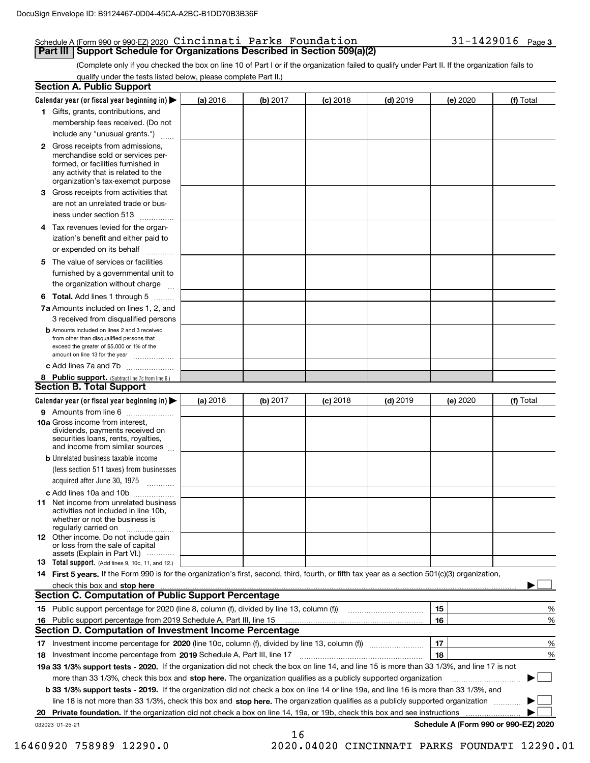## Schedule A (Form 990 or 990-EZ) 2020 Page Cincinnati Parks Foundation 31-1429016 **Part III | Support Schedule for Organizations Described in Section 509(a)(2)**

(Complete only if you checked the box on line 10 of Part I or if the organization failed to qualify under Part II. If the organization fails to qualify under the tests listed below, please complete Part II.)

| <b>Section A. Public Support</b>                                                                                                                                                                |          |          |            |            |          |                                      |
|-------------------------------------------------------------------------------------------------------------------------------------------------------------------------------------------------|----------|----------|------------|------------|----------|--------------------------------------|
| Calendar year (or fiscal year beginning in)                                                                                                                                                     | (a) 2016 | (b) 2017 | $(c)$ 2018 | $(d)$ 2019 | (e) 2020 | (f) Total                            |
| 1 Gifts, grants, contributions, and                                                                                                                                                             |          |          |            |            |          |                                      |
| membership fees received. (Do not                                                                                                                                                               |          |          |            |            |          |                                      |
| include any "unusual grants.")                                                                                                                                                                  |          |          |            |            |          |                                      |
| <b>2</b> Gross receipts from admissions,<br>merchandise sold or services per-<br>formed, or facilities furnished in<br>any activity that is related to the<br>organization's tax-exempt purpose |          |          |            |            |          |                                      |
| 3 Gross receipts from activities that<br>are not an unrelated trade or bus-                                                                                                                     |          |          |            |            |          |                                      |
| iness under section 513                                                                                                                                                                         |          |          |            |            |          |                                      |
| 4 Tax revenues levied for the organ-<br>ization's benefit and either paid to<br>or expended on its behalf<br>$\sim$                                                                             |          |          |            |            |          |                                      |
| 5 The value of services or facilities                                                                                                                                                           |          |          |            |            |          |                                      |
| furnished by a governmental unit to                                                                                                                                                             |          |          |            |            |          |                                      |
| the organization without charge                                                                                                                                                                 |          |          |            |            |          |                                      |
| <b>6 Total.</b> Add lines 1 through 5                                                                                                                                                           |          |          |            |            |          |                                      |
| 7a Amounts included on lines 1, 2, and<br>3 received from disqualified persons                                                                                                                  |          |          |            |            |          |                                      |
| <b>b</b> Amounts included on lines 2 and 3 received<br>from other than disqualified persons that<br>exceed the greater of \$5,000 or 1% of the<br>amount on line 13 for the year                |          |          |            |            |          |                                      |
| c Add lines 7a and 7b                                                                                                                                                                           |          |          |            |            |          |                                      |
| 8 Public support. (Subtract line 7c from line 6.)                                                                                                                                               |          |          |            |            |          |                                      |
| <b>Section B. Total Support</b>                                                                                                                                                                 |          |          |            |            |          |                                      |
| Calendar year (or fiscal year beginning in)                                                                                                                                                     | (a) 2016 | (b) 2017 | $(c)$ 2018 | $(d)$ 2019 | (e) 2020 | (f) Total                            |
| 9 Amounts from line 6                                                                                                                                                                           |          |          |            |            |          |                                      |
| 10a Gross income from interest,<br>dividends, payments received on<br>securities loans, rents, royalties,<br>and income from similar sources                                                    |          |          |            |            |          |                                      |
| <b>b</b> Unrelated business taxable income                                                                                                                                                      |          |          |            |            |          |                                      |
| (less section 511 taxes) from businesses<br>acquired after June 30, 1975                                                                                                                        |          |          |            |            |          |                                      |
| c Add lines 10a and 10b                                                                                                                                                                         |          |          |            |            |          |                                      |
| <b>11</b> Net income from unrelated business<br>activities not included in line 10b.<br>whether or not the business is<br>regularly carried on                                                  |          |          |            |            |          |                                      |
| <b>12</b> Other income. Do not include gain<br>or loss from the sale of capital<br>assets (Explain in Part VI.)                                                                                 |          |          |            |            |          |                                      |
| <b>13 Total support.</b> (Add lines 9, 10c, 11, and 12.)                                                                                                                                        |          |          |            |            |          |                                      |
| 14 First 5 years. If the Form 990 is for the organization's first, second, third, fourth, or fifth tax year as a section 501(c)(3) organization,                                                |          |          |            |            |          |                                      |
|                                                                                                                                                                                                 |          |          |            |            |          |                                      |
| <b>Section C. Computation of Public Support Percentage</b>                                                                                                                                      |          |          |            |            |          |                                      |
| 15 Public support percentage for 2020 (line 8, column (f), divided by line 13, column (f))                                                                                                      |          |          |            |            | 15       | %                                    |
| 16 Public support percentage from 2019 Schedule A, Part III, line 15                                                                                                                            |          |          |            |            | 16       | %                                    |
| Section D. Computation of Investment Income Percentage                                                                                                                                          |          |          |            |            |          |                                      |
|                                                                                                                                                                                                 |          |          |            |            | 17       | %                                    |
| 18 Investment income percentage from 2019 Schedule A, Part III, line 17                                                                                                                         |          |          |            |            | 18       | %                                    |
| 19a 33 1/3% support tests - 2020. If the organization did not check the box on line 14, and line 15 is more than 33 1/3%, and line 17 is not                                                    |          |          |            |            |          |                                      |
| more than 33 1/3%, check this box and stop here. The organization qualifies as a publicly supported organization                                                                                |          |          |            |            |          |                                      |
| b 33 1/3% support tests - 2019. If the organization did not check a box on line 14 or line 19a, and line 16 is more than 33 1/3%, and                                                           |          |          |            |            |          |                                      |
| line 18 is not more than 33 1/3%, check this box and stop here. The organization qualifies as a publicly supported organization                                                                 |          |          |            |            |          |                                      |
|                                                                                                                                                                                                 |          |          |            |            |          |                                      |
| 032023 01-25-21                                                                                                                                                                                 |          | 16       |            |            |          | Schedule A (Form 990 or 990-EZ) 2020 |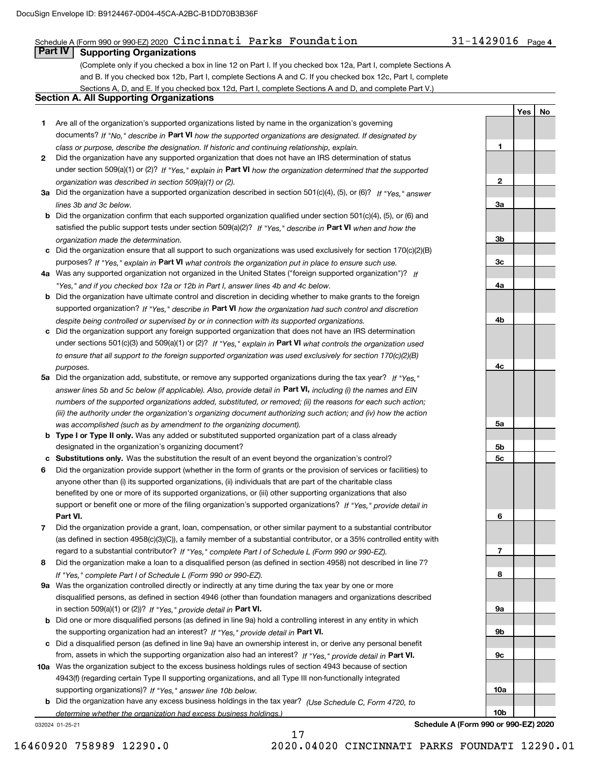## Schedule A (Form 990 or 990-EZ) 2020 Page Cincinnati Parks Foundation 31-1429016

# **Part IV Supporting Organizations**

(Complete only if you checked a box in line 12 on Part I. If you checked box 12a, Part I, complete Sections A and B. If you checked box 12b, Part I, complete Sections A and C. If you checked box 12c, Part I, complete Sections A, D, and E. If you checked box 12d, Part I, complete Sections A and D, and complete Part V.)

## **Section A. All Supporting Organizations**

- **1** Are all of the organization's supported organizations listed by name in the organization's governing documents? If "No," describe in **Part VI** how the supported organizations are designated. If designated by *class or purpose, describe the designation. If historic and continuing relationship, explain.*
- **2** Did the organization have any supported organization that does not have an IRS determination of status under section 509(a)(1) or (2)? If "Yes," explain in Part VI how the organization determined that the supported *organization was described in section 509(a)(1) or (2).*
- **3a** Did the organization have a supported organization described in section 501(c)(4), (5), or (6)? If "Yes," answer *lines 3b and 3c below.*
- **b** Did the organization confirm that each supported organization qualified under section 501(c)(4), (5), or (6) and satisfied the public support tests under section 509(a)(2)? If "Yes," describe in **Part VI** when and how the *organization made the determination.*
- **c**Did the organization ensure that all support to such organizations was used exclusively for section 170(c)(2)(B) purposes? If "Yes," explain in **Part VI** what controls the organization put in place to ensure such use.
- **4a***If* Was any supported organization not organized in the United States ("foreign supported organization")? *"Yes," and if you checked box 12a or 12b in Part I, answer lines 4b and 4c below.*
- **b** Did the organization have ultimate control and discretion in deciding whether to make grants to the foreign supported organization? If "Yes," describe in **Part VI** how the organization had such control and discretion *despite being controlled or supervised by or in connection with its supported organizations.*
- **c** Did the organization support any foreign supported organization that does not have an IRS determination under sections 501(c)(3) and 509(a)(1) or (2)? If "Yes," explain in **Part VI** what controls the organization used *to ensure that all support to the foreign supported organization was used exclusively for section 170(c)(2)(B) purposes.*
- **5a** Did the organization add, substitute, or remove any supported organizations during the tax year? If "Yes," answer lines 5b and 5c below (if applicable). Also, provide detail in **Part VI,** including (i) the names and EIN *numbers of the supported organizations added, substituted, or removed; (ii) the reasons for each such action; (iii) the authority under the organization's organizing document authorizing such action; and (iv) how the action was accomplished (such as by amendment to the organizing document).*
- **b** Type I or Type II only. Was any added or substituted supported organization part of a class already designated in the organization's organizing document?
- **cSubstitutions only.**  Was the substitution the result of an event beyond the organization's control?
- **6** Did the organization provide support (whether in the form of grants or the provision of services or facilities) to **Part VI.** *If "Yes," provide detail in* support or benefit one or more of the filing organization's supported organizations? anyone other than (i) its supported organizations, (ii) individuals that are part of the charitable class benefited by one or more of its supported organizations, or (iii) other supporting organizations that also
- **7**Did the organization provide a grant, loan, compensation, or other similar payment to a substantial contributor *If "Yes," complete Part I of Schedule L (Form 990 or 990-EZ).* regard to a substantial contributor? (as defined in section 4958(c)(3)(C)), a family member of a substantial contributor, or a 35% controlled entity with
- **8** Did the organization make a loan to a disqualified person (as defined in section 4958) not described in line 7? *If "Yes," complete Part I of Schedule L (Form 990 or 990-EZ).*
- **9a** Was the organization controlled directly or indirectly at any time during the tax year by one or more in section 509(a)(1) or (2))? If "Yes," *provide detail in* <code>Part VI.</code> disqualified persons, as defined in section 4946 (other than foundation managers and organizations described
- **b** Did one or more disqualified persons (as defined in line 9a) hold a controlling interest in any entity in which the supporting organization had an interest? If "Yes," provide detail in P**art VI**.
- **c**Did a disqualified person (as defined in line 9a) have an ownership interest in, or derive any personal benefit from, assets in which the supporting organization also had an interest? If "Yes," provide detail in P**art VI.**
- **10a** Was the organization subject to the excess business holdings rules of section 4943 because of section supporting organizations)? If "Yes," answer line 10b below. 4943(f) (regarding certain Type II supporting organizations, and all Type III non-functionally integrated
- **b** Did the organization have any excess business holdings in the tax year? (Use Schedule C, Form 4720, to *determine whether the organization had excess business holdings.)*

17

032024 01-25-21

31-1429016 Page 4

**YesNo**

**1**

**2**

**3a**

**3b**

**3c**

**4a**

**4b**

**4c**

**5a**

**5b5c**

**6**

**7**

**8**

**9a**

**9b**

**9c**

**10a**

**10b**

**Schedule A (Form 990 or 990-EZ) 2020**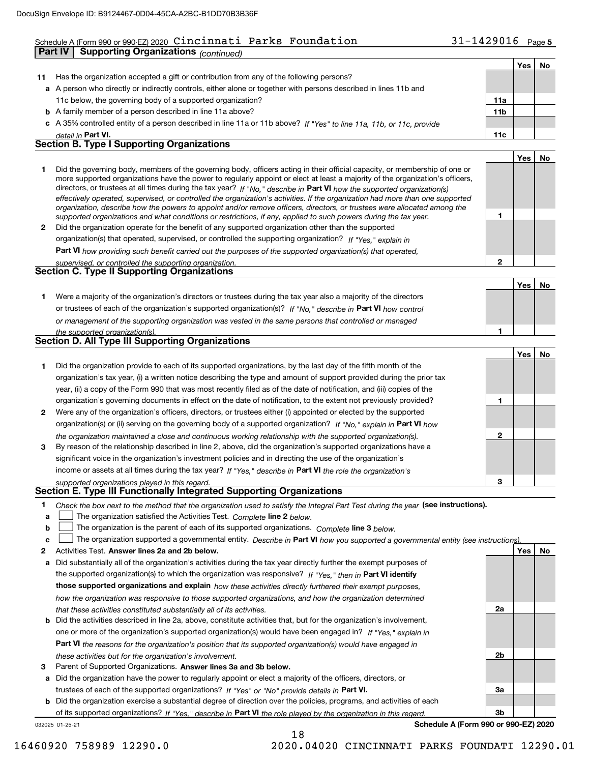## Schedule A (Form 990 or 990-EZ) 2020 Page Cincinnati Parks Foundation 31-1429016 **Part IV Supporting Organizations** *(continued)*

|              | <b>Part IV</b><br>Supporting Organizations (continued)                                                                                                                                                                                                                                                                                                                                                                                                                                                                                                                                                                                                                                                                                                                   |                 |            |    |
|--------------|--------------------------------------------------------------------------------------------------------------------------------------------------------------------------------------------------------------------------------------------------------------------------------------------------------------------------------------------------------------------------------------------------------------------------------------------------------------------------------------------------------------------------------------------------------------------------------------------------------------------------------------------------------------------------------------------------------------------------------------------------------------------------|-----------------|------------|----|
|              |                                                                                                                                                                                                                                                                                                                                                                                                                                                                                                                                                                                                                                                                                                                                                                          |                 | <b>Yes</b> | No |
| 11           | Has the organization accepted a gift or contribution from any of the following persons?                                                                                                                                                                                                                                                                                                                                                                                                                                                                                                                                                                                                                                                                                  |                 |            |    |
|              | a A person who directly or indirectly controls, either alone or together with persons described in lines 11b and                                                                                                                                                                                                                                                                                                                                                                                                                                                                                                                                                                                                                                                         |                 |            |    |
|              | 11c below, the governing body of a supported organization?                                                                                                                                                                                                                                                                                                                                                                                                                                                                                                                                                                                                                                                                                                               | 11a             |            |    |
|              | <b>b</b> A family member of a person described in line 11a above?                                                                                                                                                                                                                                                                                                                                                                                                                                                                                                                                                                                                                                                                                                        | 11 <sub>b</sub> |            |    |
|              | c A 35% controlled entity of a person described in line 11a or 11b above? If "Yes" to line 11a, 11b, or 11c, provide                                                                                                                                                                                                                                                                                                                                                                                                                                                                                                                                                                                                                                                     |                 |            |    |
|              | detail in Part VI.                                                                                                                                                                                                                                                                                                                                                                                                                                                                                                                                                                                                                                                                                                                                                       | 11c             |            |    |
|              | <b>Section B. Type I Supporting Organizations</b>                                                                                                                                                                                                                                                                                                                                                                                                                                                                                                                                                                                                                                                                                                                        |                 |            |    |
|              |                                                                                                                                                                                                                                                                                                                                                                                                                                                                                                                                                                                                                                                                                                                                                                          |                 | Yes        | No |
| 1            | Did the governing body, members of the governing body, officers acting in their official capacity, or membership of one or<br>more supported organizations have the power to regularly appoint or elect at least a majority of the organization's officers,<br>directors, or trustees at all times during the tax year? If "No," describe in Part VI how the supported organization(s)<br>effectively operated, supervised, or controlled the organization's activities. If the organization had more than one supported<br>organization, describe how the powers to appoint and/or remove officers, directors, or trustees were allocated among the<br>supported organizations and what conditions or restrictions, if any, applied to such powers during the tax year. | 1               |            |    |
| $\mathbf{2}$ | Did the organization operate for the benefit of any supported organization other than the supported                                                                                                                                                                                                                                                                                                                                                                                                                                                                                                                                                                                                                                                                      |                 |            |    |
|              | organization(s) that operated, supervised, or controlled the supporting organization? If "Yes," explain in                                                                                                                                                                                                                                                                                                                                                                                                                                                                                                                                                                                                                                                               |                 |            |    |
|              | <b>Part VI</b> how providing such benefit carried out the purposes of the supported organization(s) that operated,                                                                                                                                                                                                                                                                                                                                                                                                                                                                                                                                                                                                                                                       |                 |            |    |
|              | supervised, or controlled the supporting organization.<br>Section C. Type II Supporting Organizations                                                                                                                                                                                                                                                                                                                                                                                                                                                                                                                                                                                                                                                                    | $\overline{2}$  |            |    |
|              |                                                                                                                                                                                                                                                                                                                                                                                                                                                                                                                                                                                                                                                                                                                                                                          |                 | Yes        | No |
| 1.           | Were a majority of the organization's directors or trustees during the tax year also a majority of the directors                                                                                                                                                                                                                                                                                                                                                                                                                                                                                                                                                                                                                                                         |                 |            |    |
|              | or trustees of each of the organization's supported organization(s)? If "No," describe in Part VI how control                                                                                                                                                                                                                                                                                                                                                                                                                                                                                                                                                                                                                                                            |                 |            |    |
|              | or management of the supporting organization was vested in the same persons that controlled or managed                                                                                                                                                                                                                                                                                                                                                                                                                                                                                                                                                                                                                                                                   |                 |            |    |
|              | the supported organization(s).                                                                                                                                                                                                                                                                                                                                                                                                                                                                                                                                                                                                                                                                                                                                           | 1               |            |    |
|              | Section D. All Type III Supporting Organizations                                                                                                                                                                                                                                                                                                                                                                                                                                                                                                                                                                                                                                                                                                                         |                 |            |    |
|              |                                                                                                                                                                                                                                                                                                                                                                                                                                                                                                                                                                                                                                                                                                                                                                          |                 | <b>Yes</b> | No |
| 1.           | Did the organization provide to each of its supported organizations, by the last day of the fifth month of the<br>organization's tax year, (i) a written notice describing the type and amount of support provided during the prior tax<br>year, (ii) a copy of the Form 990 that was most recently filed as of the date of notification, and (iii) copies of the                                                                                                                                                                                                                                                                                                                                                                                                        |                 |            |    |
|              | organization's governing documents in effect on the date of notification, to the extent not previously provided?                                                                                                                                                                                                                                                                                                                                                                                                                                                                                                                                                                                                                                                         | 1               |            |    |
|              |                                                                                                                                                                                                                                                                                                                                                                                                                                                                                                                                                                                                                                                                                                                                                                          |                 |            |    |

- **2** Were any of the organization's officers, directors, or trustees either (i) appointed or elected by the supported organization(s) or (ii) serving on the governing body of a supported organization? If "No," explain in **Part VI** how *the organization maintained a close and continuous working relationship with the supported organization(s).*
- **3**income or assets at all times during the tax year? If "Yes," describe in **Part VI** the role the organization's By reason of the relationship described in line 2, above, did the organization's supported organizations have a significant voice in the organization's investment policies and in directing the use of the organization's

*supported organizations played in this regard.* **Section E. Type III Functionally Integrated Supporting Organizations**

- **1**Check the box next to the method that the organization used to satisfy the Integral Part Test during the year (see instructions).
- **alinupy** The organization satisfied the Activities Test. Complete line 2 below.
- **b**The organization is the parent of each of its supported organizations. *Complete* line 3 *below.*  $\mathcal{L}^{\text{max}}$

|  |  | The organization supported a governmental entity. Describe in Part VI how you supported a governmental entity (see instructions). |  |
|--|--|-----------------------------------------------------------------------------------------------------------------------------------|--|
|--|--|-----------------------------------------------------------------------------------------------------------------------------------|--|

18

- **2Answer lines 2a and 2b below. Yes No** Activities Test.
- **a** Did substantially all of the organization's activities during the tax year directly further the exempt purposes of the supported organization(s) to which the organization was responsive? If "Yes," then in **Part VI identify those supported organizations and explain**  *how these activities directly furthered their exempt purposes, how the organization was responsive to those supported organizations, and how the organization determined that these activities constituted substantially all of its activities.*
- **b** Did the activities described in line 2a, above, constitute activities that, but for the organization's involvement, **Part VI**  *the reasons for the organization's position that its supported organization(s) would have engaged in* one or more of the organization's supported organization(s) would have been engaged in? If "Yes," e*xplain in these activities but for the organization's involvement.*
- **3** Parent of Supported Organizations. Answer lines 3a and 3b below.

**a** Did the organization have the power to regularly appoint or elect a majority of the officers, directors, or trustees of each of the supported organizations? If "Yes" or "No" provide details in **Part VI.** 

**b** Did the organization exercise a substantial degree of direction over the policies, programs, and activities of each of its supported organizations? If "Yes," describe in Part VI the role played by the organization in this regard.

032025 01-25-21

**Schedule A (Form 990 or 990-EZ) 2020**

**2**

**3**

**2a**

**2b**

**3a**

**3b**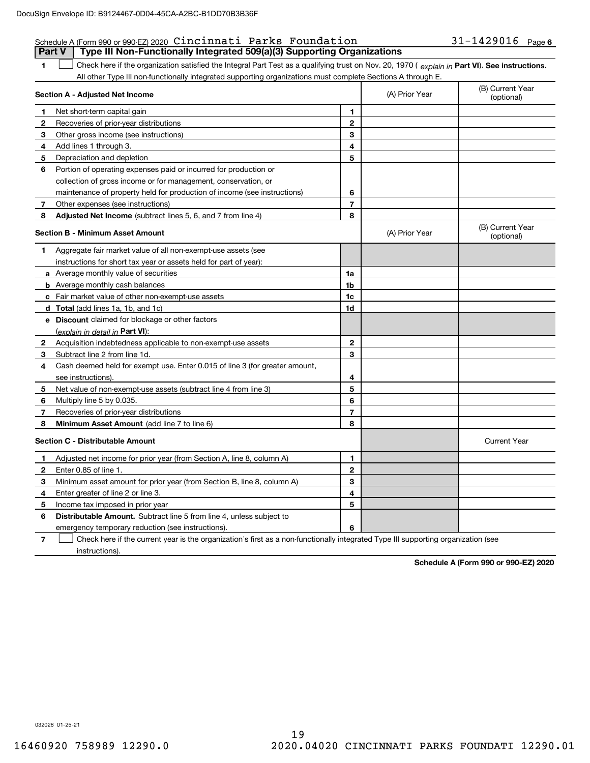## Schedule A (Form 990 or 990-EZ) 2020 Page Cincinnati Parks Foundation 31-1429016 **Part V Type III Non-Functionally Integrated 509(a)(3) Supporting Organizations**

**1**1 Check here if the organization satisfied the Integral Part Test as a qualifying trust on Nov. 20, 1970 (explain in Part VI). See instructions. All other Type III non-functionally integrated supporting organizations must complete Sections A through E.

|              | Section A - Adjusted Net Income                                                                                                   |                | (A) Prior Year | (B) Current Year<br>(optional) |
|--------------|-----------------------------------------------------------------------------------------------------------------------------------|----------------|----------------|--------------------------------|
| 1            | Net short-term capital gain                                                                                                       | 1              |                |                                |
| $\mathbf{2}$ | Recoveries of prior-year distributions                                                                                            | $\overline{2}$ |                |                                |
| 3            | Other gross income (see instructions)                                                                                             | 3              |                |                                |
| 4            | Add lines 1 through 3.                                                                                                            | 4              |                |                                |
| 5            | Depreciation and depletion                                                                                                        | 5              |                |                                |
| 6            | Portion of operating expenses paid or incurred for production or                                                                  |                |                |                                |
|              | collection of gross income or for management, conservation, or                                                                    |                |                |                                |
|              | maintenance of property held for production of income (see instructions)                                                          | 6              |                |                                |
| 7            | Other expenses (see instructions)                                                                                                 | $\overline{7}$ |                |                                |
| 8            | Adjusted Net Income (subtract lines 5, 6, and 7 from line 4)                                                                      | 8              |                |                                |
|              | <b>Section B - Minimum Asset Amount</b>                                                                                           |                | (A) Prior Year | (B) Current Year<br>(optional) |
| 1            | Aggregate fair market value of all non-exempt-use assets (see                                                                     |                |                |                                |
|              | instructions for short tax year or assets held for part of year):                                                                 |                |                |                                |
|              | a Average monthly value of securities                                                                                             | 1a             |                |                                |
|              | <b>b</b> Average monthly cash balances                                                                                            | 1b             |                |                                |
|              | <b>c</b> Fair market value of other non-exempt-use assets                                                                         | 1c             |                |                                |
|              | d Total (add lines 1a, 1b, and 1c)                                                                                                | 1d             |                |                                |
|              | e Discount claimed for blockage or other factors                                                                                  |                |                |                                |
|              | (explain in detail in Part VI):                                                                                                   |                |                |                                |
| 2            | Acquisition indebtedness applicable to non-exempt-use assets                                                                      | $\mathbf{2}$   |                |                                |
| 3            | Subtract line 2 from line 1d.                                                                                                     | 3              |                |                                |
| 4            | Cash deemed held for exempt use. Enter 0.015 of line 3 (for greater amount,                                                       |                |                |                                |
|              | see instructions)                                                                                                                 | 4              |                |                                |
| 5            | Net value of non-exempt-use assets (subtract line 4 from line 3)                                                                  | 5              |                |                                |
| 6            | Multiply line 5 by 0.035.                                                                                                         | 6              |                |                                |
| 7            | Recoveries of prior-year distributions                                                                                            | $\overline{7}$ |                |                                |
| 8            | Minimum Asset Amount (add line 7 to line 6)                                                                                       | 8              |                |                                |
|              | <b>Section C - Distributable Amount</b>                                                                                           |                |                | <b>Current Year</b>            |
| $\mathbf 1$  | Adjusted net income for prior year (from Section A, line 8, column A)                                                             | 1              |                |                                |
| 2            | Enter 0.85 of line 1.                                                                                                             | $\overline{2}$ |                |                                |
| з            | Minimum asset amount for prior year (from Section B, line 8, column A)                                                            | 3              |                |                                |
| 4            | Enter greater of line 2 or line 3.                                                                                                | 4              |                |                                |
| 5            | Income tax imposed in prior year                                                                                                  | 5              |                |                                |
| 6            | <b>Distributable Amount.</b> Subtract line 5 from line 4, unless subject to                                                       |                |                |                                |
|              | emergency temporary reduction (see instructions).                                                                                 | 6              |                |                                |
| 7            | Check here if the current year is the organization's first as a non-functionally integrated Type III supporting organization (see |                |                |                                |

instructions).

**Schedule A (Form 990 or 990-EZ) 2020**

032026 01-25-21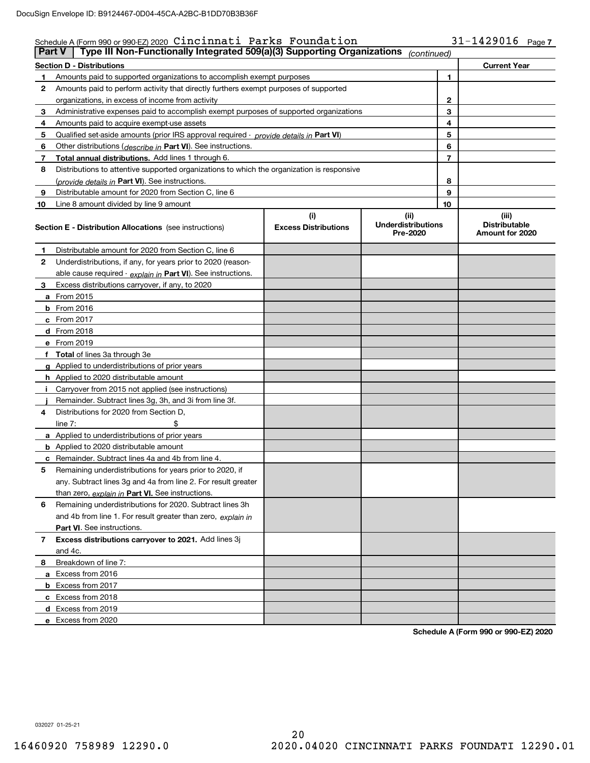### 31-1429016 Page 7 **Section D - Distributions Current Year 1**Amounts paid to supported organizations to accomplish exempt purposes **2345** Qualified set-aside amounts (prior IRS approval required - *provide details in* Part VI) **67891012345678910**Other distributions ( *describe in* Part VI). See instructions. **Total annual distributions.** Add lines 1 through 6. (*provide details in* Part VI). See instructions. **(i)Excess Distributions (ii) UnderdistributionsPre-2020(iii) Distributable Amount for 2020 Section E - Distribution Allocations**  (see instructions) **12**Underdistributions, if any, for years prior to 2020 (reason-**3**Excess distributions carryover, if any, to 2020 **4**Distributions for 2020 from Section D, **5** Remaining underdistributions for years prior to 2020, if **6** Remaining underdistributions for 2020. Subtract lines 3h **7Excess distributions carryover to 2021.**  Add lines 3j **8**Breakdown of line 7: <u>able cause required - *explain in* Part VI). See instructions.</u> **a** From 2015 **b** From 2016 **c**From 2017 **d** From 2018 **e** From 2019 **fTotal**  of lines 3a through 3e **g**Applied to underdistributions of prior years **h** Applied to 2020 distributable amount **ij** Remainder. Subtract lines 3g, 3h, and 3i from line 3f. **a** Applied to underdistributions of prior years **b** Applied to 2020 distributable amount **c** Remainder. Subtract lines 4a and 4b from line 4. <u>than zero, *explain in* Part VI. See instructions.</u> **Part VI** . See instructions. **a** Excess from 2016 **b** Excess from 2017 **c**Excess from 2018 **d**Excess from 2019 **e**and 4b from line 1. For result greater than zero, *explain in* Schedule A (Form 990 or 990-EZ) 2020 Page Cincinnati Parks Foundation 31-1429016 Amounts paid to perform activity that directly furthers exempt purposes of supported organizations, in excess of income from activity Administrative expenses paid to accomplish exempt purposes of supported organizations Amounts paid to acquire exempt-use assets Distributions to attentive supported organizations to which the organization is responsive Distributable amount for 2020 from Section C, line 6 Line 8 amount divided by line 9 amount Distributable amount for 2020 from Section C, line 6 i Carryover from 2015 not applied (see instructions)  $line 7:$   $\frac{1}{2}$ any. Subtract lines 3g and 4a from line 2. For result greater and 4c. Excess from 2020 **Part V** Type III Non-Functionally Integrated 509(a)(3) Supporting Organizations (continued)

**Schedule A (Form 990 or 990-EZ) 2020**

032027 01-25-21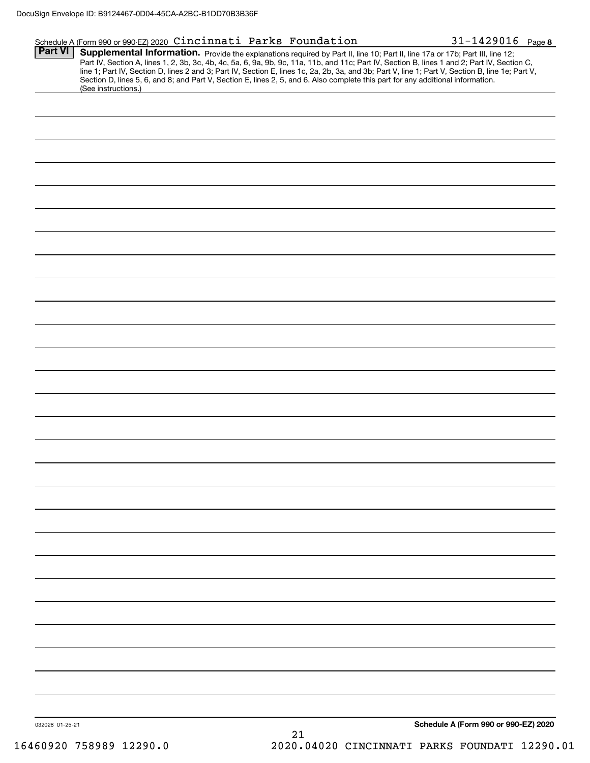## Schedule A (Form 990 or 990-EZ) 2020 Page Cincinnati Parks Foundation 31-1429016

**8**

Part VI | Supplemental Information. Provide the explanations required by Part II, line 10; Part II, line 17a or 17b; Part III, line 12; Part IV, Section A, lines 1, 2, 3b, 3c, 4b, 4c, 5a, 6, 9a, 9b, 9c, 11a, 11b, and 11c; Part IV, Section B, lines 1 and 2; Part IV, Section C, line 1; Part IV, Section D, lines 2 and 3; Part IV, Section E, lines 1c, 2a, 2b, 3a, and 3b; Part V, line 1; Part V, Section B, line 1e; Part V, Section D, lines 5, 6, and 8; and Part V, Section E, lines 2, 5, and 6. Also complete this part for any additional information. (See instructions.)

| 032028 01-25-21<br>16460920 758989 12290.0 | Schedule A (Form 990 or 990-EZ) 2020<br>$21\,$<br>2020.04020 CINCINNATI PARKS FOUNDATI 12290.01 |
|--------------------------------------------|-------------------------------------------------------------------------------------------------|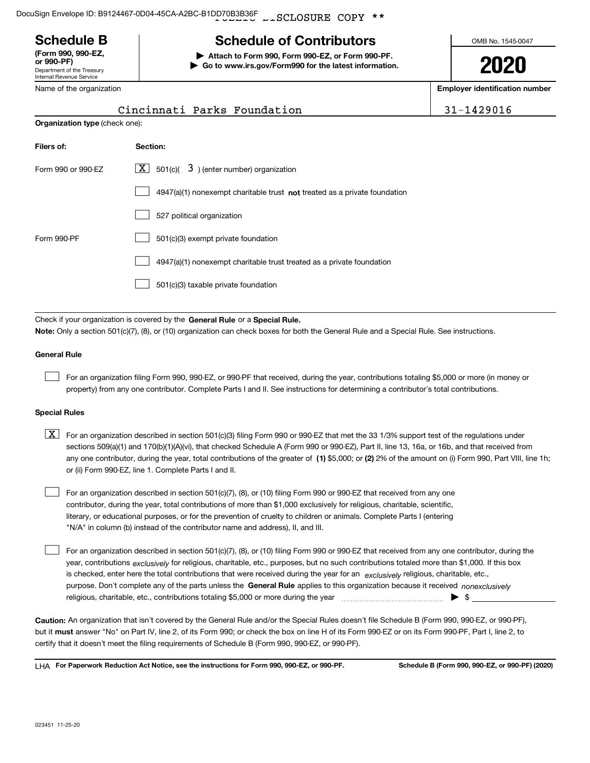LISCLOSURE COPY \*\* DocuSign Envelope ID: B9124467-0D04-45CA-A2BC-B1DD70B3B36F

Department of the Treasury Internal Revenue Service **(Form 990, 990-EZ, or 990-PF)**

# **Schedule B Schedule of Contributors**

**| Attach to Form 990, Form 990-EZ, or Form 990-PF. | Go to www.irs.gov/Form990 for the latest information.** OMB No. 1545-0047

**2020**

| Name of the organization       |                                                                                                                                                                                                                                                                                                                                                                                                                                                                                                           | <b>Employer identification number</b> |
|--------------------------------|-----------------------------------------------------------------------------------------------------------------------------------------------------------------------------------------------------------------------------------------------------------------------------------------------------------------------------------------------------------------------------------------------------------------------------------------------------------------------------------------------------------|---------------------------------------|
|                                | Cincinnati Parks Foundation                                                                                                                                                                                                                                                                                                                                                                                                                                                                               | 31-1429016                            |
| Organization type (check one): |                                                                                                                                                                                                                                                                                                                                                                                                                                                                                                           |                                       |
| Filers of:                     | Section:                                                                                                                                                                                                                                                                                                                                                                                                                                                                                                  |                                       |
| Form 990 or 990-EZ             | 501(c)( $3$ ) (enter number) organization<br> X                                                                                                                                                                                                                                                                                                                                                                                                                                                           |                                       |
|                                | 4947(a)(1) nonexempt charitable trust not treated as a private foundation                                                                                                                                                                                                                                                                                                                                                                                                                                 |                                       |
|                                | 527 political organization                                                                                                                                                                                                                                                                                                                                                                                                                                                                                |                                       |
| Form 990-PF                    | 501(c)(3) exempt private foundation                                                                                                                                                                                                                                                                                                                                                                                                                                                                       |                                       |
|                                | 4947(a)(1) nonexempt charitable trust treated as a private foundation                                                                                                                                                                                                                                                                                                                                                                                                                                     |                                       |
|                                | 501(c)(3) taxable private foundation                                                                                                                                                                                                                                                                                                                                                                                                                                                                      |                                       |
|                                | Check if your organization is covered by the General Rule or a Special Rule.<br>Note: Only a section 501(c)(7), (8), or (10) organization can check boxes for both the General Rule and a Special Rule. See instructions.                                                                                                                                                                                                                                                                                 |                                       |
| <b>General Rule</b>            |                                                                                                                                                                                                                                                                                                                                                                                                                                                                                                           |                                       |
|                                | For an organization filing Form 990, 990-EZ, or 990-PF that received, during the year, contributions totaling \$5,000 or more (in money or<br>property) from any one contributor. Complete Parts I and II. See instructions for determining a contributor's total contributions.                                                                                                                                                                                                                          |                                       |
| <b>Special Rules</b>           |                                                                                                                                                                                                                                                                                                                                                                                                                                                                                                           |                                       |
| X                              | For an organization described in section 501(c)(3) filing Form 990 or 990-EZ that met the 33 1/3% support test of the regulations under<br>sections 509(a)(1) and 170(b)(1)(A)(vi), that checked Schedule A (Form 990 or 990-EZ), Part II, line 13, 16a, or 16b, and that received from<br>any one contributor, during the year, total contributions of the greater of (1) \$5,000; or (2) 2% of the amount on (i) Form 990, Part VIII, line 1h;<br>or (ii) Form 990-EZ, line 1. Complete Parts I and II. |                                       |

For an organization described in section 501(c)(7), (8), or (10) filing Form 990 or 990-EZ that received from any one contributor, during the year, total contributions of more than \$1,000 exclusively for religious, charitable, scientific, literary, or educational purposes, or for the prevention of cruelty to children or animals. Complete Parts I (entering "N/A" in column (b) instead of the contributor name and address), II, and III.

purpose. Don't complete any of the parts unless the **General Rule** applies to this organization because it received *nonexclusively* year, contributions <sub>exclusively</sub> for religious, charitable, etc., purposes, but no such contributions totaled more than \$1,000. If this box is checked, enter here the total contributions that were received during the year for an  $\;$ exclusively religious, charitable, etc., For an organization described in section 501(c)(7), (8), or (10) filing Form 990 or 990-EZ that received from any one contributor, during the religious, charitable, etc., contributions totaling \$5,000 or more during the year  $\Box$ — $\Box$  =  $\Box$  $\mathcal{L}^{\text{max}}$ 

**Caution:**  An organization that isn't covered by the General Rule and/or the Special Rules doesn't file Schedule B (Form 990, 990-EZ, or 990-PF),  **must** but it answer "No" on Part IV, line 2, of its Form 990; or check the box on line H of its Form 990-EZ or on its Form 990-PF, Part I, line 2, to certify that it doesn't meet the filing requirements of Schedule B (Form 990, 990-EZ, or 990-PF).

**For Paperwork Reduction Act Notice, see the instructions for Form 990, 990-EZ, or 990-PF. Schedule B (Form 990, 990-EZ, or 990-PF) (2020)** LHA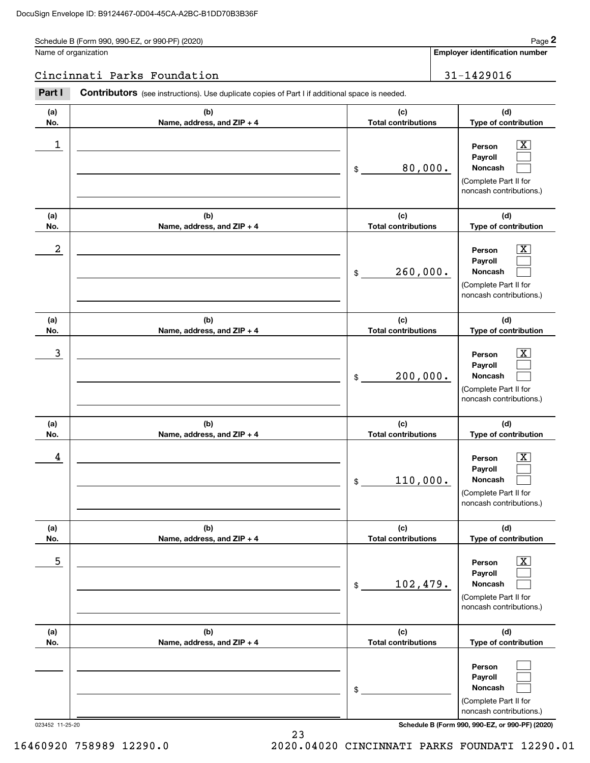Schedule B (Form 990, 990-EZ, or 990-PF) (2020) Page 2

# Cincinnati Parks Foundation 31-1429016

|                      | Schedule B (Form 990, 990-EZ, or 990-PF) (2020)                                                |                                   | Page 2                                                                                                                              |
|----------------------|------------------------------------------------------------------------------------------------|-----------------------------------|-------------------------------------------------------------------------------------------------------------------------------------|
| Name of organization |                                                                                                |                                   | <b>Employer identification number</b>                                                                                               |
|                      | Cincinnati Parks Foundation                                                                    |                                   | 31-1429016                                                                                                                          |
| Part I               | Contributors (see instructions). Use duplicate copies of Part I if additional space is needed. |                                   |                                                                                                                                     |
| (a)<br>No.           | (b)<br>Name, address, and ZIP + 4                                                              | (c)<br><b>Total contributions</b> | (d)<br>Type of contribution                                                                                                         |
| 1                    |                                                                                                | 80,000.<br>\$                     | $\overline{\mathbf{X}}$<br>Person<br>Payroll<br>Noncash<br>(Complete Part II for<br>noncash contributions.)                         |
| (a)<br>No.           | (b)<br>Name, address, and ZIP + 4                                                              | (c)<br><b>Total contributions</b> | (d)<br>Type of contribution                                                                                                         |
| 2                    |                                                                                                | 260,000.<br>\$                    | $\overline{\mathbf{X}}$<br>Person<br>Payroll<br>Noncash<br>(Complete Part II for<br>noncash contributions.)                         |
| (a)<br>No.           | (b)<br>Name, address, and ZIP + 4                                                              | (c)<br><b>Total contributions</b> | (d)<br>Type of contribution                                                                                                         |
| 3                    |                                                                                                | 200,000.<br>\$                    | X<br>Person<br>Payroll<br>Noncash<br>(Complete Part II for<br>noncash contributions.)                                               |
| (a)<br>No.           | (b)<br>Name, address, and ZIP + 4                                                              | (c)<br><b>Total contributions</b> | (d)<br>Type of contribution                                                                                                         |
| 4                    |                                                                                                | 110,000.<br>\$                    | $\overline{\mathbf{X}}$<br>Person<br>Payroll<br>Noncash<br>(Complete Part II for<br>noncash contributions.)                         |
| (a)<br>No.           | (b)<br>Name, address, and ZIP + 4                                                              | (c)<br><b>Total contributions</b> | (d)<br>Type of contribution                                                                                                         |
| 5                    |                                                                                                | 102,479.<br>\$                    | $\overline{\text{X}}$<br>Person<br>Payroll<br>Noncash<br>(Complete Part II for<br>noncash contributions.)                           |
| (a)<br>No.           | (b)<br>Name, address, and ZIP + 4                                                              | (c)<br><b>Total contributions</b> | (d)<br>Type of contribution                                                                                                         |
| 023452 11-25-20      |                                                                                                | \$                                | Person<br>Payroll<br>Noncash<br>(Complete Part II for<br>noncash contributions.)<br>Schedule B (Form 990, 990-EZ, or 990-PF) (2020) |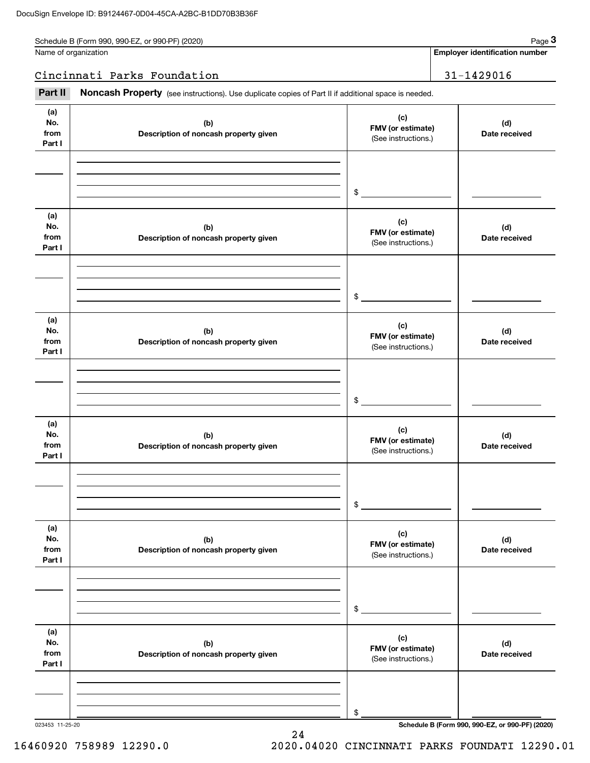Schedule B (Form 990, 990-EZ, or 990-PF) (2020) Schedule B (Form 990, 990-EZ, or 990-PF) (2020)

| Name of organization |
|----------------------|
|                      |

**Employer identification number**

## Cincinnati Parks Foundation 31-1429016

Fage 3 Employer identification pumber<br>
lame of organization<br> **31-1429016**<br> **Part II Noncash Property** (see instructions). Use duplicate copies of Part II if additional space is needed.

**(a)No.fromPart I (c)FMV (or estimate) (b) Description of noncash property given (d) Date received (a)No.fromPart I (c) FMV (or estimate) (b) Description of noncash property given (d) Date received (a)No.fromPart I (c)FMV (or estimate) (b) Description of noncash property given (d) Date received (a) No.fromPart I (c) FMV (or estimate) (b)Description of noncash property given (d) Date received (a) No.fromPart I (c) FMV (or estimate) (b) Description of noncash property given (d) Date received (a) No.fromPart I (c)FMV (or estimate) (b)Description of noncash property given (d)Date received** (See instructions.) \$(See instructions.) \$(See instructions.) \$(See instructions.) \$(See instructions.) \$(See instructions.) \$

24

023453 11-25-20 **Schedule B (Form 990, 990-EZ, or 990-PF) (2020)**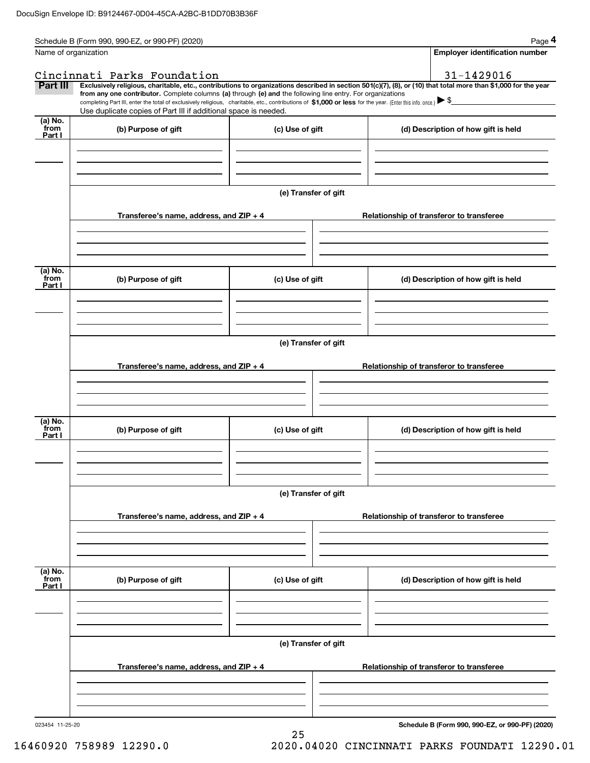|                             | Schedule B (Form 990, 990-EZ, or 990-PF) (2020)                                                                                                                                                                                                                              |                      |  |                                          | Page 4                                |  |  |  |  |
|-----------------------------|------------------------------------------------------------------------------------------------------------------------------------------------------------------------------------------------------------------------------------------------------------------------------|----------------------|--|------------------------------------------|---------------------------------------|--|--|--|--|
| Name of organization        |                                                                                                                                                                                                                                                                              |                      |  |                                          | <b>Employer identification number</b> |  |  |  |  |
|                             | Cincinnati Parks Foundation                                                                                                                                                                                                                                                  |                      |  |                                          | 31-1429016                            |  |  |  |  |
| Part III                    | Exclusively religious, charitable, etc., contributions to organizations described in section 501(c)(7), (8), or (10) that total more than \$1,000 for the year<br>from any one contributor. Complete columns (a) through (e) and the following line entry. For organizations |                      |  |                                          |                                       |  |  |  |  |
|                             | completing Part III, enter the total of exclusively religious, charitable, etc., contributions of $$1,000$ or less for the year. (Enter this info. once.) $\blacktriangleright$ \$<br>Use duplicate copies of Part III if additional space is needed.                        |                      |  |                                          |                                       |  |  |  |  |
| (a) No.                     |                                                                                                                                                                                                                                                                              |                      |  |                                          |                                       |  |  |  |  |
| from<br>Part I              | (b) Purpose of gift                                                                                                                                                                                                                                                          | (c) Use of gift      |  | (d) Description of how gift is held      |                                       |  |  |  |  |
|                             |                                                                                                                                                                                                                                                                              |                      |  |                                          |                                       |  |  |  |  |
|                             |                                                                                                                                                                                                                                                                              |                      |  |                                          |                                       |  |  |  |  |
|                             |                                                                                                                                                                                                                                                                              |                      |  |                                          |                                       |  |  |  |  |
|                             |                                                                                                                                                                                                                                                                              | (e) Transfer of gift |  |                                          |                                       |  |  |  |  |
|                             | Transferee's name, address, and ZIP + 4                                                                                                                                                                                                                                      |                      |  | Relationship of transferor to transferee |                                       |  |  |  |  |
|                             |                                                                                                                                                                                                                                                                              |                      |  |                                          |                                       |  |  |  |  |
|                             |                                                                                                                                                                                                                                                                              |                      |  |                                          |                                       |  |  |  |  |
|                             |                                                                                                                                                                                                                                                                              |                      |  |                                          |                                       |  |  |  |  |
| (a) No.<br>from             | (b) Purpose of gift                                                                                                                                                                                                                                                          | (c) Use of gift      |  | (d) Description of how gift is held      |                                       |  |  |  |  |
| Part I                      |                                                                                                                                                                                                                                                                              |                      |  |                                          |                                       |  |  |  |  |
|                             |                                                                                                                                                                                                                                                                              |                      |  |                                          |                                       |  |  |  |  |
|                             |                                                                                                                                                                                                                                                                              |                      |  |                                          |                                       |  |  |  |  |
|                             | (e) Transfer of gift                                                                                                                                                                                                                                                         |                      |  |                                          |                                       |  |  |  |  |
|                             |                                                                                                                                                                                                                                                                              |                      |  |                                          |                                       |  |  |  |  |
|                             | Transferee's name, address, and ZIP + 4                                                                                                                                                                                                                                      |                      |  | Relationship of transferor to transferee |                                       |  |  |  |  |
|                             |                                                                                                                                                                                                                                                                              |                      |  |                                          |                                       |  |  |  |  |
|                             |                                                                                                                                                                                                                                                                              |                      |  |                                          |                                       |  |  |  |  |
| (a) No.                     |                                                                                                                                                                                                                                                                              |                      |  |                                          |                                       |  |  |  |  |
| from<br>Part I              | (b) Purpose of gift                                                                                                                                                                                                                                                          | (c) Use of gift      |  | (d) Description of how gift is held      |                                       |  |  |  |  |
|                             |                                                                                                                                                                                                                                                                              |                      |  |                                          |                                       |  |  |  |  |
|                             |                                                                                                                                                                                                                                                                              |                      |  |                                          |                                       |  |  |  |  |
|                             |                                                                                                                                                                                                                                                                              |                      |  |                                          |                                       |  |  |  |  |
|                             |                                                                                                                                                                                                                                                                              | (e) Transfer of gift |  |                                          |                                       |  |  |  |  |
|                             | Transferee's name, address, and ZIP + 4                                                                                                                                                                                                                                      |                      |  | Relationship of transferor to transferee |                                       |  |  |  |  |
|                             |                                                                                                                                                                                                                                                                              |                      |  |                                          |                                       |  |  |  |  |
|                             |                                                                                                                                                                                                                                                                              |                      |  |                                          |                                       |  |  |  |  |
|                             |                                                                                                                                                                                                                                                                              |                      |  |                                          |                                       |  |  |  |  |
| $(a)$ No.<br>from<br>Part I | (b) Purpose of gift                                                                                                                                                                                                                                                          | (c) Use of gift      |  | (d) Description of how gift is held      |                                       |  |  |  |  |
|                             |                                                                                                                                                                                                                                                                              |                      |  |                                          |                                       |  |  |  |  |
|                             |                                                                                                                                                                                                                                                                              |                      |  |                                          |                                       |  |  |  |  |
|                             |                                                                                                                                                                                                                                                                              |                      |  |                                          |                                       |  |  |  |  |
|                             |                                                                                                                                                                                                                                                                              | (e) Transfer of gift |  |                                          |                                       |  |  |  |  |
|                             |                                                                                                                                                                                                                                                                              |                      |  |                                          |                                       |  |  |  |  |
|                             | Transferee's name, address, and ZIP + 4                                                                                                                                                                                                                                      |                      |  | Relationship of transferor to transferee |                                       |  |  |  |  |
|                             |                                                                                                                                                                                                                                                                              |                      |  |                                          |                                       |  |  |  |  |
|                             |                                                                                                                                                                                                                                                                              |                      |  |                                          |                                       |  |  |  |  |
|                             |                                                                                                                                                                                                                                                                              |                      |  |                                          |                                       |  |  |  |  |

25

**Schedule B (Form 990, 990-EZ, or 990-PF) (2020)**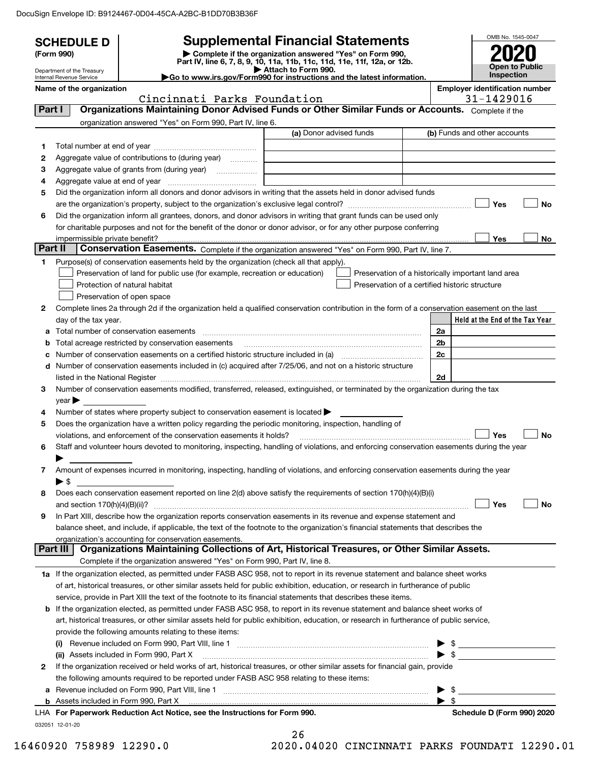DocuSign Envelope ID: B9124467-0D04-45CA-A2BC-B1DD70B3B36F

|         | <b>SCHEDULE D</b>                  |                                                                                                                                                                                                                                                          | <b>Supplemental Financial Statements</b>                                                        |                          | OMB No. 1545-0047                                  |  |
|---------|------------------------------------|----------------------------------------------------------------------------------------------------------------------------------------------------------------------------------------------------------------------------------------------------------|-------------------------------------------------------------------------------------------------|--------------------------|----------------------------------------------------|--|
|         | (Form 990)                         |                                                                                                                                                                                                                                                          | Complete if the organization answered "Yes" on Form 990,                                        |                          |                                                    |  |
|         | Department of the Treasury         |                                                                                                                                                                                                                                                          | Part IV, line 6, 7, 8, 9, 10, 11a, 11b, 11c, 11d, 11e, 11f, 12a, or 12b.<br>Attach to Form 990. |                          | <b>Open to Public</b>                              |  |
|         | Internal Revenue Service           |                                                                                                                                                                                                                                                          | Go to www.irs.gov/Form990 for instructions and the latest information.                          |                          | <b>Inspection</b>                                  |  |
|         | Name of the organization           |                                                                                                                                                                                                                                                          |                                                                                                 |                          | <b>Employer identification number</b>              |  |
| Part I  |                                    | Cincinnati Parks Foundation<br>Organizations Maintaining Donor Advised Funds or Other Similar Funds or Accounts. Complete if the                                                                                                                         |                                                                                                 |                          | 31-1429016                                         |  |
|         |                                    | organization answered "Yes" on Form 990, Part IV, line 6.                                                                                                                                                                                                |                                                                                                 |                          |                                                    |  |
|         |                                    |                                                                                                                                                                                                                                                          | (a) Donor advised funds                                                                         |                          | (b) Funds and other accounts                       |  |
| 1       |                                    |                                                                                                                                                                                                                                                          |                                                                                                 |                          |                                                    |  |
| 2       |                                    | Aggregate value of contributions to (during year)                                                                                                                                                                                                        |                                                                                                 |                          |                                                    |  |
| З       |                                    |                                                                                                                                                                                                                                                          |                                                                                                 |                          |                                                    |  |
| 4       |                                    |                                                                                                                                                                                                                                                          |                                                                                                 |                          |                                                    |  |
| 5       |                                    | Did the organization inform all donors and donor advisors in writing that the assets held in donor advised funds                                                                                                                                         |                                                                                                 |                          |                                                    |  |
|         |                                    |                                                                                                                                                                                                                                                          |                                                                                                 |                          | Yes<br><b>No</b>                                   |  |
| 6       |                                    | Did the organization inform all grantees, donors, and donor advisors in writing that grant funds can be used only                                                                                                                                        |                                                                                                 |                          |                                                    |  |
|         |                                    | for charitable purposes and not for the benefit of the donor or donor advisor, or for any other purpose conferring                                                                                                                                       |                                                                                                 |                          |                                                    |  |
| Part II | impermissible private benefit?     | Conservation Easements. Complete if the organization answered "Yes" on Form 990, Part IV, line 7.                                                                                                                                                        |                                                                                                 |                          | Yes<br>No.                                         |  |
| 1       |                                    | Purpose(s) of conservation easements held by the organization (check all that apply).                                                                                                                                                                    |                                                                                                 |                          |                                                    |  |
|         |                                    | Preservation of land for public use (for example, recreation or education)                                                                                                                                                                               |                                                                                                 |                          | Preservation of a historically important land area |  |
|         |                                    | Protection of natural habitat                                                                                                                                                                                                                            | Preservation of a certified historic structure                                                  |                          |                                                    |  |
|         |                                    | Preservation of open space                                                                                                                                                                                                                               |                                                                                                 |                          |                                                    |  |
| 2       |                                    | Complete lines 2a through 2d if the organization held a qualified conservation contribution in the form of a conservation easement on the last                                                                                                           |                                                                                                 |                          |                                                    |  |
|         | day of the tax year.               |                                                                                                                                                                                                                                                          |                                                                                                 |                          | Held at the End of the Tax Year                    |  |
| а       |                                    |                                                                                                                                                                                                                                                          |                                                                                                 | 2a                       |                                                    |  |
| b       |                                    |                                                                                                                                                                                                                                                          |                                                                                                 | 2b                       |                                                    |  |
| с       |                                    |                                                                                                                                                                                                                                                          |                                                                                                 | 2c                       |                                                    |  |
|         |                                    | d Number of conservation easements included in (c) acquired after 7/25/06, and not on a historic structure                                                                                                                                               |                                                                                                 |                          |                                                    |  |
| 3       |                                    |                                                                                                                                                                                                                                                          |                                                                                                 | 2d                       |                                                    |  |
|         | $\gamma$ ear $\blacktriangleright$ | Number of conservation easements modified, transferred, released, extinguished, or terminated by the organization during the tax                                                                                                                         |                                                                                                 |                          |                                                    |  |
| 4       |                                    | Number of states where property subject to conservation easement is located $\blacktriangleright$                                                                                                                                                        |                                                                                                 |                          |                                                    |  |
| 5       |                                    | Does the organization have a written policy regarding the periodic monitoring, inspection, handling of                                                                                                                                                   |                                                                                                 |                          |                                                    |  |
|         |                                    | violations, and enforcement of the conservation easements it holds?                                                                                                                                                                                      |                                                                                                 |                          | Yes<br><b>No</b>                                   |  |
| 6       |                                    | Staff and volunteer hours devoted to monitoring, inspecting, handling of violations, and enforcing conservation easements during the year                                                                                                                |                                                                                                 |                          |                                                    |  |
|         | ▶                                  |                                                                                                                                                                                                                                                          |                                                                                                 |                          |                                                    |  |
| 7       |                                    | Amount of expenses incurred in monitoring, inspecting, handling of violations, and enforcing conservation easements during the year                                                                                                                      |                                                                                                 |                          |                                                    |  |
|         | $\blacktriangleright$ \$           |                                                                                                                                                                                                                                                          |                                                                                                 |                          |                                                    |  |
| 8       |                                    | Does each conservation easement reported on line 2(d) above satisfy the requirements of section 170(h)(4)(B)(i)                                                                                                                                          |                                                                                                 |                          |                                                    |  |
|         |                                    |                                                                                                                                                                                                                                                          |                                                                                                 |                          | Yes<br>No                                          |  |
| 9       |                                    | In Part XIII, describe how the organization reports conservation easements in its revenue and expense statement and<br>balance sheet, and include, if applicable, the text of the footnote to the organization's financial statements that describes the |                                                                                                 |                          |                                                    |  |
|         |                                    | organization's accounting for conservation easements.                                                                                                                                                                                                    |                                                                                                 |                          |                                                    |  |
|         | Part III                           | Organizations Maintaining Collections of Art, Historical Treasures, or Other Similar Assets.                                                                                                                                                             |                                                                                                 |                          |                                                    |  |
|         |                                    | Complete if the organization answered "Yes" on Form 990, Part IV, line 8.                                                                                                                                                                                |                                                                                                 |                          |                                                    |  |
|         |                                    | 1a If the organization elected, as permitted under FASB ASC 958, not to report in its revenue statement and balance sheet works                                                                                                                          |                                                                                                 |                          |                                                    |  |
|         |                                    | of art, historical treasures, or other similar assets held for public exhibition, education, or research in furtherance of public                                                                                                                        |                                                                                                 |                          |                                                    |  |
|         |                                    | service, provide in Part XIII the text of the footnote to its financial statements that describes these items.                                                                                                                                           |                                                                                                 |                          |                                                    |  |
|         |                                    | <b>b</b> If the organization elected, as permitted under FASB ASC 958, to report in its revenue statement and balance sheet works of                                                                                                                     |                                                                                                 |                          |                                                    |  |
|         |                                    | art, historical treasures, or other similar assets held for public exhibition, education, or research in furtherance of public service,                                                                                                                  |                                                                                                 |                          |                                                    |  |
|         |                                    | provide the following amounts relating to these items:                                                                                                                                                                                                   |                                                                                                 |                          |                                                    |  |
|         |                                    | (i) Revenue included on Form 990, Part VIII, line 1 [2000] [2010] Contract the included on Form 990, Part VIII, line 1                                                                                                                                   |                                                                                                 |                          | $\triangleright$ \$                                |  |
| 2       |                                    | (ii) Assets included in Form 990, Part X<br>If the organization received or held works of art, historical treasures, or other similar assets for financial gain, provide                                                                                 |                                                                                                 | $\blacktriangleright$ \$ |                                                    |  |
|         |                                    | the following amounts required to be reported under FASB ASC 958 relating to these items:                                                                                                                                                                |                                                                                                 |                          |                                                    |  |
|         |                                    | a Revenue included on Form 990, Part VIII, line 1 [2000] [2000] [2000] [2000] [2000] [2000] [2000] [2000] [2000                                                                                                                                          |                                                                                                 | - \$                     |                                                    |  |
|         |                                    |                                                                                                                                                                                                                                                          |                                                                                                 | -\$                      |                                                    |  |
|         |                                    | LHA For Paperwork Reduction Act Notice, see the Instructions for Form 990.                                                                                                                                                                               |                                                                                                 |                          | Schedule D (Form 990) 2020                         |  |
|         | 032051 12-01-20                    |                                                                                                                                                                                                                                                          |                                                                                                 |                          |                                                    |  |
|         |                                    |                                                                                                                                                                                                                                                          | 26                                                                                              |                          |                                                    |  |

 <sup>16460920 758989 12290.0 2020.04020</sup> CINCINNATI PARKS FOUNDATI 12290.01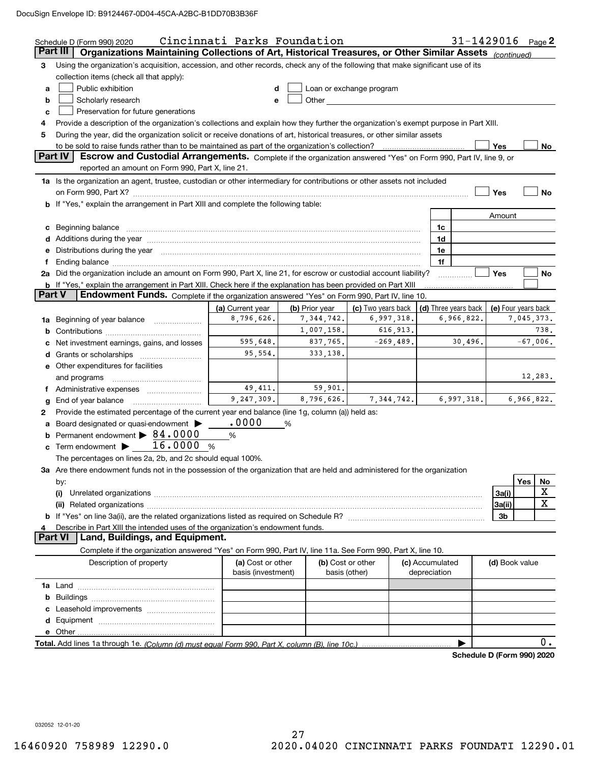DocuSign Envelope ID: B9124467-0D04-45CA-A2BC-B1DD70B3B36F

|        | Schedule D (Form 990) 2020                                                                                                                                                                                                                               | Cincinnati Parks Foundation |                |                    |                                            | 31-1429016 $_{Page}$ 2     |                |     |             |
|--------|----------------------------------------------------------------------------------------------------------------------------------------------------------------------------------------------------------------------------------------------------------|-----------------------------|----------------|--------------------|--------------------------------------------|----------------------------|----------------|-----|-------------|
|        | Part III<br>Organizations Maintaining Collections of Art, Historical Treasures, or Other Similar Assets (continued)                                                                                                                                      |                             |                |                    |                                            |                            |                |     |             |
| 3      | Using the organization's acquisition, accession, and other records, check any of the following that make significant use of its                                                                                                                          |                             |                |                    |                                            |                            |                |     |             |
|        | collection items (check all that apply):                                                                                                                                                                                                                 |                             |                |                    |                                            |                            |                |     |             |
| a      | Public exhibition<br>Loan or exchange program<br>d                                                                                                                                                                                                       |                             |                |                    |                                            |                            |                |     |             |
| b      | Other and the contract of the contract of the contract of the contract of the contract of the contract of the contract of the contract of the contract of the contract of the contract of the contract of the contract of the<br>Scholarly research<br>e |                             |                |                    |                                            |                            |                |     |             |
| c      | Preservation for future generations                                                                                                                                                                                                                      |                             |                |                    |                                            |                            |                |     |             |
| 4      | Provide a description of the organization's collections and explain how they further the organization's exempt purpose in Part XIII.                                                                                                                     |                             |                |                    |                                            |                            |                |     |             |
| 5      | During the year, did the organization solicit or receive donations of art, historical treasures, or other similar assets                                                                                                                                 |                             |                |                    |                                            |                            |                |     |             |
|        |                                                                                                                                                                                                                                                          |                             |                |                    |                                            |                            | Yes            |     | No          |
|        | <b>Part IV</b><br>Escrow and Custodial Arrangements. Complete if the organization answered "Yes" on Form 990, Part IV, line 9, or                                                                                                                        |                             |                |                    |                                            |                            |                |     |             |
|        | reported an amount on Form 990, Part X, line 21.                                                                                                                                                                                                         |                             |                |                    |                                            |                            |                |     |             |
|        | 1a Is the organization an agent, trustee, custodian or other intermediary for contributions or other assets not included                                                                                                                                 |                             |                |                    |                                            |                            |                |     |             |
|        |                                                                                                                                                                                                                                                          |                             |                |                    |                                            |                            | Yes            |     | No          |
|        | <b>b</b> If "Yes," explain the arrangement in Part XIII and complete the following table:                                                                                                                                                                |                             |                |                    |                                            |                            |                |     |             |
|        |                                                                                                                                                                                                                                                          |                             |                |                    |                                            |                            |                |     |             |
|        |                                                                                                                                                                                                                                                          |                             |                |                    |                                            |                            | Amount         |     |             |
|        | c Beginning balance measurements and the contract of the contract of the contract of the contract of the contract of the contract of the contract of the contract of the contract of the contract of the contract of the contr                           |                             |                |                    | 1c                                         |                            |                |     |             |
|        | d Additions during the year measurement contains and a state of the year.                                                                                                                                                                                |                             |                |                    | 1d                                         |                            |                |     |             |
| е      | Distributions during the year manufactured and an account of the state of the state of the state of the state o                                                                                                                                          |                             |                |                    | 1e                                         |                            |                |     |             |
| f      |                                                                                                                                                                                                                                                          |                             |                |                    | 1f                                         |                            |                |     |             |
|        | 2a Did the organization include an amount on Form 990, Part X, line 21, for escrow or custodial account liability?                                                                                                                                       |                             |                |                    |                                            |                            | <b>Yes</b>     |     | No          |
| Part V | <b>b</b> If "Yes," explain the arrangement in Part XIII. Check here if the explanation has been provided on Part XIII                                                                                                                                    |                             |                |                    |                                            |                            |                |     |             |
|        | Endowment Funds. Complete if the organization answered "Yes" on Form 990, Part IV, line 10.                                                                                                                                                              |                             |                |                    |                                            |                            |                |     |             |
|        |                                                                                                                                                                                                                                                          | (a) Current year            | (b) Prior year | (c) Two years back | (d) Three years back   (e) Four years back |                            |                |     |             |
|        | 1a Beginning of year balance                                                                                                                                                                                                                             | 8,796,626.                  | 7,344,742.     | 6,997,318.         |                                            | 6,966,822.                 |                |     | 7,045,373.  |
| b      |                                                                                                                                                                                                                                                          |                             | 1,007,158.     | 616,913.           |                                            |                            |                |     | 738.        |
| c      | Net investment earnings, gains, and losses                                                                                                                                                                                                               | 595,648.                    | 837,765.       | $-269,489.$        |                                            | 30,496.                    |                |     | $-67,006$ . |
|        |                                                                                                                                                                                                                                                          | 95,554.                     | 333,138.       |                    |                                            |                            |                |     |             |
|        | e Other expenditures for facilities                                                                                                                                                                                                                      |                             |                |                    |                                            |                            |                |     |             |
|        |                                                                                                                                                                                                                                                          |                             |                |                    |                                            |                            |                |     | 12,283.     |
|        | f Administrative expenses                                                                                                                                                                                                                                | 49,411.                     | 59,901.        |                    |                                            |                            |                |     |             |
| g      | End of year balance                                                                                                                                                                                                                                      | 9,247,309.                  | 8,796,626.     | 7,344,742.         |                                            | 6,997,318.                 |                |     | 6,966,822.  |
| 2      | Provide the estimated percentage of the current year end balance (line 1g, column (a)) held as:                                                                                                                                                          |                             |                |                    |                                            |                            |                |     |             |
|        | a Board designated or quasi-endowment >                                                                                                                                                                                                                  | .0000                       | %              |                    |                                            |                            |                |     |             |
|        | <b>b</b> Permanent endowment $\triangleright$ 84.0000                                                                                                                                                                                                    | %                           |                |                    |                                            |                            |                |     |             |
|        | c Term endowment $\blacktriangleright$ 16.0000 %                                                                                                                                                                                                         |                             |                |                    |                                            |                            |                |     |             |
|        | The percentages on lines 2a, 2b, and 2c should equal 100%.                                                                                                                                                                                               |                             |                |                    |                                            |                            |                |     |             |
|        | 3a Are there endowment funds not in the possession of the organization that are held and administered for the organization                                                                                                                               |                             |                |                    |                                            |                            |                |     |             |
|        | by:                                                                                                                                                                                                                                                      |                             |                |                    |                                            |                            |                | Yes | No          |
|        |                                                                                                                                                                                                                                                          |                             |                |                    |                                            |                            | 3a(i)          |     | X           |
|        |                                                                                                                                                                                                                                                          |                             |                |                    |                                            |                            | 3a(ii)         |     | х           |
|        |                                                                                                                                                                                                                                                          |                             |                |                    |                                            |                            | 3 <sub>b</sub> |     |             |
| 4      | Describe in Part XIII the intended uses of the organization's endowment funds.                                                                                                                                                                           |                             |                |                    |                                            |                            |                |     |             |
|        | Land, Buildings, and Equipment.<br><b>Part VI</b>                                                                                                                                                                                                        |                             |                |                    |                                            |                            |                |     |             |
|        | Complete if the organization answered "Yes" on Form 990, Part IV, line 11a. See Form 990, Part X, line 10.                                                                                                                                               |                             |                |                    |                                            |                            |                |     |             |
|        | Description of property                                                                                                                                                                                                                                  | (a) Cost or other           |                | (b) Cost or other  | (c) Accumulated                            |                            | (d) Book value |     |             |
|        |                                                                                                                                                                                                                                                          | basis (investment)          |                | basis (other)      | depreciation                               |                            |                |     |             |
|        |                                                                                                                                                                                                                                                          |                             |                |                    |                                            |                            |                |     |             |
|        |                                                                                                                                                                                                                                                          |                             |                |                    |                                            |                            |                |     |             |
|        |                                                                                                                                                                                                                                                          |                             |                |                    |                                            |                            |                |     |             |
|        |                                                                                                                                                                                                                                                          |                             |                |                    |                                            |                            |                |     |             |
|        |                                                                                                                                                                                                                                                          |                             |                |                    |                                            |                            |                |     |             |
|        |                                                                                                                                                                                                                                                          |                             |                |                    |                                            |                            |                |     |             |
|        |                                                                                                                                                                                                                                                          |                             |                |                    |                                            |                            |                |     | 0.          |
|        |                                                                                                                                                                                                                                                          |                             |                |                    |                                            | Schedule D (Form 990) 2020 |                |     |             |

032052 12-01-20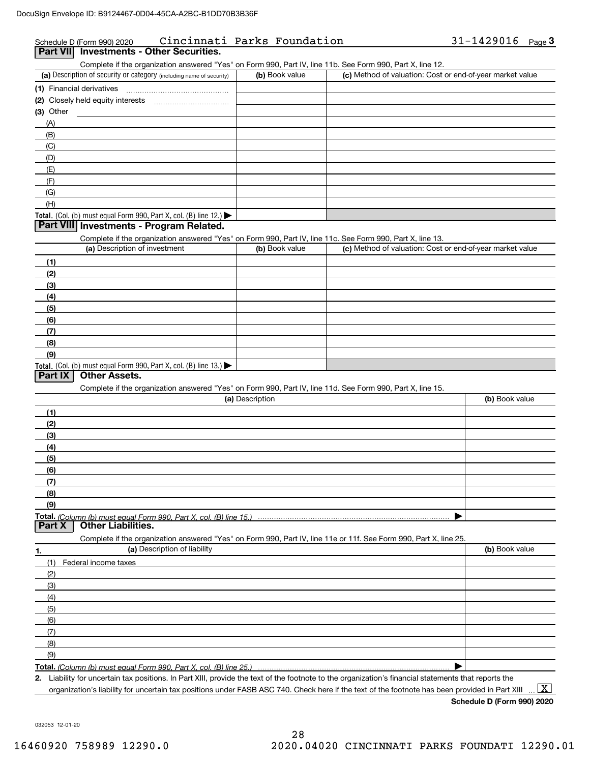## Schedule D (Form 990) 2020 Cincinnati Parks Foundation 31-1429016 Page Schedule D (Form 990) 2020 Cincinnati Parks Foundation 31-1429016 Page 3<br>Part VII| Investments - Other Securities.

## (a) Description of security or category (including name of security)  $\vert$  (b) Book value  $\vert$  (c) Total. (Col. (b) must equal Form 990, Part X, col. (B) line 12.) Total. (Col. (b) must equal Form 990, Part X, col. (B) line 13.) **(1)** Financial derivatives ~~~~~~~~~~~~~~~**(2)** Closely held equity interests **(3)** Other (a) Description of investment **b (b)** Book value **(1)(2)(3)(4) (5)(6)(7)(8)(9)(a) (b)**  Description**(1)(2) (3)(4)(5) (6)(7)(8)(9)Total.**  *(Column (b) must equal Form 990, Part X, col. (B) line 15.)* **1.(a)** Description of liability **Book value** Book value Book value Book value Book value Complete if the organization answered "Yes" on Form 990, Part IV, line 11b. See Form 990, Part X, line 12.  $(b)$  Book value  $\vert$  (c) Method of valuation: Cost or end-of-year market value (A)(B)(C)(D)(E)(F)(G)(H)Complete if the organization answered "Yes" on Form 990, Part IV, line 11c. See Form 990, Part X, line 13. (c) Method of valuation: Cost or end-of-year market value Complete if the organization answered "Yes" on Form 990, Part IV, line 11d. See Form 990, Part X, line 15. (b) Book value  $\blacktriangleright$ Complete if the organization answered "Yes" on Form 990, Part IV, line 11e or 11f. See Form 990, Part X, line 25. (1)(2)(3)(4)(5)(6)(7)(8)(9)Federal income taxes  $\blacktriangleright$ **Part VIII Investments - Program Related. Part IX Other Assets. Part X Other Liabilities.**

**Total.**  *(Column (b) must equal Form 990, Part X, col. (B) line 25.)* 

**2.**Liability for uncertain tax positions. In Part XIII, provide the text of the footnote to the organization's financial statements that reports the organization's liability for uncertain tax positions under FASB ASC 740. Check here if the text of the footnote has been provided in Part XIII

**Schedule D (Form 990) 2020**  $\boxed{\text{X}}$ 

032053 12-01-20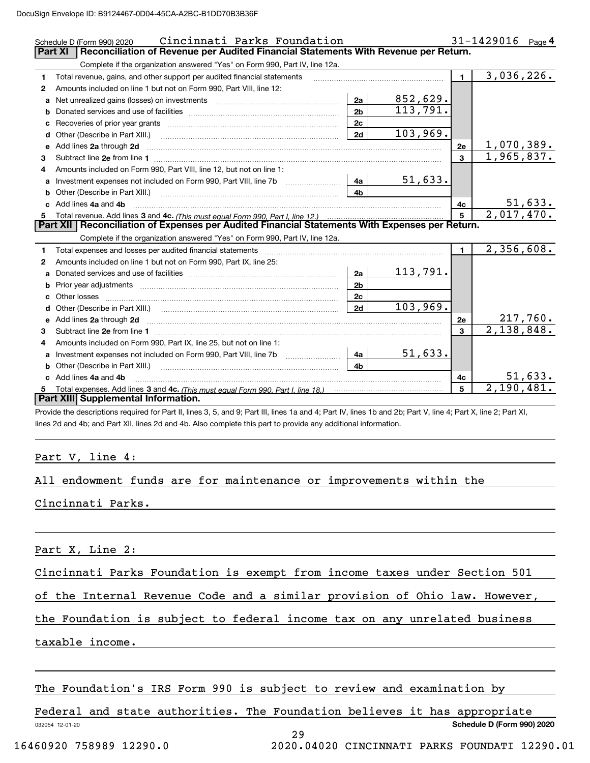|              | Cincinnati Parks Foundation<br>Schedule D (Form 990) 2020                                                                                                                                                                          |                |                 |              | $31 - 1429016$ Page 4 |
|--------------|------------------------------------------------------------------------------------------------------------------------------------------------------------------------------------------------------------------------------------|----------------|-----------------|--------------|-----------------------|
|              | Reconciliation of Revenue per Audited Financial Statements With Revenue per Return.<br><b>Part XI</b>                                                                                                                              |                |                 |              |                       |
|              | Complete if the organization answered "Yes" on Form 990, Part IV, line 12a.                                                                                                                                                        |                |                 |              |                       |
| 1.           | Total revenue, gains, and other support per audited financial statements                                                                                                                                                           |                |                 | $\mathbf 1$  | 3,036,226.            |
| $\mathbf{2}$ | Amounts included on line 1 but not on Form 990, Part VIII, line 12:                                                                                                                                                                |                |                 |              |                       |
| a            | Net unrealized gains (losses) on investments [11] matter contracts and the unrealized gains (losses) on investments                                                                                                                | 2a             | 852,629.        |              |                       |
| b            |                                                                                                                                                                                                                                    | 2 <sub>b</sub> | 113,791.        |              |                       |
| c            |                                                                                                                                                                                                                                    | 2 <sub>c</sub> |                 |              |                       |
| d            | Other (Describe in Part XIII.)                                                                                                                                                                                                     | 2d             | 103,969.        |              |                       |
| е            | Add lines 2a through 2d                                                                                                                                                                                                            |                |                 | 2e           | 1,070,389.            |
| з            | Subtract line 2e from line 1 <b>manufacture contract and contract line 2e</b> from line 1                                                                                                                                          |                |                 | $\mathbf{a}$ | 1,965,837.            |
|              | Amounts included on Form 990, Part VIII, line 12, but not on line 1:                                                                                                                                                               |                |                 |              |                       |
| a            |                                                                                                                                                                                                                                    | 4a             | 51,633.         |              |                       |
| b            | Other (Describe in Part XIII.) (2000) (2000) (2000) (2010) (2010) (2010) (2010) (2010) (2010) (2010) (2010) (20                                                                                                                    | 4 <sub>b</sub> |                 |              |                       |
|              | Add lines 4a and 4b                                                                                                                                                                                                                |                |                 | 4c           | 51,633.               |
| 5            |                                                                                                                                                                                                                                    |                |                 | 5            | 2,017,470.            |
|              | Part XII   Reconciliation of Expenses per Audited Financial Statements With Expenses per Return.                                                                                                                                   |                |                 |              |                       |
|              | Complete if the organization answered "Yes" on Form 990, Part IV, line 12a.                                                                                                                                                        |                |                 |              |                       |
| 1            | Total expenses and losses per audited financial statements                                                                                                                                                                         |                |                 | $\mathbf{1}$ | 2,356,608.            |
| $\mathbf{2}$ | Amounts included on line 1 but not on Form 990, Part IX, line 25:                                                                                                                                                                  |                |                 |              |                       |
| a            |                                                                                                                                                                                                                                    | 2a             | <u>113,791.</u> |              |                       |
| b            | Prior year adjustments <i>www.www.www.www.www.www.www.www.www.</i> ww.                                                                                                                                                             | 2 <sub>b</sub> |                 |              |                       |
| c            |                                                                                                                                                                                                                                    | 2c             |                 |              |                       |
|              |                                                                                                                                                                                                                                    | 2d             | 103,969.        |              |                       |
| е            | Add lines 2a through 2d <b>manufactures</b> and contained the state of the state of the state of the state of the state of the state of the state of the state of the state of the state of the state of the state of the state of |                |                 | 2e           | 217,760.              |
| З.           |                                                                                                                                                                                                                                    |                |                 | 3            | 2,138,848.            |
| 4            | Amounts included on Form 990, Part IX, line 25, but not on line 1:                                                                                                                                                                 |                |                 |              |                       |
| a            | Investment expenses not included on Form 990, Part VIII, line 7b                                                                                                                                                                   | 4a             | 51,633.         |              |                       |
| b            | Other (Describe in Part XIII.)                                                                                                                                                                                                     | 4b             |                 |              |                       |
|              | Add lines 4a and 4b                                                                                                                                                                                                                |                |                 | 4с           | 51,633.               |
| 5            |                                                                                                                                                                                                                                    |                |                 | 5            | 2,190,481.            |
|              | Part XIII Supplemental Information.                                                                                                                                                                                                |                |                 |              |                       |

Provide the descriptions required for Part II, lines 3, 5, and 9; Part III, lines 1a and 4; Part IV, lines 1b and 2b; Part V, line 4; Part X, line 2; Part XI, lines 2d and 4b; and Part XII, lines 2d and 4b. Also complete this part to provide any additional information.

## Part V, line 4:

## All endowment funds are for maintenance or improvements within the

Cincinnati Parks.

Part X, Line 2:

Cincinnati Parks Foundation is exempt from income taxes under Section 501

of the Internal Revenue Code and a similar provision of Ohio law. However,

the Foundation is subject to federal income tax on any unrelated business

taxable income.

The Foundation's IRS Form 990 is subject to review and examination by

032054 12-01-20 **Schedule D (Form 990) 2020** Federal and state authorities. The Foundation believes it has appropriate 29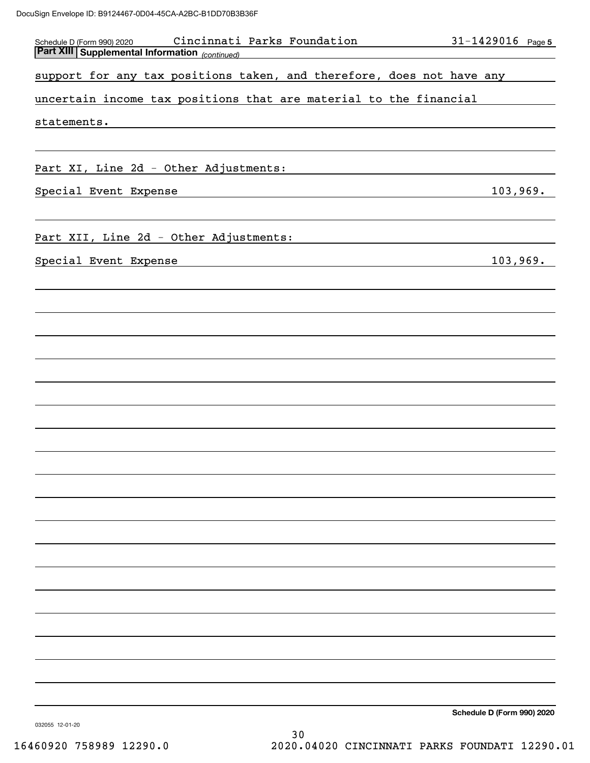| Cincinnati Parks Foundation<br>Schedule D (Form 990) 2020                                                                                       | $31 - 1429016$ Page 5      |  |
|-------------------------------------------------------------------------------------------------------------------------------------------------|----------------------------|--|
| <b>Part XIII Supplemental Information</b> (continued)                                                                                           |                            |  |
| support for any tax positions taken, and therefore, does not have any                                                                           |                            |  |
| uncertain income tax positions that are material to the financial                                                                               |                            |  |
| statements.                                                                                                                                     |                            |  |
| Part XI, Line 2d - Other Adjustments:                                                                                                           |                            |  |
|                                                                                                                                                 |                            |  |
| Special Event Expense<br><u> 1989 - Johann Barbara, martxa amerikan personal (h. 1989).</u>                                                     | 103,969.                   |  |
| Part XII, Line 2d - Other Adjustments:                                                                                                          |                            |  |
| Special Event Expense<br><u> 1989 - Johann Stoff, deutscher Stoffen und der Stoffen und der Stoffen und der Stoffen und der Stoffen und der</u> | 103,969.                   |  |
|                                                                                                                                                 |                            |  |
|                                                                                                                                                 |                            |  |
|                                                                                                                                                 |                            |  |
|                                                                                                                                                 |                            |  |
|                                                                                                                                                 |                            |  |
|                                                                                                                                                 |                            |  |
|                                                                                                                                                 |                            |  |
|                                                                                                                                                 |                            |  |
|                                                                                                                                                 |                            |  |
|                                                                                                                                                 |                            |  |
|                                                                                                                                                 |                            |  |
|                                                                                                                                                 |                            |  |
|                                                                                                                                                 |                            |  |
|                                                                                                                                                 |                            |  |
|                                                                                                                                                 |                            |  |
|                                                                                                                                                 |                            |  |
|                                                                                                                                                 |                            |  |
|                                                                                                                                                 | Schedule D (Form 990) 2020 |  |

032055 12-01-20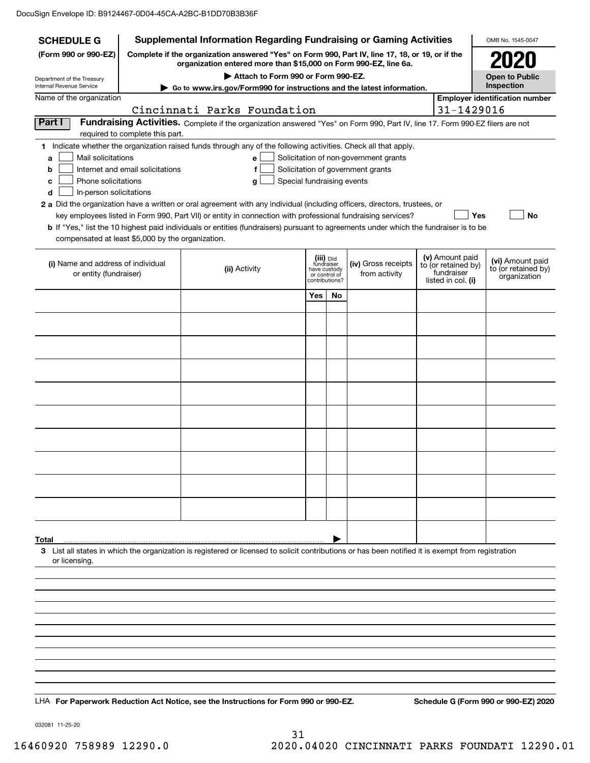| <b>Supplemental Information Regarding Fundraising or Gaming Activities</b><br><b>SCHEDULE G</b> |                                                                                                                                                                     |                                                                                                                                                    |                                                          |    |                                       |  | OMB No. 1545-0047                 |                                         |
|-------------------------------------------------------------------------------------------------|---------------------------------------------------------------------------------------------------------------------------------------------------------------------|----------------------------------------------------------------------------------------------------------------------------------------------------|----------------------------------------------------------|----|---------------------------------------|--|-----------------------------------|-----------------------------------------|
| (Form 990 or 990-EZ)                                                                            | Complete if the organization answered "Yes" on Form 990, Part IV, line 17, 18, or 19, or if the<br>organization entered more than \$15,000 on Form 990-EZ, line 6a. |                                                                                                                                                    |                                                          |    |                                       |  |                                   |                                         |
| Department of the Treasury<br>Internal Revenue Service                                          |                                                                                                                                                                     | Attach to Form 990 or Form 990-EZ.<br>Go to www.irs.gov/Form990 for instructions and the latest information.                                       |                                                          |    |                                       |  |                                   | <b>Open to Public</b><br>Inspection     |
| Name of the organization                                                                        |                                                                                                                                                                     |                                                                                                                                                    |                                                          |    |                                       |  |                                   | <b>Employer identification number</b>   |
|                                                                                                 |                                                                                                                                                                     | Cincinnati Parks Foundation                                                                                                                        |                                                          |    |                                       |  | 31-1429016                        |                                         |
| Part I                                                                                          | required to complete this part.                                                                                                                                     | Fundraising Activities. Complete if the organization answered "Yes" on Form 990, Part IV, line 17. Form 990-EZ filers are not                      |                                                          |    |                                       |  |                                   |                                         |
|                                                                                                 |                                                                                                                                                                     | 1 Indicate whether the organization raised funds through any of the following activities. Check all that apply.                                    |                                                          |    |                                       |  |                                   |                                         |
| Mail solicitations<br>a                                                                         |                                                                                                                                                                     | е                                                                                                                                                  |                                                          |    | Solicitation of non-government grants |  |                                   |                                         |
| b<br>Phone solicitations<br>с                                                                   | Internet and email solicitations                                                                                                                                    | f<br>g                                                                                                                                             | Special fundraising events                               |    | Solicitation of government grants     |  |                                   |                                         |
| In-person solicitations<br>d                                                                    |                                                                                                                                                                     |                                                                                                                                                    |                                                          |    |                                       |  |                                   |                                         |
|                                                                                                 |                                                                                                                                                                     | 2 a Did the organization have a written or oral agreement with any individual (including officers, directors, trustees, or                         |                                                          |    |                                       |  |                                   |                                         |
|                                                                                                 |                                                                                                                                                                     | key employees listed in Form 990, Part VII) or entity in connection with professional fundraising services?                                        |                                                          |    |                                       |  | Yes                               | No                                      |
|                                                                                                 | compensated at least \$5,000 by the organization.                                                                                                                   | <b>b</b> If "Yes," list the 10 highest paid individuals or entities (fundraisers) pursuant to agreements under which the fundraiser is to be       |                                                          |    |                                       |  |                                   |                                         |
|                                                                                                 |                                                                                                                                                                     |                                                                                                                                                    |                                                          |    |                                       |  | (v) Amount paid                   |                                         |
| (i) Name and address of individual<br>or entity (fundraiser)                                    |                                                                                                                                                                     | (ii) Activity                                                                                                                                      | (iii) Did<br>fundraiser<br>have custody<br>or control of |    | (iv) Gross receipts<br>from activity  |  | to (or retained by)<br>fundraiser | (vi) Amount paid<br>to (or retained by) |
|                                                                                                 |                                                                                                                                                                     |                                                                                                                                                    | contributions?                                           |    |                                       |  | listed in col. (i)                | organization                            |
|                                                                                                 |                                                                                                                                                                     |                                                                                                                                                    | Yes                                                      | No |                                       |  |                                   |                                         |
|                                                                                                 |                                                                                                                                                                     |                                                                                                                                                    |                                                          |    |                                       |  |                                   |                                         |
|                                                                                                 |                                                                                                                                                                     |                                                                                                                                                    |                                                          |    |                                       |  |                                   |                                         |
|                                                                                                 |                                                                                                                                                                     |                                                                                                                                                    |                                                          |    |                                       |  |                                   |                                         |
|                                                                                                 |                                                                                                                                                                     |                                                                                                                                                    |                                                          |    |                                       |  |                                   |                                         |
|                                                                                                 |                                                                                                                                                                     |                                                                                                                                                    |                                                          |    |                                       |  |                                   |                                         |
|                                                                                                 |                                                                                                                                                                     |                                                                                                                                                    |                                                          |    |                                       |  |                                   |                                         |
|                                                                                                 |                                                                                                                                                                     |                                                                                                                                                    |                                                          |    |                                       |  |                                   |                                         |
|                                                                                                 |                                                                                                                                                                     |                                                                                                                                                    |                                                          |    |                                       |  |                                   |                                         |
|                                                                                                 |                                                                                                                                                                     |                                                                                                                                                    |                                                          |    |                                       |  |                                   |                                         |
|                                                                                                 |                                                                                                                                                                     |                                                                                                                                                    |                                                          |    |                                       |  |                                   |                                         |
|                                                                                                 |                                                                                                                                                                     |                                                                                                                                                    |                                                          |    |                                       |  |                                   |                                         |
| Total                                                                                           |                                                                                                                                                                     |                                                                                                                                                    |                                                          |    |                                       |  |                                   |                                         |
| or licensing.                                                                                   |                                                                                                                                                                     | 3 List all states in which the organization is registered or licensed to solicit contributions or has been notified it is exempt from registration |                                                          |    |                                       |  |                                   |                                         |
|                                                                                                 |                                                                                                                                                                     |                                                                                                                                                    |                                                          |    |                                       |  |                                   |                                         |
|                                                                                                 |                                                                                                                                                                     |                                                                                                                                                    |                                                          |    |                                       |  |                                   |                                         |
|                                                                                                 |                                                                                                                                                                     |                                                                                                                                                    |                                                          |    |                                       |  |                                   |                                         |
|                                                                                                 |                                                                                                                                                                     |                                                                                                                                                    |                                                          |    |                                       |  |                                   |                                         |
|                                                                                                 |                                                                                                                                                                     |                                                                                                                                                    |                                                          |    |                                       |  |                                   |                                         |
|                                                                                                 |                                                                                                                                                                     |                                                                                                                                                    |                                                          |    |                                       |  |                                   |                                         |
|                                                                                                 |                                                                                                                                                                     |                                                                                                                                                    |                                                          |    |                                       |  |                                   |                                         |
|                                                                                                 |                                                                                                                                                                     |                                                                                                                                                    |                                                          |    |                                       |  |                                   |                                         |
|                                                                                                 |                                                                                                                                                                     |                                                                                                                                                    |                                                          |    |                                       |  |                                   |                                         |
|                                                                                                 |                                                                                                                                                                     | LHA For Paperwork Reduction Act Notice, see the Instructions for Form 990 or 990-EZ.                                                               |                                                          |    |                                       |  |                                   | Schedule G (Form 990 or 990-EZ) 2020    |

032081 11-25-20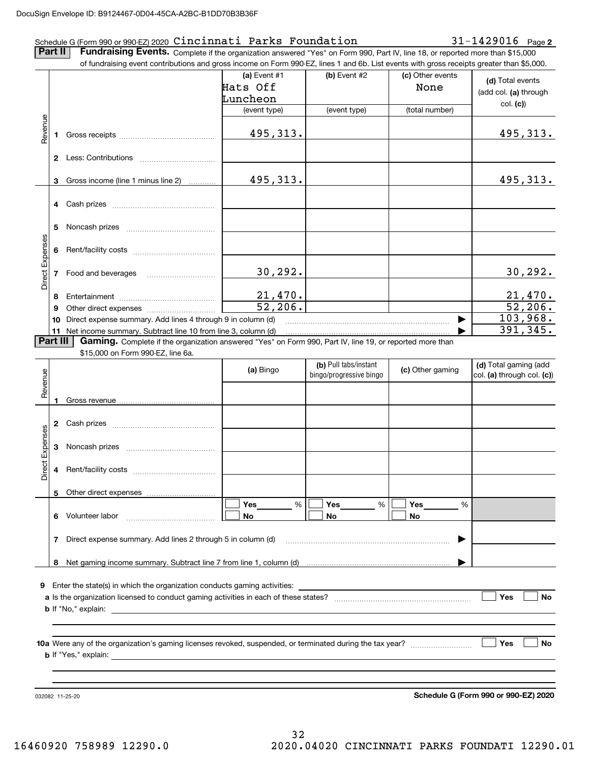## Schedule G (Form 990 or 990-EZ) 2020  $\verb|Cincinnati$   $\verb|Parks$   $\verb|Foundation|$   $\verb|2001|$   $\verb|31-1429016$   $\verb|Page|$

**2**

**Part II** | Fundraising Events. Complete if the organization answered "Yes" on Form 990, Part IV, line 18, or reported more than \$15,000

|                 |          | of fundraising event contributions and gross income on Form 990-EZ, lines 1 and 6b. List events with gross receipts greater than \$5,000. |                         |                         |                  |                                      |
|-----------------|----------|-------------------------------------------------------------------------------------------------------------------------------------------|-------------------------|-------------------------|------------------|--------------------------------------|
|                 |          |                                                                                                                                           | (a) Event $#1$          | $(b)$ Event #2          | (c) Other events | (d) Total events                     |
|                 |          |                                                                                                                                           | Hats Off                |                         | None             | (add col. (a) through                |
|                 |          |                                                                                                                                           | Luncheon                |                         |                  | col. (c)                             |
|                 |          |                                                                                                                                           | (event type)            | (event type)            | (total number)   |                                      |
| Revenue         |          |                                                                                                                                           |                         |                         |                  |                                      |
|                 |          |                                                                                                                                           | 495,313.                |                         |                  | 495,313.                             |
|                 |          |                                                                                                                                           |                         |                         |                  |                                      |
|                 |          |                                                                                                                                           |                         |                         |                  |                                      |
|                 |          |                                                                                                                                           |                         |                         |                  |                                      |
|                 | 3        | Gross income (line 1 minus line 2)                                                                                                        | 495, 313.               |                         |                  | 495,313.                             |
|                 |          |                                                                                                                                           |                         |                         |                  |                                      |
|                 |          |                                                                                                                                           |                         |                         |                  |                                      |
|                 |          |                                                                                                                                           |                         |                         |                  |                                      |
|                 | 5        |                                                                                                                                           |                         |                         |                  |                                      |
|                 |          |                                                                                                                                           |                         |                         |                  |                                      |
|                 | 6        |                                                                                                                                           |                         |                         |                  |                                      |
|                 |          | 7 Food and beverages                                                                                                                      | 30, 292.                |                         |                  | <u>30,292.</u>                       |
| Direct Expenses |          |                                                                                                                                           |                         |                         |                  |                                      |
|                 | 8        |                                                                                                                                           |                         |                         |                  |                                      |
|                 | 9        |                                                                                                                                           | $\frac{21,470}{52,206}$ |                         |                  | $\frac{21,470}{52,206}$              |
|                 | 10       | Direct expense summary. Add lines 4 through 9 in column (d)                                                                               |                         |                         |                  | 103,968.                             |
|                 |          | 11 Net income summary. Subtract line 10 from line 3, column (d)                                                                           |                         |                         |                  | 391, 345.                            |
|                 | Part III | Gaming. Complete if the organization answered "Yes" on Form 990, Part IV, line 19, or reported more than                                  |                         |                         |                  |                                      |
|                 |          | \$15,000 on Form 990-EZ, line 6a.                                                                                                         |                         |                         |                  |                                      |
|                 |          |                                                                                                                                           | (a) Bingo               | (b) Pull tabs/instant   | (c) Other gaming | (d) Total gaming (add                |
|                 |          |                                                                                                                                           |                         | bingo/progressive bingo |                  | col. (a) through col. (c))           |
| Revenue         |          |                                                                                                                                           |                         |                         |                  |                                      |
|                 |          |                                                                                                                                           |                         |                         |                  |                                      |
|                 |          |                                                                                                                                           |                         |                         |                  |                                      |
|                 |          |                                                                                                                                           |                         |                         |                  |                                      |
|                 |          |                                                                                                                                           |                         |                         |                  |                                      |
| Expenses        | 3        |                                                                                                                                           |                         |                         |                  |                                      |
|                 |          |                                                                                                                                           |                         |                         |                  |                                      |
| <b>Direct</b>   |          |                                                                                                                                           |                         |                         |                  |                                      |
|                 |          |                                                                                                                                           |                         |                         |                  |                                      |
|                 |          | 5 Other direct expenses                                                                                                                   | %                       |                         |                  |                                      |
|                 |          | 6 Volunteer labor                                                                                                                         | Yes                     | %<br>Yes<br>No          | Yes<br>%<br>No   |                                      |
|                 |          |                                                                                                                                           | No                      |                         |                  |                                      |
|                 | 7        | Direct expense summary. Add lines 2 through 5 in column (d)                                                                               |                         |                         |                  |                                      |
|                 |          |                                                                                                                                           |                         |                         |                  |                                      |
|                 |          |                                                                                                                                           |                         |                         |                  |                                      |
|                 |          |                                                                                                                                           |                         |                         |                  |                                      |
| 9               |          |                                                                                                                                           |                         |                         |                  |                                      |
|                 |          |                                                                                                                                           |                         |                         |                  | Yes<br>No                            |
|                 |          |                                                                                                                                           |                         |                         |                  |                                      |
|                 |          |                                                                                                                                           |                         |                         |                  |                                      |
|                 |          |                                                                                                                                           |                         |                         |                  |                                      |
|                 |          |                                                                                                                                           |                         |                         |                  | Yes<br>No                            |
|                 |          |                                                                                                                                           |                         |                         |                  |                                      |
|                 |          |                                                                                                                                           |                         |                         |                  |                                      |
|                 |          |                                                                                                                                           |                         |                         |                  |                                      |
|                 |          | 032082 11-25-20                                                                                                                           |                         |                         |                  | Schedule G (Form 990 or 990-EZ) 2020 |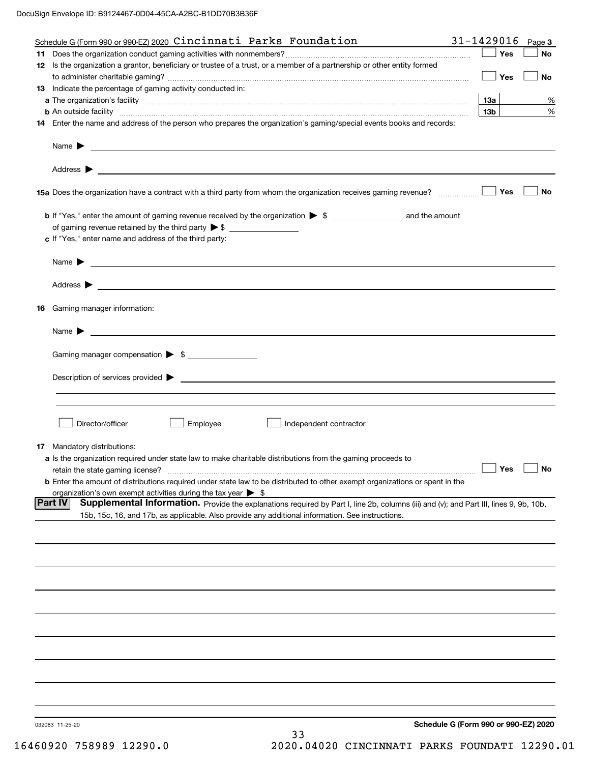| Schedule G (Form 990 or 990-EZ) 2020 Cincinnati Parks Foundation                                                                                              | 31-1429016                           | Page 3       |
|---------------------------------------------------------------------------------------------------------------------------------------------------------------|--------------------------------------|--------------|
|                                                                                                                                                               |                                      | Yes<br>No    |
| 12 Is the organization a grantor, beneficiary or trustee of a trust, or a member of a partnership or other entity formed                                      |                                      |              |
|                                                                                                                                                               |                                      | Yes<br>No    |
| 13 Indicate the percentage of gaming activity conducted in:                                                                                                   |                                      |              |
|                                                                                                                                                               | 13а                                  | %            |
| <b>b</b> An outside facility <i>www.communicality www.communicality.communicality www.communicality www.communicality.communicality www.communicality.com</i> | 13 <sub>b</sub>                      | $\%$         |
| 14 Enter the name and address of the person who prepares the organization's gaming/special events books and records:                                          |                                      |              |
|                                                                                                                                                               |                                      |              |
| Name $\blacktriangleright$<br><u> 1989 - Johann Harry Harry Harry Harry Harry Harry Harry Harry Harry Harry Harry Harry Harry Harry Harry Harry</u>           |                                      |              |
|                                                                                                                                                               |                                      |              |
| Address $\blacktriangleright$                                                                                                                                 |                                      |              |
| <u> 1989 - Andrea Stadt Britain, amerikansk politik (</u>                                                                                                     |                                      |              |
|                                                                                                                                                               |                                      | Yes<br>No    |
|                                                                                                                                                               |                                      |              |
|                                                                                                                                                               |                                      |              |
|                                                                                                                                                               |                                      |              |
|                                                                                                                                                               |                                      |              |
| c If "Yes," enter name and address of the third party:                                                                                                        |                                      |              |
|                                                                                                                                                               |                                      |              |
| <u> 1990 - Johann Stoff, amerikansk politiker (</u> † 1900)<br>Name $\blacktriangleright$                                                                     |                                      |              |
|                                                                                                                                                               |                                      |              |
| Address $\blacktriangleright$<br><u> 1989 - Johann Barbara, martin amerikan basar dan berasal dan berasal dalam basar dalam basar dalam basar dala</u>        |                                      |              |
|                                                                                                                                                               |                                      |              |
| <b>16</b> Gaming manager information:                                                                                                                         |                                      |              |
|                                                                                                                                                               |                                      |              |
| Name $\triangleright$ $\underbrace{\phantom{aaaa}}$                                                                                                           |                                      |              |
|                                                                                                                                                               |                                      |              |
| Gaming manager compensation > \$                                                                                                                              |                                      |              |
|                                                                                                                                                               |                                      |              |
| Description of services provided $\blacktriangleright$ $\_\_\_\_\_\_\_\_\_\_\_\_\_\_\_\_$                                                                     |                                      |              |
|                                                                                                                                                               |                                      |              |
|                                                                                                                                                               |                                      |              |
|                                                                                                                                                               |                                      |              |
| Employee<br>Director/officer<br>Independent contractor                                                                                                        |                                      |              |
|                                                                                                                                                               |                                      |              |
| <b>17</b> Mandatory distributions:                                                                                                                            |                                      |              |
| <b>a</b> Is the organization required under state law to make charitable distributions from the gaming proceeds to                                            |                                      |              |
| retain the state gaming license?                                                                                                                              |                                      | __ Yes __ No |
| <b>b</b> Enter the amount of distributions required under state law to be distributed to other exempt organizations or spent in the                           |                                      |              |
| organization's own exempt activities during the tax year $\triangleright$ \$                                                                                  |                                      |              |
| <b>Part IV</b><br>Supplemental Information. Provide the explanations required by Part I, line 2b, columns (iii) and (v); and Part III, lines 9, 9b, 10b,      |                                      |              |
| 15b, 15c, 16, and 17b, as applicable. Also provide any additional information. See instructions.                                                              |                                      |              |
|                                                                                                                                                               |                                      |              |
|                                                                                                                                                               |                                      |              |
|                                                                                                                                                               |                                      |              |
|                                                                                                                                                               |                                      |              |
|                                                                                                                                                               |                                      |              |
|                                                                                                                                                               |                                      |              |
|                                                                                                                                                               |                                      |              |
|                                                                                                                                                               |                                      |              |
|                                                                                                                                                               |                                      |              |
|                                                                                                                                                               |                                      |              |
|                                                                                                                                                               |                                      |              |
|                                                                                                                                                               |                                      |              |
|                                                                                                                                                               |                                      |              |
|                                                                                                                                                               |                                      |              |
|                                                                                                                                                               |                                      |              |
|                                                                                                                                                               |                                      |              |
|                                                                                                                                                               |                                      |              |
|                                                                                                                                                               |                                      |              |
| 032083 11-25-20                                                                                                                                               | Schedule G (Form 990 or 990-EZ) 2020 |              |
| 33                                                                                                                                                            |                                      |              |
|                                                                                                                                                               |                                      |              |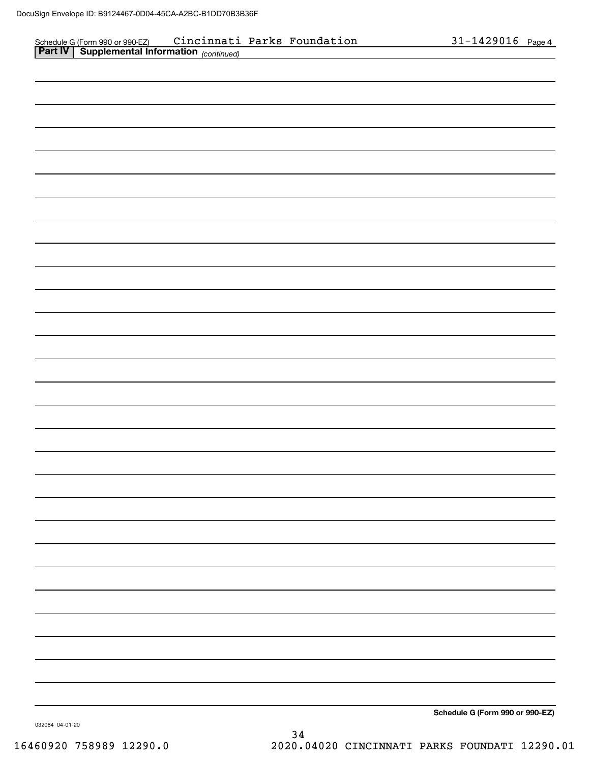| Schedule G (Form 990 or 990-EZ) Cincinnati Parks Foundation<br>Part IV   Supplemental Information (continued) |  |  | 31-1429016 Page 4               |
|---------------------------------------------------------------------------------------------------------------|--|--|---------------------------------|
|                                                                                                               |  |  |                                 |
|                                                                                                               |  |  |                                 |
|                                                                                                               |  |  |                                 |
|                                                                                                               |  |  |                                 |
|                                                                                                               |  |  |                                 |
|                                                                                                               |  |  |                                 |
|                                                                                                               |  |  |                                 |
|                                                                                                               |  |  |                                 |
|                                                                                                               |  |  |                                 |
|                                                                                                               |  |  |                                 |
|                                                                                                               |  |  |                                 |
|                                                                                                               |  |  |                                 |
|                                                                                                               |  |  |                                 |
|                                                                                                               |  |  |                                 |
|                                                                                                               |  |  |                                 |
|                                                                                                               |  |  |                                 |
|                                                                                                               |  |  |                                 |
|                                                                                                               |  |  |                                 |
|                                                                                                               |  |  |                                 |
|                                                                                                               |  |  |                                 |
|                                                                                                               |  |  |                                 |
|                                                                                                               |  |  |                                 |
|                                                                                                               |  |  |                                 |
|                                                                                                               |  |  |                                 |
|                                                                                                               |  |  |                                 |
|                                                                                                               |  |  |                                 |
|                                                                                                               |  |  |                                 |
|                                                                                                               |  |  |                                 |
|                                                                                                               |  |  |                                 |
|                                                                                                               |  |  |                                 |
|                                                                                                               |  |  |                                 |
|                                                                                                               |  |  |                                 |
|                                                                                                               |  |  |                                 |
|                                                                                                               |  |  |                                 |
|                                                                                                               |  |  |                                 |
|                                                                                                               |  |  |                                 |
|                                                                                                               |  |  |                                 |
|                                                                                                               |  |  |                                 |
|                                                                                                               |  |  |                                 |
|                                                                                                               |  |  |                                 |
|                                                                                                               |  |  |                                 |
|                                                                                                               |  |  |                                 |
|                                                                                                               |  |  |                                 |
|                                                                                                               |  |  |                                 |
|                                                                                                               |  |  |                                 |
|                                                                                                               |  |  | Schedule G (Form 990 or 990-EZ) |

032084 04-01-20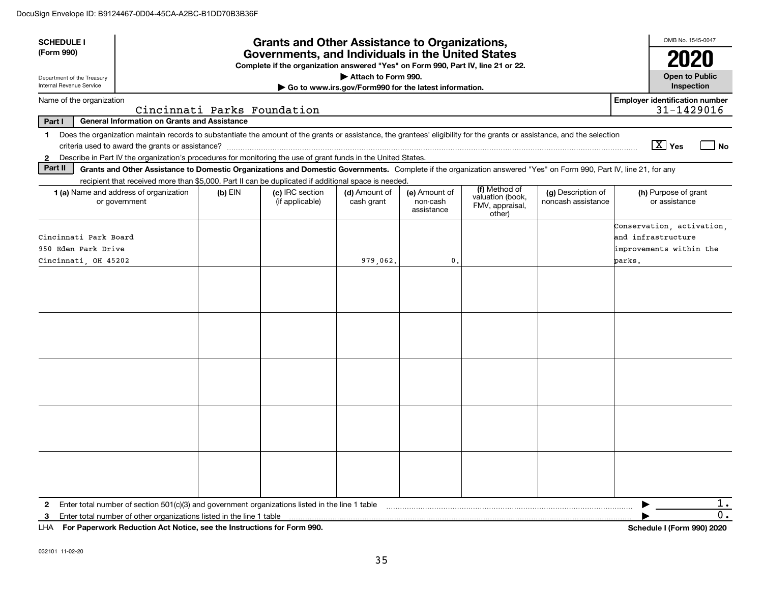| <b>SCHEDULE I</b><br>(Form 990)                                      |                                                                                                                                                                                                                                                                                           |           | <b>Grants and Other Assistance to Organizations,</b><br>Governments, and Individuals in the United States<br>Complete if the organization answered "Yes" on Form 990, Part IV, line 21 or 22. |                                                                              |                                         |                                                                |                                          | OMB No. 1545-0047<br>2020                                                            |                                     |
|----------------------------------------------------------------------|-------------------------------------------------------------------------------------------------------------------------------------------------------------------------------------------------------------------------------------------------------------------------------------------|-----------|-----------------------------------------------------------------------------------------------------------------------------------------------------------------------------------------------|------------------------------------------------------------------------------|-----------------------------------------|----------------------------------------------------------------|------------------------------------------|--------------------------------------------------------------------------------------|-------------------------------------|
| Department of the Treasury<br>Internal Revenue Service               |                                                                                                                                                                                                                                                                                           |           |                                                                                                                                                                                               | Attach to Form 990.<br>Go to www.irs.gov/Form990 for the latest information. |                                         |                                                                |                                          | <b>Open to Public</b><br>Inspection                                                  |                                     |
| Name of the organization                                             | Cincinnati Parks Foundation                                                                                                                                                                                                                                                               |           |                                                                                                                                                                                               |                                                                              |                                         |                                                                |                                          | <b>Employer identification number</b><br>31-1429016                                  |                                     |
| Part I                                                               | <b>General Information on Grants and Assistance</b>                                                                                                                                                                                                                                       |           |                                                                                                                                                                                               |                                                                              |                                         |                                                                |                                          |                                                                                      |                                     |
| 1.<br>2                                                              | Does the organization maintain records to substantiate the amount of the grants or assistance, the grantees' eligibility for the grants or assistance, and the selection<br>Describe in Part IV the organization's procedures for monitoring the use of grant funds in the United States. |           |                                                                                                                                                                                               |                                                                              |                                         |                                                                |                                          | $\boxed{\text{X}}$ Yes                                                               | $\log$                              |
| Part II                                                              | Grants and Other Assistance to Domestic Organizations and Domestic Governments. Complete if the organization answered "Yes" on Form 990, Part IV, line 21, for any<br>recipient that received more than \$5,000. Part II can be duplicated if additional space is needed.                 |           |                                                                                                                                                                                               |                                                                              |                                         |                                                                |                                          |                                                                                      |                                     |
|                                                                      | 1 (a) Name and address of organization<br>or government                                                                                                                                                                                                                                   | $(b)$ EIN | (c) IRC section<br>(if applicable)                                                                                                                                                            | (d) Amount of<br>cash grant                                                  | (e) Amount of<br>non-cash<br>assistance | (f) Method of<br>valuation (book,<br>FMV, appraisal,<br>other) | (g) Description of<br>noncash assistance | (h) Purpose of grant<br>or assistance                                                |                                     |
| Cincinnati Park Board<br>950 Eden Park Drive<br>Cincinnati, OH 45202 |                                                                                                                                                                                                                                                                                           |           |                                                                                                                                                                                               | 979.062.                                                                     | 0.                                      |                                                                |                                          | Conservation, activation,<br>and infrastructure<br>improvements within the<br>parks. |                                     |
|                                                                      |                                                                                                                                                                                                                                                                                           |           |                                                                                                                                                                                               |                                                                              |                                         |                                                                |                                          |                                                                                      |                                     |
|                                                                      |                                                                                                                                                                                                                                                                                           |           |                                                                                                                                                                                               |                                                                              |                                         |                                                                |                                          |                                                                                      |                                     |
|                                                                      |                                                                                                                                                                                                                                                                                           |           |                                                                                                                                                                                               |                                                                              |                                         |                                                                |                                          |                                                                                      |                                     |
|                                                                      |                                                                                                                                                                                                                                                                                           |           |                                                                                                                                                                                               |                                                                              |                                         |                                                                |                                          |                                                                                      |                                     |
|                                                                      |                                                                                                                                                                                                                                                                                           |           |                                                                                                                                                                                               |                                                                              |                                         |                                                                |                                          |                                                                                      |                                     |
| $\mathbf{2}$<br>3                                                    | Enter total number of other organizations listed in the line 1 table                                                                                                                                                                                                                      |           |                                                                                                                                                                                               |                                                                              |                                         |                                                                |                                          |                                                                                      | 1.<br>$\overline{0}$ .<br>0.0010000 |

**For Paperwork Reduction Act Notice, see the Instructions for Form 990. Schedule I (Form 990) 2020** LHA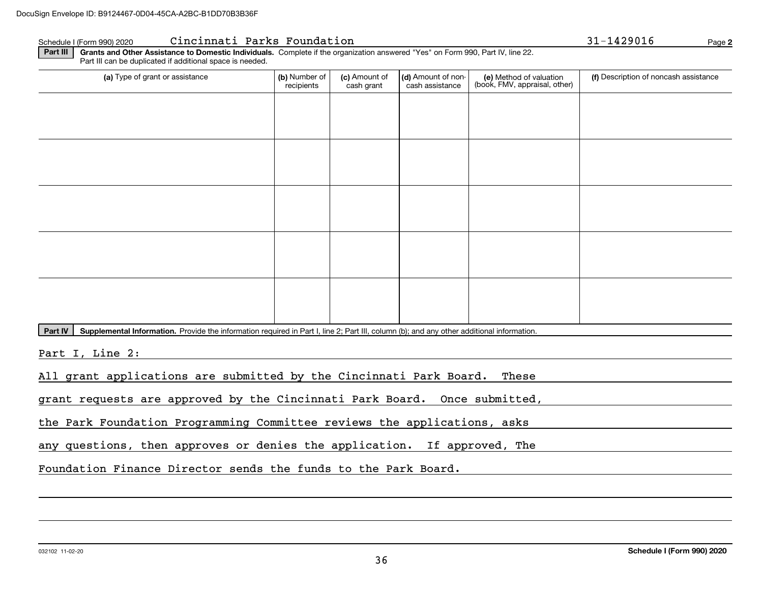## Schedule I (Form 990) 2020 Page Cincinnati Parks Foundation 31-1429016

| (a) Type of grant or assistance | (b) Number of<br>recipients | (c) Amount of<br>cash grant | (d) Amount of non-<br>cash assistance | (e) Method of valuation<br>(book, FMV, appraisal, other) | (f) Description of noncash assistance |
|---------------------------------|-----------------------------|-----------------------------|---------------------------------------|----------------------------------------------------------|---------------------------------------|
|                                 |                             |                             |                                       |                                                          |                                       |
|                                 |                             |                             |                                       |                                                          |                                       |
|                                 |                             |                             |                                       |                                                          |                                       |
|                                 |                             |                             |                                       |                                                          |                                       |
|                                 |                             |                             |                                       |                                                          |                                       |
|                                 |                             |                             |                                       |                                                          |                                       |
|                                 |                             |                             |                                       |                                                          |                                       |
|                                 |                             |                             |                                       |                                                          |                                       |
|                                 |                             |                             |                                       |                                                          |                                       |
|                                 |                             |                             |                                       |                                                          |                                       |

Part IV | Supplemental Information. Provide the information required in Part I, line 2; Part III, column (b); and any other additional information.

Part I, Line 2:

All grant applications are submitted by the Cincinnati Park Board. These

grant requests are approved by the Cincinnati Park Board. Once submitted,

the Park Foundation Programming Committee reviews the applications, asks

any questions, then approves or denies the application. If approved, The

Foundation Finance Director sends the funds to the Park Board.

**2**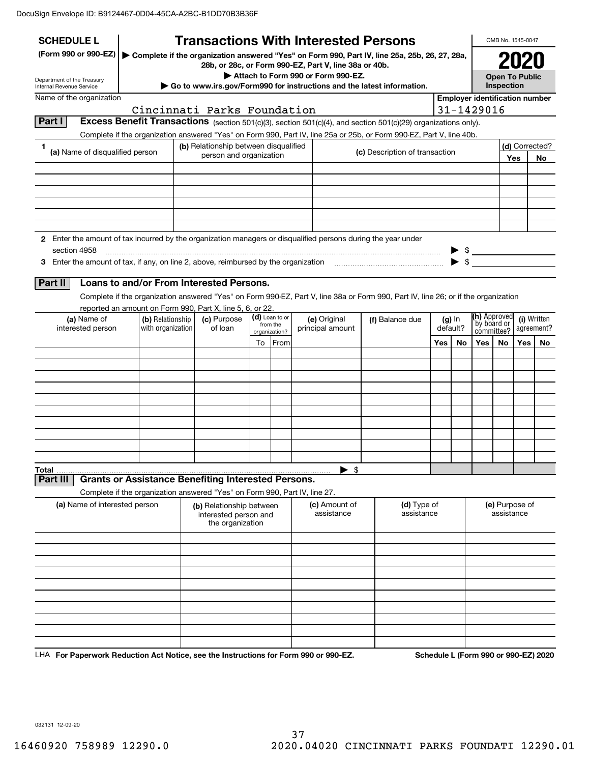| <b>SCHEDULE L</b>                                                                                                             |                   |                                                                       | <b>Transactions With Interested Persons</b>                                |                            |      |                                    |  |                                                                                                                                    |     |                         |                                    | OMB No. 1545-0047                   |      |                                       |  |
|-------------------------------------------------------------------------------------------------------------------------------|-------------------|-----------------------------------------------------------------------|----------------------------------------------------------------------------|----------------------------|------|------------------------------------|--|------------------------------------------------------------------------------------------------------------------------------------|-----|-------------------------|------------------------------------|-------------------------------------|------|---------------------------------------|--|
| (Form 990 or 990-EZ)                                                                                                          |                   |                                                                       | 28b, or 28c, or Form 990-EZ, Part V, line 38a or 40b.                      |                            |      |                                    |  | Complete if the organization answered "Yes" on Form 990, Part IV, line 25a, 25b, 26, 27, 28a,                                      |     |                         |                                    |                                     | 2020 |                                       |  |
| Department of the Treasury<br><b>Internal Revenue Service</b>                                                                 |                   |                                                                       | Go to www.irs.gov/Form990 for instructions and the latest information.     |                            |      | Attach to Form 990 or Form 990-EZ. |  |                                                                                                                                    |     |                         |                                    | <b>Open To Public</b><br>Inspection |      |                                       |  |
| Name of the organization                                                                                                      |                   |                                                                       |                                                                            |                            |      |                                    |  |                                                                                                                                    |     |                         |                                    |                                     |      | <b>Employer identification number</b> |  |
|                                                                                                                               |                   |                                                                       | Cincinnati Parks Foundation                                                |                            |      |                                    |  |                                                                                                                                    |     |                         | 31-1429016                         |                                     |      |                                       |  |
| Part I                                                                                                                        |                   |                                                                       |                                                                            |                            |      |                                    |  | Excess Benefit Transactions (section 501(c)(3), section 501(c)(4), and section 501(c)(29) organizations only).                     |     |                         |                                    |                                     |      |                                       |  |
| 1                                                                                                                             |                   |                                                                       | (b) Relationship between disqualified                                      |                            |      |                                    |  | Complete if the organization answered "Yes" on Form 990, Part IV, line 25a or 25b, or Form 990-EZ, Part V, line 40b.               |     |                         |                                    |                                     |      | (d) Corrected?                        |  |
| (a) Name of disqualified person                                                                                               |                   |                                                                       | person and organization                                                    |                            |      |                                    |  | (c) Description of transaction                                                                                                     |     |                         |                                    |                                     | Yes  | No                                    |  |
|                                                                                                                               |                   |                                                                       |                                                                            |                            |      |                                    |  |                                                                                                                                    |     |                         |                                    |                                     |      |                                       |  |
|                                                                                                                               |                   |                                                                       |                                                                            |                            |      |                                    |  |                                                                                                                                    |     |                         |                                    |                                     |      |                                       |  |
|                                                                                                                               |                   |                                                                       |                                                                            |                            |      |                                    |  |                                                                                                                                    |     |                         |                                    |                                     |      |                                       |  |
|                                                                                                                               |                   |                                                                       |                                                                            |                            |      |                                    |  |                                                                                                                                    |     |                         |                                    |                                     |      |                                       |  |
|                                                                                                                               |                   |                                                                       |                                                                            |                            |      |                                    |  |                                                                                                                                    |     |                         |                                    |                                     |      |                                       |  |
| 2 Enter the amount of tax incurred by the organization managers or disqualified persons during the year under<br>section 4958 |                   |                                                                       |                                                                            |                            |      |                                    |  |                                                                                                                                    |     |                         | $\frac{1}{2}$                      |                                     |      |                                       |  |
| 3 Enter the amount of tax, if any, on line 2, above, reimbursed by the organization match match and the organization          |                   |                                                                       |                                                                            |                            |      |                                    |  |                                                                                                                                    |     | $\blacktriangleright$ s |                                    |                                     |      |                                       |  |
|                                                                                                                               |                   |                                                                       |                                                                            |                            |      |                                    |  |                                                                                                                                    |     |                         |                                    |                                     |      |                                       |  |
| Part II                                                                                                                       |                   |                                                                       | Loans to and/or From Interested Persons.                                   |                            |      |                                    |  |                                                                                                                                    |     |                         |                                    |                                     |      |                                       |  |
|                                                                                                                               |                   |                                                                       | reported an amount on Form 990, Part X, line 5, 6, or 22.                  |                            |      |                                    |  | Complete if the organization answered "Yes" on Form 990-EZ, Part V, line 38a or Form 990, Part IV, line 26; or if the organization |     |                         |                                    |                                     |      |                                       |  |
| (a) Name of                                                                                                                   | (b) Relationship  | (c) Purpose                                                           |                                                                            | (d) Loan to or<br>from the |      | (e) Original                       |  | (f) Balance due                                                                                                                    |     | $(g)$ In                | <b>(h)</b> Approved<br>by board or |                                     |      | (i) Written                           |  |
| interested person                                                                                                             | with organization |                                                                       | of loan                                                                    | organization?              |      | principal amount                   |  |                                                                                                                                    |     | default?                | committee?                         |                                     |      | agreement?                            |  |
|                                                                                                                               |                   |                                                                       |                                                                            | To                         | From |                                    |  |                                                                                                                                    | Yes | No                      | Yes                                | No.                                 | Yes  | No                                    |  |
|                                                                                                                               |                   |                                                                       |                                                                            |                            |      |                                    |  |                                                                                                                                    |     |                         |                                    |                                     |      |                                       |  |
|                                                                                                                               |                   |                                                                       |                                                                            |                            |      |                                    |  |                                                                                                                                    |     |                         |                                    |                                     |      |                                       |  |
|                                                                                                                               |                   |                                                                       |                                                                            |                            |      |                                    |  |                                                                                                                                    |     |                         |                                    |                                     |      |                                       |  |
|                                                                                                                               |                   |                                                                       |                                                                            |                            |      |                                    |  |                                                                                                                                    |     |                         |                                    |                                     |      |                                       |  |
|                                                                                                                               |                   |                                                                       |                                                                            |                            |      |                                    |  |                                                                                                                                    |     |                         |                                    |                                     |      |                                       |  |
|                                                                                                                               |                   |                                                                       |                                                                            |                            |      |                                    |  |                                                                                                                                    |     |                         |                                    |                                     |      |                                       |  |
|                                                                                                                               |                   |                                                                       |                                                                            |                            |      |                                    |  |                                                                                                                                    |     |                         |                                    |                                     |      |                                       |  |
|                                                                                                                               |                   |                                                                       |                                                                            |                            |      | \$                                 |  |                                                                                                                                    |     |                         |                                    |                                     |      |                                       |  |
| Total<br>Part II                                                                                                              |                   |                                                                       | <b>Grants or Assistance Benefiting Interested Persons.</b>                 |                            |      | ▶                                  |  |                                                                                                                                    |     |                         |                                    |                                     |      |                                       |  |
|                                                                                                                               |                   |                                                                       | Complete if the organization answered "Yes" on Form 990, Part IV, line 27. |                            |      |                                    |  |                                                                                                                                    |     |                         |                                    |                                     |      |                                       |  |
| (a) Name of interested person                                                                                                 |                   | (b) Relationship between<br>interested person and<br>the organization |                                                                            |                            |      | (c) Amount of<br>assistance        |  | (d) Type of<br>assistance                                                                                                          |     |                         |                                    | (e) Purpose of<br>assistance        |      |                                       |  |
|                                                                                                                               |                   |                                                                       |                                                                            |                            |      |                                    |  |                                                                                                                                    |     |                         |                                    |                                     |      |                                       |  |
|                                                                                                                               |                   |                                                                       |                                                                            |                            |      |                                    |  |                                                                                                                                    |     |                         |                                    |                                     |      |                                       |  |
|                                                                                                                               |                   |                                                                       |                                                                            |                            |      |                                    |  |                                                                                                                                    |     |                         |                                    |                                     |      |                                       |  |
|                                                                                                                               |                   |                                                                       |                                                                            |                            |      |                                    |  |                                                                                                                                    |     |                         |                                    |                                     |      |                                       |  |
|                                                                                                                               |                   |                                                                       |                                                                            |                            |      |                                    |  |                                                                                                                                    |     |                         |                                    |                                     |      |                                       |  |
|                                                                                                                               |                   |                                                                       |                                                                            |                            |      |                                    |  |                                                                                                                                    |     |                         |                                    |                                     |      |                                       |  |
|                                                                                                                               |                   |                                                                       |                                                                            |                            |      |                                    |  |                                                                                                                                    |     |                         |                                    |                                     |      |                                       |  |
|                                                                                                                               |                   |                                                                       |                                                                            |                            |      |                                    |  |                                                                                                                                    |     |                         |                                    |                                     |      |                                       |  |
| LHA For Paperwork Reduction Act Notice, see the Instructions for Form 990 or 990-EZ.                                          |                   |                                                                       |                                                                            |                            |      |                                    |  |                                                                                                                                    |     |                         |                                    |                                     |      | Schedule L (Form 990 or 990-EZ) 2020  |  |

032131 12-09-20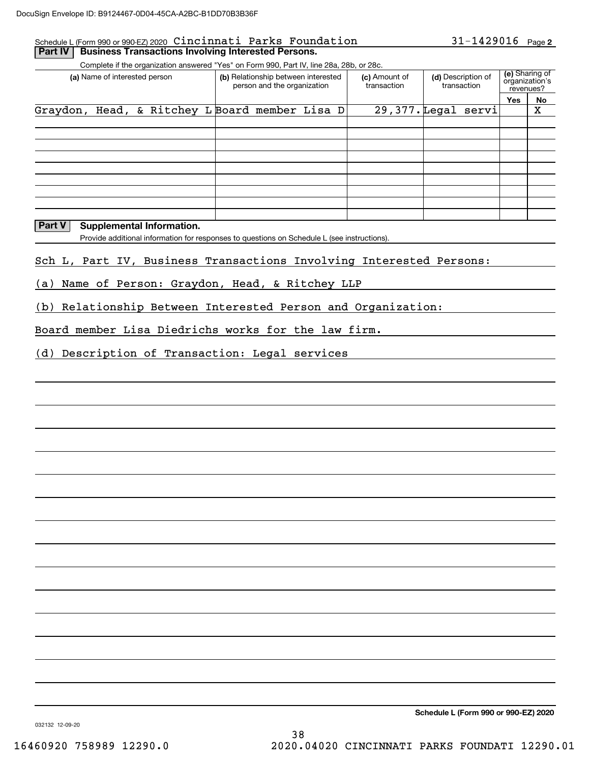## Schedule L (Form 990 or 990-EZ) 2020 Page Cincinnati Parks Foundation

**Part IV Business Transactions Involving Interested Persons.** 

Complete if the organization answered "Yes" on Form 990, Part IV, line 28a, 28b, or 28c.

|          | (a) Name of interested person |                                       |  | (b) Relationship between interested<br>person and the organization | (c) Amount of<br>transaction | (d) Description of<br>transaction |     | (e) Sharing of<br>organization's<br>revenues? |
|----------|-------------------------------|---------------------------------------|--|--------------------------------------------------------------------|------------------------------|-----------------------------------|-----|-----------------------------------------------|
|          |                               |                                       |  |                                                                    |                              |                                   | Yes | No                                            |
| Graydon, |                               | Head, & Ritchey L Board member Lisa D |  |                                                                    |                              | 29,377. Legal servi               |     | х                                             |
|          |                               |                                       |  |                                                                    |                              |                                   |     |                                               |
|          |                               |                                       |  |                                                                    |                              |                                   |     |                                               |
|          |                               |                                       |  |                                                                    |                              |                                   |     |                                               |
|          |                               |                                       |  |                                                                    |                              |                                   |     |                                               |
|          |                               |                                       |  |                                                                    |                              |                                   |     |                                               |
|          |                               |                                       |  |                                                                    |                              |                                   |     |                                               |
|          |                               |                                       |  |                                                                    |                              |                                   |     |                                               |
|          |                               |                                       |  |                                                                    |                              |                                   |     |                                               |
|          |                               |                                       |  |                                                                    |                              |                                   |     |                                               |

## **Part V** Supplemental Information.

Provide additional information for responses to questions on Schedule L (see instructions).

## Sch L, Part IV, Business Transactions Involving Interested Persons:

(a) Name of Person: Graydon, Head, & Ritchey LLP

(b) Relationship Between Interested Person and Organization:

Board member Lisa Diedrichs works for the law firm.

(d) Description of Transaction: Legal services

**Schedule L (Form 990 or 990-EZ) 2020**

032132 12-09-20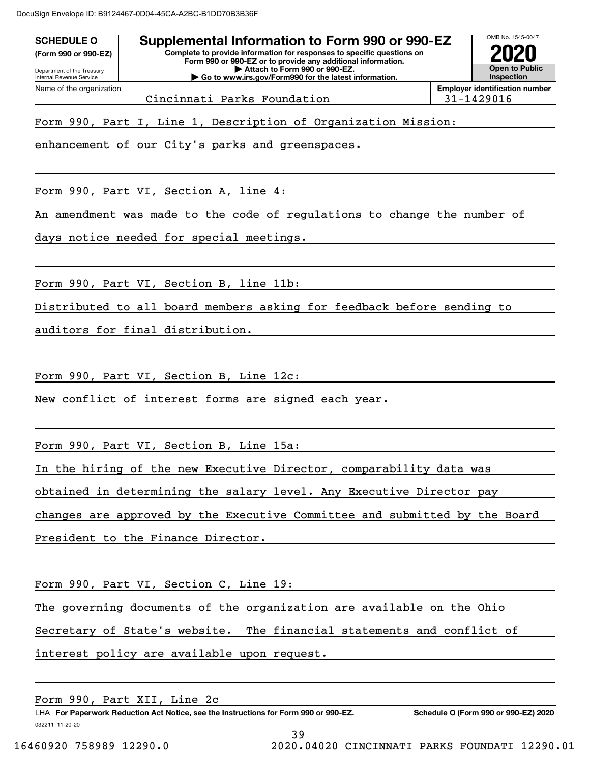DocuSign Envelope ID: B9124467-0D04-45CA-A2BC-B1DD70B3B36F

| Department of the Treasury                           | Complete to provide information for responses to specific questions on<br>Form 990 or 990-EZ or to provide any additional information.<br>Attach to Form 990 or 990-EZ. |            | <b>Open to Public</b><br><b>Inspection</b> |
|------------------------------------------------------|-------------------------------------------------------------------------------------------------------------------------------------------------------------------------|------------|--------------------------------------------|
| Internal Revenue Service<br>Name of the organization | Go to www.irs.gov/Form990 for the latest information.                                                                                                                   |            | <b>Employer identification number</b>      |
|                                                      | Cincinnati Parks Foundation                                                                                                                                             | 31-1429016 |                                            |
|                                                      | Form 990, Part I, Line 1, Description of Organization Mission:<br>enhancement of our City's parks and greenspaces.                                                      |            |                                            |
|                                                      | Form 990, Part VI, Section A, line 4:                                                                                                                                   |            |                                            |
|                                                      | An amendment was made to the code of regulations to change the number of                                                                                                |            |                                            |
|                                                      | days notice needed for special meetings.                                                                                                                                |            |                                            |
|                                                      |                                                                                                                                                                         |            |                                            |
|                                                      | Form 990, Part VI, Section B, line 11b:                                                                                                                                 |            |                                            |
|                                                      | Distributed to all board members asking for feedback before sending to                                                                                                  |            |                                            |
|                                                      | auditors for final distribution.                                                                                                                                        |            |                                            |
|                                                      |                                                                                                                                                                         |            |                                            |
|                                                      | Form 990, Part VI, Section B, Line 12c:                                                                                                                                 |            |                                            |
|                                                      | New conflict of interest forms are signed each year.                                                                                                                    |            |                                            |
|                                                      | Form 990, Part VI, Section B, Line 15a:                                                                                                                                 |            |                                            |
|                                                      | In the hiring of the new Executive Director, comparability data was                                                                                                     |            |                                            |
|                                                      | obtained in determining the salary level. Any Executive Director pay                                                                                                    |            |                                            |
|                                                      | changes are approved by the Executive Committee and submitted by the Board                                                                                              |            |                                            |
|                                                      | President to the Finance Director.                                                                                                                                      |            |                                            |
|                                                      | Form 990, Part VI, Section C, Line 19:                                                                                                                                  |            |                                            |
|                                                      | The governing documents of the organization are available on the Ohio                                                                                                   |            |                                            |
|                                                      | Secretary of State's website. The financial statements and conflict of                                                                                                  |            |                                            |
|                                                      | interest policy are available upon request.                                                                                                                             |            |                                            |

Form 990, Part XII, Line 2c

39